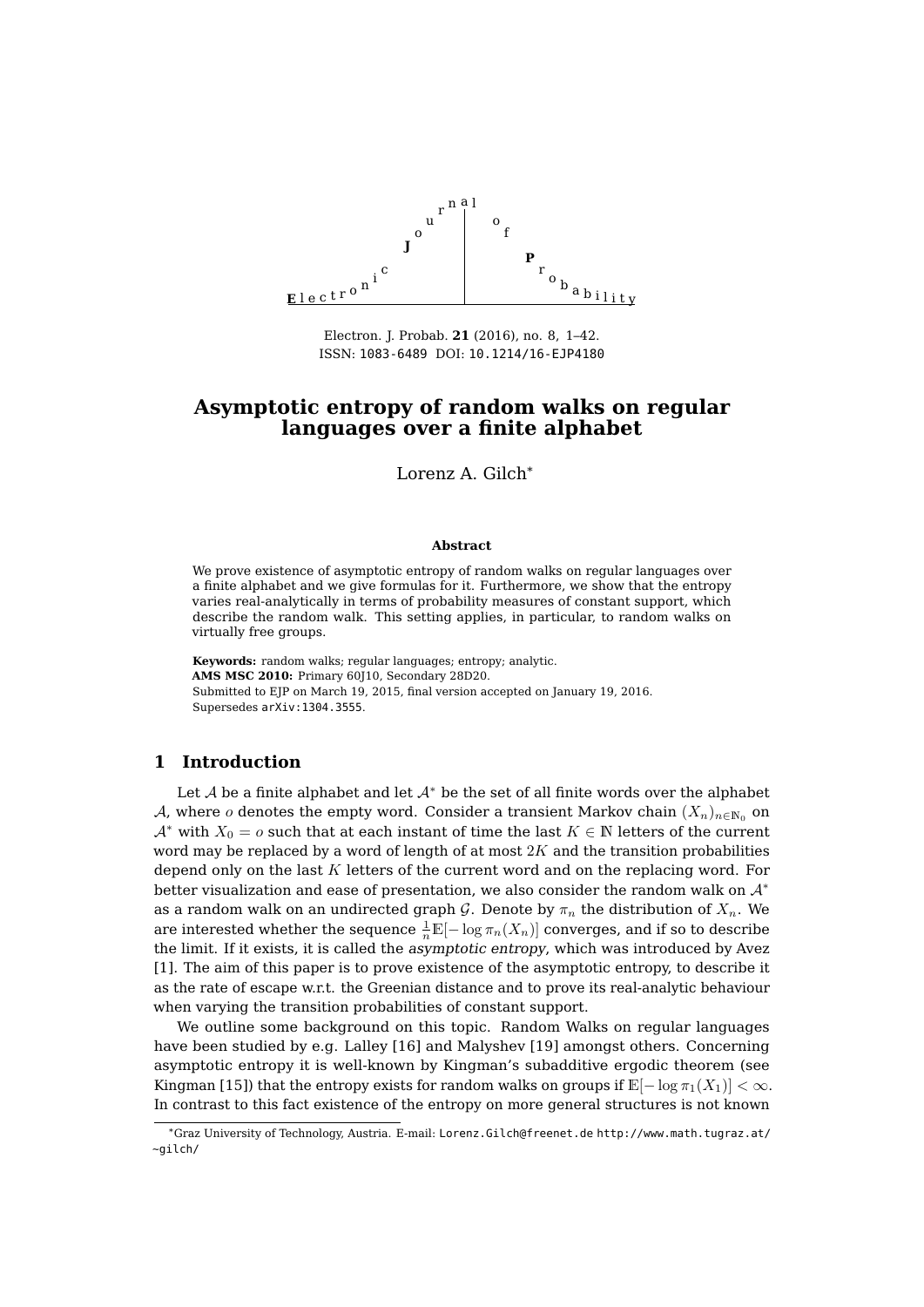

Electron. J. Probab. **21** (2016), no. 8, 1[–42.](#page-41-0) ISSN: [1083-6489](http://www.imstat.org/ejp/) DOI: [10.1214/16-EJP4180](http://dx.doi.org/10.1214/16-EJP4180)

# **Asymptotic entropy of random walks on regular languages over a finite alphabet**

Lorenz A. Gilch\*

#### **Abstract**

We prove existence of asymptotic entropy of random walks on regular languages over a finite alphabet and we give formulas for it. Furthermore, we show that the entropy varies real-analytically in terms of probability measures of constant support, which describe the random walk. This setting applies, in particular, to random walks on virtually free groups.

**Keywords:** random walks; regular languages; entropy; analytic. **AMS MSC 2010:** Primary 60J10, Secondary 28D20. Submitted to EJP on March 19, 2015, final version accepted on January 19, 2016. Supersedes [arXiv:1304.3555](http://arXiv.org/abs/1304.3555).

# **1 Introduction**

Let A be a finite alphabet and let  $A^*$  be the set of all finite words over the alphabet A, where o denotes the empty word. Consider a transient Markov chain  $(X_n)_{n\in\mathbb{N}_0}$  on  $A^*$  with  $X_0 = o$  such that at each instant of time the last  $K \in \mathbb{N}$  letters of the current word may be replaced by a word of length of at most  $2K$  and the transition probabilities depend only on the last K letters of the current word and on the replacing word. For better visualization and ease of presentation, we also consider the random walk on  $\mathcal{A}^*$ as a random walk on an undirected graph G. Denote by  $\pi_n$  the distribution of  $X_n$ . We are interested whether the sequence  $\frac{1}{n}\mathbb{E}[-\log \pi_n(X_n)]$  converges, and if so to describe the limit. If it exists, it is called the asymptotic entropy, which was introduced by Avez [\[1\]](#page-41-1). The aim of this paper is to prove existence of the asymptotic entropy, to describe it as the rate of escape w.r.t. the Greenian distance and to prove its real-analytic behaviour when varying the transition probabilities of constant support.

We outline some background on this topic. Random Walks on regular languages have been studied by e.g. Lalley [\[16\]](#page-41-2) and Malyshev [\[19\]](#page-41-3) amongst others. Concerning asymptotic entropy it is well-known by Kingman's subadditive ergodic theorem (see Kingman [\[15\]](#page-41-4)) that the entropy exists for random walks on groups if  $\mathbb{E}[-\log \pi_1(X_1)] < \infty$ . In contrast to this fact existence of the entropy on more general structures is not known

<sup>\*</sup>Graz University of Technology, Austria. E-mail: [Lorenz.Gilch@freenet.de](mailto:Lorenz.Gilch@freenet.de) [http://www.math.tugraz.at/](http://www.math.tugraz.at/~gilch/) [~gilch/](http://www.math.tugraz.at/~gilch/)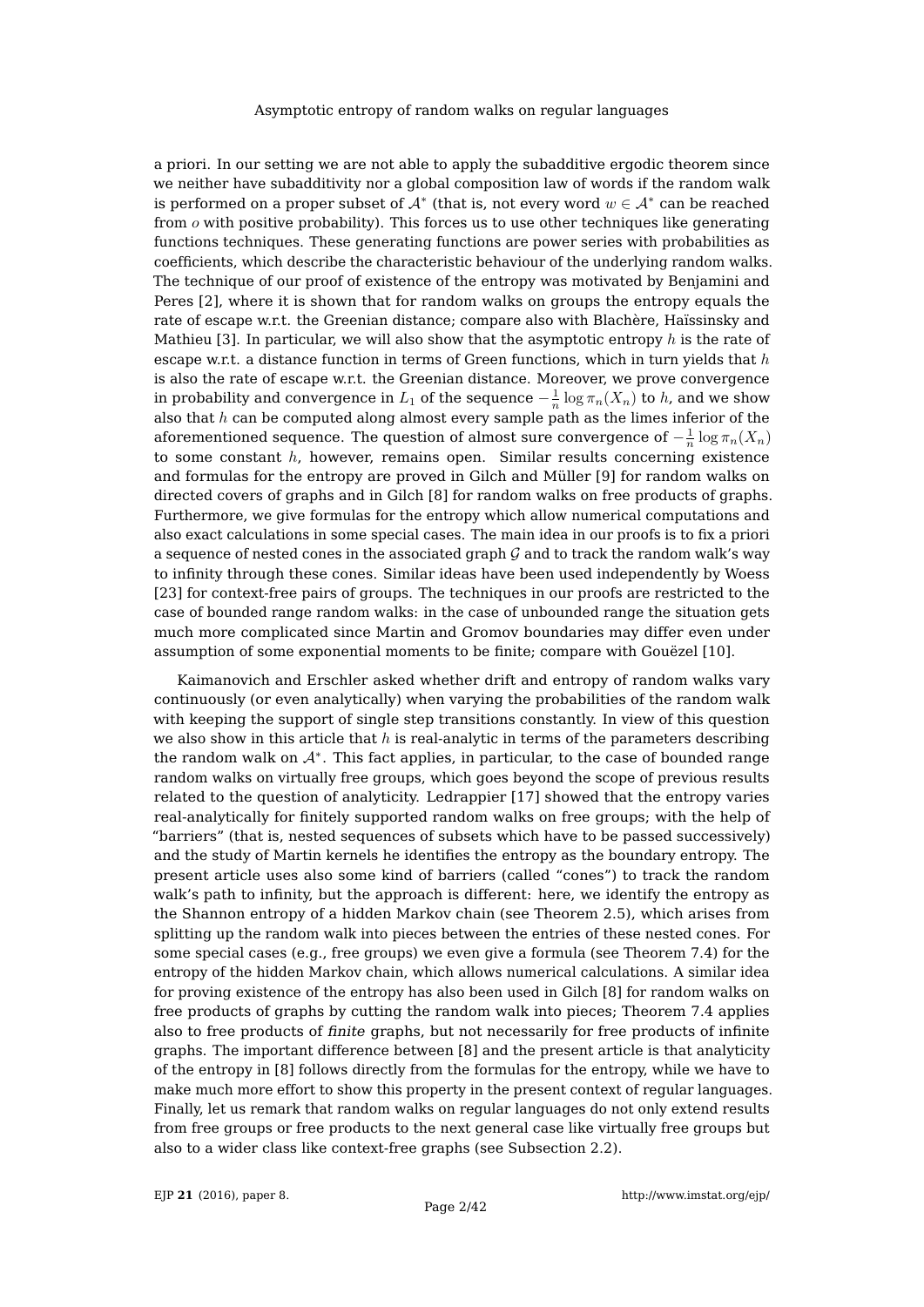a priori. In our setting we are not able to apply the subadditive ergodic theorem since we neither have subadditivity nor a global composition law of words if the random walk is performed on a proper subset of  $\mathcal{A}^*$  (that is, not every word  $w\in\mathcal{A}^*$  can be reached from  $o$  with positive probability). This forces us to use other techniques like generating functions techniques. These generating functions are power series with probabilities as coefficients, which describe the characteristic behaviour of the underlying random walks. The technique of our proof of existence of the entropy was motivated by Benjamini and Peres [\[2\]](#page-41-5), where it is shown that for random walks on groups the entropy equals the rate of escape w.r.t. the Greenian distance; compare also with Blachère, Haïssinsky and Mathieu [\[3\]](#page-41-6). In particular, we will also show that the asymptotic entropy  $h$  is the rate of escape w.r.t. a distance function in terms of Green functions, which in turn yields that  $h$ is also the rate of escape w.r.t. the Greenian distance. Moreover, we prove convergence in probability and convergence in  $L_1$  of the sequence  $-\frac{1}{n}\log\pi_n(X_n)$  to  $h$ , and we show also that  $h$  can be computed along almost every sample path as the limes inferior of the aforementioned sequence. The question of almost sure convergence of  $-\frac{1}{n}\log\pi_n(X_n)$ to some constant  $h$ , however, remains open. Similar results concerning existence and formulas for the entropy are proved in Gilch and Müller [\[9\]](#page-41-7) for random walks on directed covers of graphs and in Gilch [\[8\]](#page-41-8) for random walks on free products of graphs. Furthermore, we give formulas for the entropy which allow numerical computations and also exact calculations in some special cases. The main idea in our proofs is to fix a priori a sequence of nested cones in the associated graph  $\mathcal G$  and to track the random walk's way to infinity through these cones. Similar ideas have been used independently by Woess [\[23\]](#page-41-9) for context-free pairs of groups. The techniques in our proofs are restricted to the case of bounded range random walks: in the case of unbounded range the situation gets much more complicated since Martin and Gromov boundaries may differ even under assumption of some exponential moments to be finite; compare with Gouëzel [\[10\]](#page-41-10).

Kaimanovich and Erschler asked whether drift and entropy of random walks vary continuously (or even analytically) when varying the probabilities of the random walk with keeping the support of single step transitions constantly. In view of this question we also show in this article that  $h$  is real-analytic in terms of the parameters describing the random walk on  $A^*$ . This fact applies, in particular, to the case of bounded range random walks on virtually free groups, which goes beyond the scope of previous results related to the question of analyticity. Ledrappier [\[17\]](#page-41-11) showed that the entropy varies real-analytically for finitely supported random walks on free groups; with the help of "barriers" (that is, nested sequences of subsets which have to be passed successively) and the study of Martin kernels he identifies the entropy as the boundary entropy. The present article uses also some kind of barriers (called "cones") to track the random walk's path to infinity, but the approach is different: here, we identify the entropy as the Shannon entropy of a hidden Markov chain (see Theorem [2.5\)](#page-5-0), which arises from splitting up the random walk into pieces between the entries of these nested cones. For some special cases (e.g., free groups) we even give a formula (see Theorem [7.4\)](#page-28-0) for the entropy of the hidden Markov chain, which allows numerical calculations. A similar idea for proving existence of the entropy has also been used in Gilch [\[8\]](#page-41-8) for random walks on free products of graphs by cutting the random walk into pieces; Theorem [7.4](#page-28-0) applies also to free products of finite graphs, but not necessarily for free products of infinite graphs. The important difference between [\[8\]](#page-41-8) and the present article is that analyticity of the entropy in [\[8\]](#page-41-8) follows directly from the formulas for the entropy, while we have to make much more effort to show this property in the present context of regular languages. Finally, let us remark that random walks on regular languages do not only extend results from free groups or free products to the next general case like virtually free groups but also to a wider class like context-free graphs (see Subsection [2.2\)](#page-5-1).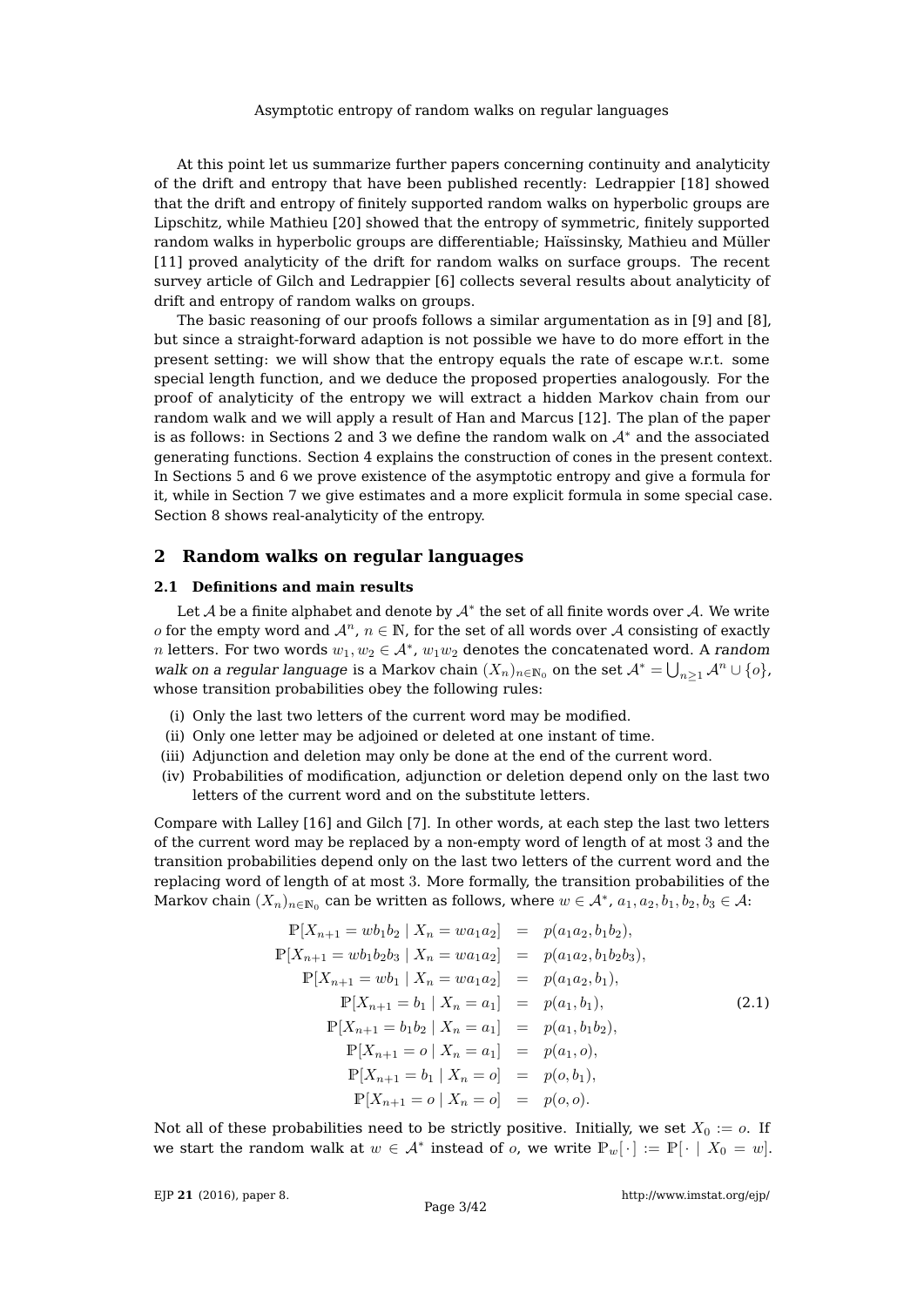At this point let us summarize further papers concerning continuity and analyticity of the drift and entropy that have been published recently: Ledrappier [\[18\]](#page-41-12) showed that the drift and entropy of finitely supported random walks on hyperbolic groups are Lipschitz, while Mathieu [\[20\]](#page-41-13) showed that the entropy of symmetric, finitely supported random walks in hyperbolic groups are differentiable; Haïssinsky, Mathieu and Müller [\[11\]](#page-41-14) proved analyticity of the drift for random walks on surface groups. The recent survey article of Gilch and Ledrappier [\[6\]](#page-41-15) collects several results about analyticity of drift and entropy of random walks on groups.

The basic reasoning of our proofs follows a similar argumentation as in [\[9\]](#page-41-7) and [\[8\]](#page-41-8), but since a straight-forward adaption is not possible we have to do more effort in the present setting: we will show that the entropy equals the rate of escape w.r.t. some special length function, and we deduce the proposed properties analogously. For the proof of analyticity of the entropy we will extract a hidden Markov chain from our random walk and we will apply a result of Han and Marcus [\[12\]](#page-41-16). The plan of the paper is as follows: in Sections [2](#page-2-0) and [3](#page-6-0) we define the random walk on  $A^*$  and the associated generating functions. Section [4](#page-8-0) explains the construction of cones in the present context. In Sections [5](#page-13-0) and [6](#page-22-0) we prove existence of the asymptotic entropy and give a formula for it, while in Section [7](#page-25-0) we give estimates and a more explicit formula in some special case. Section [8](#page-29-0) shows real-analyticity of the entropy.

# <span id="page-2-0"></span>**2 Random walks on regular languages**

## **2.1 Definitions and main results**

Let  ${\mathcal A}$  be a finite alphabet and denote by  ${\mathcal A}^*$  the set of all finite words over  ${\mathcal A}.$  We write o for the empty word and  $\mathcal{A}^n$ ,  $n \in \mathbb{N}$ , for the set of all words over A consisting of exactly n letters. For two words  $w_1, w_2 \in \mathcal{A}^*$ ,  $w_1w_2$  denotes the concatenated word. A random walk on a regular language is a Markov chain  $(X_n)_{n\in\mathbb{N}_0}$  on the set  $\mathcal{A}^*=\bigcup_{n\geq 1}\mathcal{A}^n\cup\{o\}$ , whose transition probabilities obey the following rules:

- (i) Only the last two letters of the current word may be modified.
- (ii) Only one letter may be adjoined or deleted at one instant of time.
- (iii) Adjunction and deletion may only be done at the end of the current word.
- (iv) Probabilities of modification, adjunction or deletion depend only on the last two letters of the current word and on the substitute letters.

Compare with Lalley [\[16\]](#page-41-2) and Gilch [\[7\]](#page-41-17). In other words, at each step the last two letters of the current word may be replaced by a non-empty word of length of at most 3 and the transition probabilities depend only on the last two letters of the current word and the replacing word of length of at most 3. More formally, the transition probabilities of the Markov chain  $(X_n)_{n\in\mathbb{N}_0}$  can be written as follows, where  $w\in\mathcal{A}^*$ ,  $a_1, a_2, b_1, b_2, b_3\in\mathcal{A}$ :

<span id="page-2-1"></span>
$$
\mathbb{P}[X_{n+1} = wb_1 b_2 | X_n = wa_1 a_2] = p(a_1 a_2, b_1 b_2),
$$
  
\n
$$
\mathbb{P}[X_{n+1} = wb_1 b_2 b_3 | X_n = wa_1 a_2] = p(a_1 a_2, b_1 b_2 b_3),
$$
  
\n
$$
\mathbb{P}[X_{n+1} = wb_1 | X_n = wa_1 a_2] = p(a_1 a_2, b_1),
$$
  
\n
$$
\mathbb{P}[X_{n+1} = b_1 | X_n = a_1] = p(a_1, b_1),
$$
  
\n
$$
\mathbb{P}[X_{n+1} = b_1 b_2 | X_n = a_1] = p(a_1, b_1 b_2),
$$
  
\n
$$
\mathbb{P}[X_{n+1} = o | X_n = a_1] = p(a_1, o),
$$
  
\n
$$
\mathbb{P}[X_{n+1} = b_1 | X_n = o] = p(o, b_1),
$$
  
\n
$$
\mathbb{P}[X_{n+1} = o | X_n = o] = p(o, o).
$$

Not all of these probabilities need to be strictly positive. Initially, we set  $X_0 := o$ . If we start the random walk at  $w \in \mathcal{A}^*$  instead of  $o$ , we write  $\mathbb{P}_w[\cdot] := \mathbb{P}[\cdot \mid X_0 = w]$ .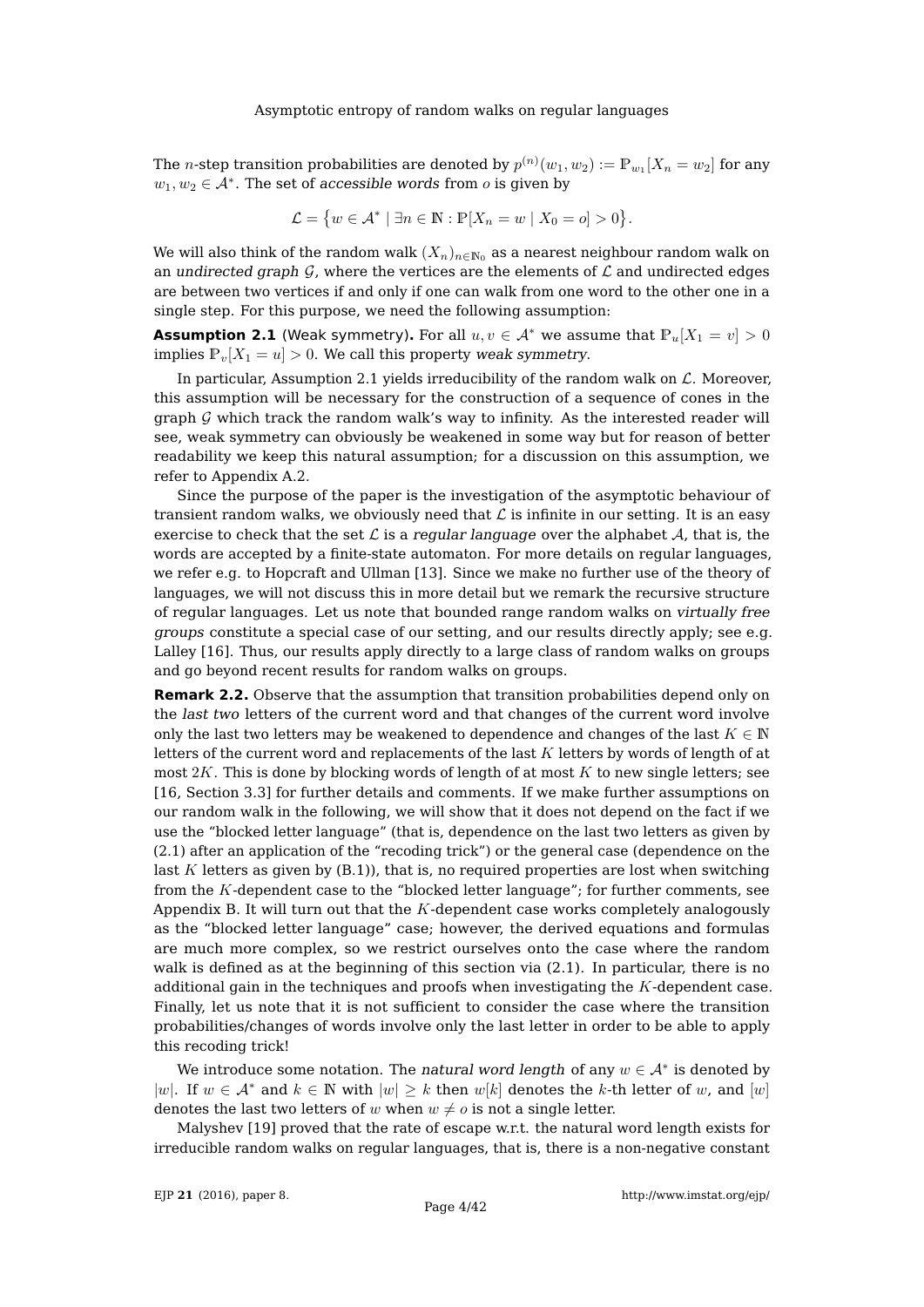The  $n$ -step transition probabilities are denoted by  $p^{(n)}(w_1,w_2) := \mathbb{P}_{w_1}[X_n = w_2]$  for any  $w_1, w_2 \in \mathcal{A}^*$ . The set of accessible words from  $o$  is given by

$$
\mathcal{L} = \{ w \in \mathcal{A}^* \mid \exists n \in \mathbb{N} : \mathbb{P}[X_n = w \mid X_0 = o] > 0 \}.
$$

We will also think of the random walk  $(X_n)_{n\in\mathbb{N}_0}$  as a nearest neighbour random walk on an undirected graph  $\mathcal G$ , where the vertices are the elements of  $\mathcal L$  and undirected edges are between two vertices if and only if one can walk from one word to the other one in a single step. For this purpose, we need the following assumption:

<span id="page-3-0"></span>**Assumption 2.1** (Weak symmetry). For all  $u, v \in A^*$  we assume that  $\mathbb{P}_v[X_1 = v] > 0$ implies  $P_v[X_1 = u] > 0$ . We call this property weak symmetry.

In particular, Assumption [2.1](#page-3-0) yields irreducibility of the random walk on  $\mathcal{L}$ . Moreover, this assumption will be necessary for the construction of a sequence of cones in the graph  $G$  which track the random walk's way to infinity. As the interested reader will see, weak symmetry can obviously be weakened in some way but for reason of better readability we keep this natural assumption; for a discussion on this assumption, we refer to Appendix [A.2.](#page-33-0)

Since the purpose of the paper is the investigation of the asymptotic behaviour of transient random walks, we obviously need that  $\mathcal L$  is infinite in our setting. It is an easy exercise to check that the set  $\mathcal L$  is a regular language over the alphabet  $\mathcal A$ , that is, the words are accepted by a finite-state automaton. For more details on regular languages, we refer e.g. to Hopcraft and Ullman [\[13\]](#page-41-18). Since we make no further use of the theory of languages, we will not discuss this in more detail but we remark the recursive structure of regular languages. Let us note that bounded range random walks on virtually free groups constitute a special case of our setting, and our results directly apply; see e.g. Lalley [\[16\]](#page-41-2). Thus, our results apply directly to a large class of random walks on groups and go beyond recent results for random walks on groups.

**Remark 2.2.** Observe that the assumption that transition probabilities depend only on the last two letters of the current word and that changes of the current word involve only the last two letters may be weakened to dependence and changes of the last  $K \in \mathbb{N}$ letters of the current word and replacements of the last  $K$  letters by words of length of at most  $2K$ . This is done by blocking words of length of at most K to new single letters; see [\[16,](#page-41-2) Section 3.3] for further details and comments. If we make further assumptions on our random walk in the following, we will show that it does not depend on the fact if we use the "blocked letter language" (that is, dependence on the last two letters as given by [\(2.1\)](#page-2-1) after an application of the "recoding trick") or the general case (dependence on the last K letters as given by  $(B.1)$ , that is, no required properties are lost when switching from the  $K$ -dependent case to the "blocked letter language"; for further comments, see Appendix [B.](#page-33-2) It will turn out that the  $K$ -dependent case works completely analogously as the "blocked letter language" case; however, the derived equations and formulas are much more complex, so we restrict ourselves onto the case where the random walk is defined as at the beginning of this section via [\(2.1\)](#page-2-1). In particular, there is no additional gain in the techniques and proofs when investigating the K-dependent case. Finally, let us note that it is not sufficient to consider the case where the transition probabilities/changes of words involve only the last letter in order to be able to apply this recoding trick!

We introduce some notation. The *natural word length* of any  $w \in \mathcal{A}^*$  is denoted by |w|. If  $w \in A^*$  and  $k \in \mathbb{N}$  with  $|w| \geq k$  then  $w[k]$  denotes the k-th letter of w, and  $[w]$ denotes the last two letters of w when  $w \neq o$  is not a single letter.

Malyshev [\[19\]](#page-41-3) proved that the rate of escape w.r.t. the natural word length exists for irreducible random walks on regular languages, that is, there is a non-negative constant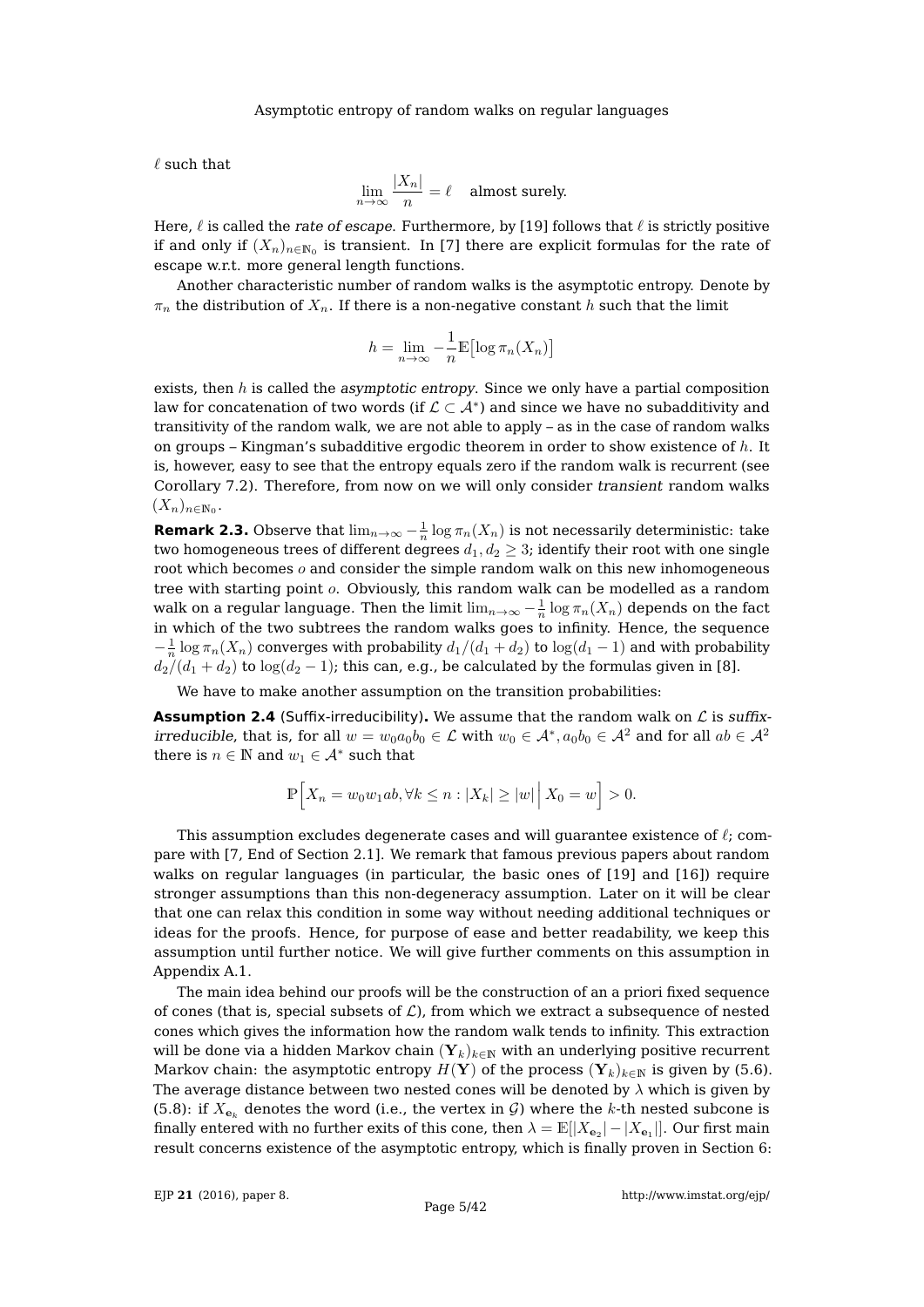$\ell$  such that

$$
\lim_{n \to \infty} \frac{|X_n|}{n} = \ell \quad \text{almost surely.}
$$

Here,  $\ell$  is called the rate of escape. Furthermore, by [\[19\]](#page-41-3) follows that  $\ell$  is strictly positive if and only if  $(X_n)_{n\in\mathbb{N}_0}$  is transient. In [\[7\]](#page-41-17) there are explicit formulas for the rate of escape w.r.t. more general length functions.

Another characteristic number of random walks is the asymptotic entropy. Denote by  $\pi_n$  the distribution of  $X_n$ . If there is a non-negative constant h such that the limit

$$
h = \lim_{n \to \infty} -\frac{1}{n} \mathbb{E} \left[ \log \pi_n(X_n) \right]
$$

exists, then  $h$  is called the asymptotic entropy. Since we only have a partial composition law for concatenation of two words (if  $\mathcal{L}\subset\mathcal{A}^*$ ) and since we have no subadditivity and transitivity of the random walk, we are not able to apply – as in the case of random walks on groups – Kingman's subadditive ergodic theorem in order to show existence of  $h$ . It is, however, easy to see that the entropy equals zero if the random walk is recurrent (see Corollary [7.2\)](#page-26-0). Therefore, from now on we will only consider transient random walks  $(X_n)_{n\in\mathbb{N}_0}$ .

**Remark 2.3.** Observe that  $\lim_{n\to\infty} -\frac{1}{n} \log \pi_n(X_n)$  is not necessarily deterministic: take two homogeneous trees of different degrees  $d_1, d_2 \geq 3$ ; identify their root with one single root which becomes  $o$  and consider the simple random walk on this new inhomogeneous tree with starting point o. Obviously, this random walk can be modelled as a random walk on a regular language. Then the limit  $\lim_{n\to\infty}-\frac{1}{n}\log\pi_n(X_n)$  depends on the fact in which of the two subtrees the random walks goes to infinity. Hence, the sequence  $-\frac{1}{n}\log \pi_n(X_n)$  converges with probability  $d_1/(d_1+d_2)$  to  $\log(d_1-1)$  and with probability  $d_2/(d_1 + d_2)$  to  $\log(d_2 - 1)$ ; this can, e.g., be calculated by the formulas given in [\[8\]](#page-41-8).

We have to make another assumption on the transition probabilities:

<span id="page-4-0"></span>**Assumption 2.4** (Suffix-irreducibility). We assume that the random walk on  $\mathcal{L}$  is suffixirreducible, that is, for all  $w=w_0a_0b_0\in\mathcal{L}$  with  $w_0\in\mathcal{A}^* , a_0b_0\in\mathcal{A}^2$  and for all  $ab\in\mathcal{A}^2$ there is  $n \in \mathbb{N}$  and  $w_1 \in \mathcal{A}^*$  such that

$$
\mathbb{P}\Big[X_n = w_0w_1ab, \forall k \leq n : |X_k| \geq |w| \Big| X_0 = w \Big] > 0.
$$

This assumption excludes degenerate cases and will guarantee existence of  $\ell$ ; compare with [\[7,](#page-41-17) End of Section 2.1]. We remark that famous previous papers about random walks on regular languages (in particular, the basic ones of [\[19\]](#page-41-3) and [\[16\]](#page-41-2)) require stronger assumptions than this non-degeneracy assumption. Later on it will be clear that one can relax this condition in some way without needing additional techniques or ideas for the proofs. Hence, for purpose of ease and better readability, we keep this assumption until further notice. We will give further comments on this assumption in Appendix [A.1.](#page-31-0)

The main idea behind our proofs will be the construction of an a priori fixed sequence of cones (that is, special subsets of  $\mathcal{L}$ ), from which we extract a subsequence of nested cones which gives the information how the random walk tends to infinity. This extraction will be done via a hidden Markov chain  $(Y_k)_{k\in\mathbb{N}}$  with an underlying positive recurrent Markov chain: the asymptotic entropy  $H(Y)$  of the process  $(Y_k)_{k\in\mathbb{N}}$  is given by [\(5.6\)](#page-18-0). The average distance between two nested cones will be denoted by  $\lambda$  which is given by [\(5.8\)](#page-21-0): if  $X_{e_k}$  denotes the word (i.e., the vertex in G) where the k-th nested subcone is finally entered with no further exits of this cone, then  $\lambda = \mathbb{E}[|X_{\mathbf{e}_2}| - |X_{\mathbf{e}_1}|].$  Our first main result concerns existence of the asymptotic entropy, which is finally proven in Section [6:](#page-22-0)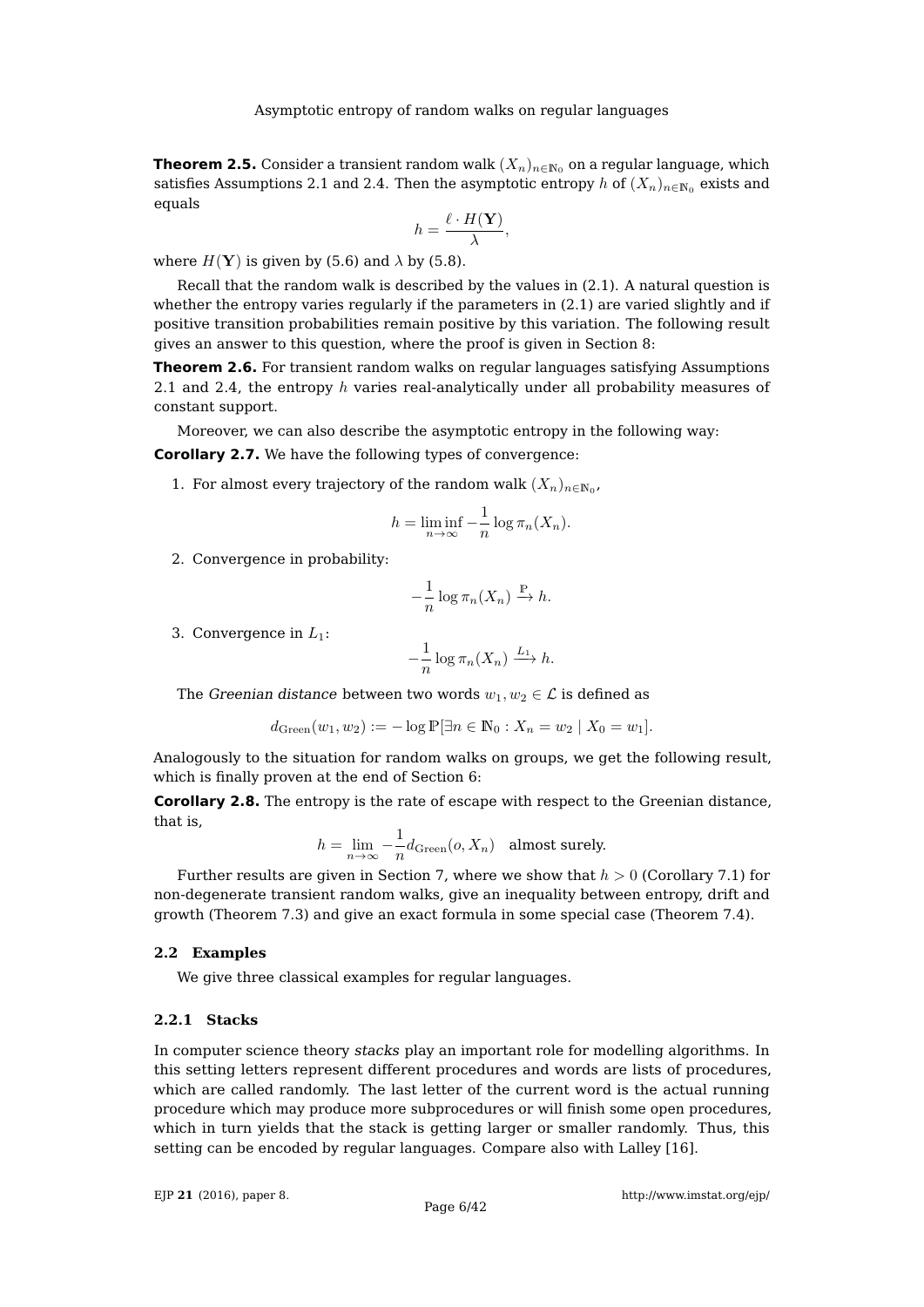<span id="page-5-0"></span>**Theorem 2.5.** Consider a transient random walk  $(X_n)_{n\in\mathbb{N}_0}$  on a regular language, which satisfies Assumptions [2.1](#page-3-0) and [2.4.](#page-4-0) Then the asymptotic entropy h of  $(X_n)_{n\in\mathbb{N}_0}$  exists and equals

$$
h=\frac{\ell\cdot H(\mathbf{Y})}{\lambda},
$$

where  $H(Y)$  is given by [\(5.6\)](#page-18-0) and  $\lambda$  by [\(5.8\)](#page-21-0).

Recall that the random walk is described by the values in [\(2.1\)](#page-2-1). A natural question is whether the entropy varies regularly if the parameters in [\(2.1\)](#page-2-1) are varied slightly and if positive transition probabilities remain positive by this variation. The following result gives an answer to this question, where the proof is given in Section [8:](#page-29-0)

<span id="page-5-4"></span>**Theorem 2.6.** For transient random walks on regular languages satisfying Assumptions [2.1](#page-3-0) and [2.4,](#page-4-0) the entropy  $h$  varies real-analytically under all probability measures of constant support.

Moreover, we can also describe the asymptotic entropy in the following way:

<span id="page-5-2"></span>**Corollary 2.7.** We have the following types of convergence:

1. For almost every trajectory of the random walk  $(X_n)_{n\in\mathbb{N}_0}$ ,

$$
h = \liminf_{n \to \infty} -\frac{1}{n} \log \pi_n(X_n).
$$

2. Convergence in probability:

$$
-\frac{1}{n}\log \pi_n(X_n) \xrightarrow{\mathbb{P}} h.
$$

3. Convergence in  $L_1$ :

$$
-\frac{1}{n}\log \pi_n(X_n) \xrightarrow{L_1} h.
$$

The Greenian distance between two words  $w_1, w_2 \in \mathcal{L}$  is defined as

$$
d_{\text{Green}}(w_1, w_2) := -\log \mathbb{P}[\exists n \in \mathbb{N}_0 : X_n = w_2 \mid X_0 = w_1].
$$

Analogously to the situation for random walks on groups, we get the following result, which is finally proven at the end of Section [6:](#page-22-0)

<span id="page-5-3"></span>**Corollary 2.8.** The entropy is the rate of escape with respect to the Greenian distance, that is,

$$
h = \lim_{n \to \infty} -\frac{1}{n} d_{\text{Green}}(o, X_n) \quad \text{almost surely.}
$$

Further results are given in Section [7,](#page-25-0) where we show that  $h > 0$  (Corollary [7.1\)](#page-26-1) for non-degenerate transient random walks, give an inequality between entropy, drift and growth (Theorem [7.3\)](#page-27-0) and give an exact formula in some special case (Theorem [7.4\)](#page-28-0).

## <span id="page-5-1"></span>**2.2 Examples**

We give three classical examples for regular languages.

# **2.2.1 Stacks**

In computer science theory stacks play an important role for modelling algorithms. In this setting letters represent different procedures and words are lists of procedures, which are called randomly. The last letter of the current word is the actual running procedure which may produce more subprocedures or will finish some open procedures, which in turn yields that the stack is getting larger or smaller randomly. Thus, this setting can be encoded by regular languages. Compare also with Lalley [\[16\]](#page-41-2).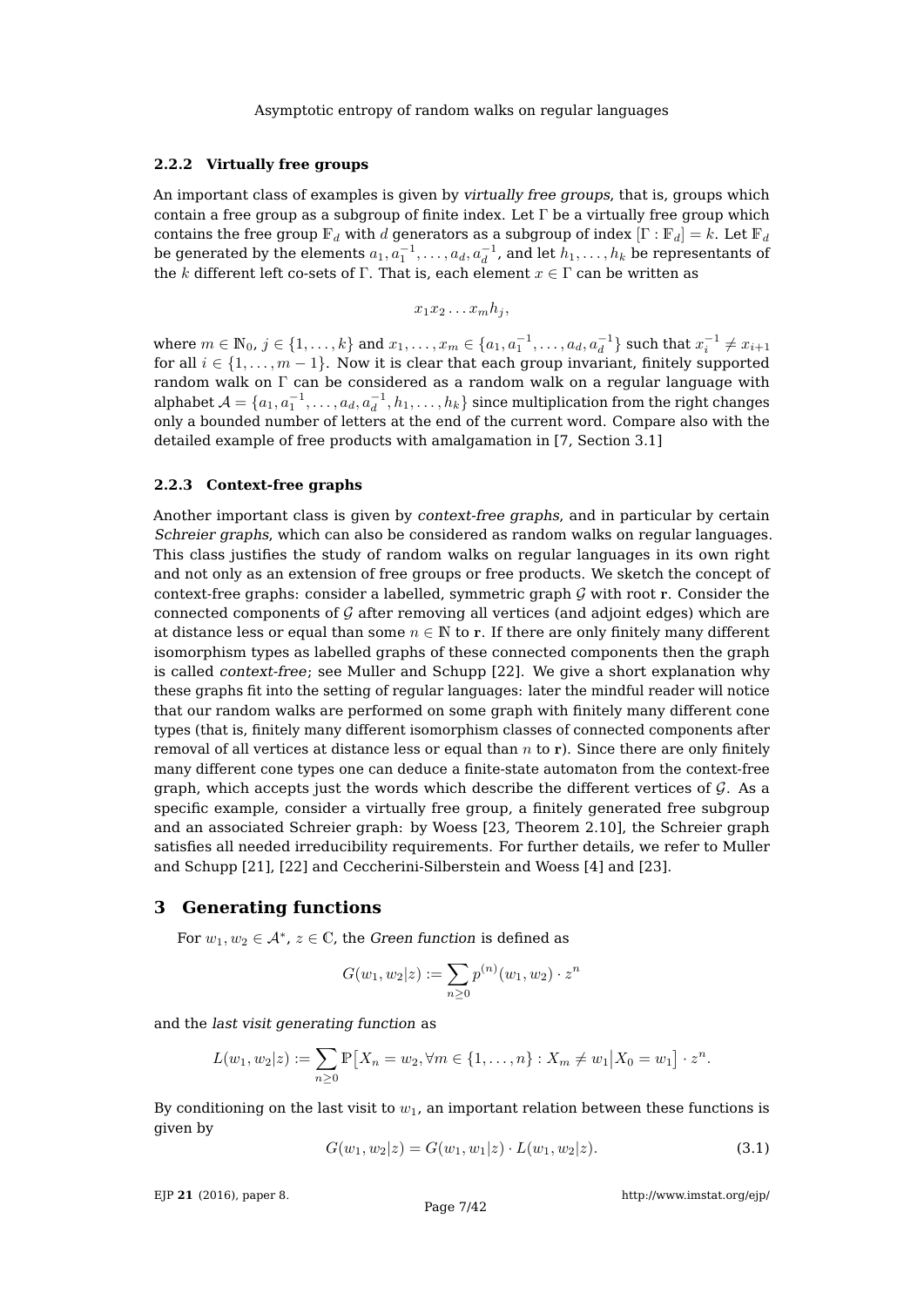## **2.2.2 Virtually free groups**

An important class of examples is given by virtually free groups, that is, groups which contain a free group as a subgroup of finite index. Let  $\Gamma$  be a virtually free group which contains the free group  $\mathbb{F}_d$  with d generators as a subgroup of index  $[\Gamma : \mathbb{F}_d] = k$ . Let  $\mathbb{F}_d$ be generated by the elements  $a_1, a_1^{-1}, \ldots, a_d, a_d^{-1}$ , and let  $h_1, \ldots, h_k$  be representants of the k different left co-sets of Γ. That is, each element  $x \in \Gamma$  can be written as

$$
x_1x_2\ldots x_mh_j,
$$

where  $m \in \mathbb{N}_0$ ,  $j \in \{1, ..., k\}$  and  $x_1, ..., x_m \in \{a_1, a_1^{-1}, ..., a_d, a_d^{-1}\}$  such that  $x_i^{-1} \neq x_{i+1}$ for all  $i \in \{1, \ldots, m-1\}$ . Now it is clear that each group invariant, finitely supported random walk on Γ can be considered as a random walk on a regular language with alphabet  $\mathcal{A}=\{a_1,a_1^{-1},\ldots,a_d,a_d^{-1},h_1,\ldots,h_k\}$  since multiplication from the right changes only a bounded number of letters at the end of the current word. Compare also with the detailed example of free products with amalgamation in [\[7,](#page-41-17) Section 3.1]

## **2.2.3 Context-free graphs**

Another important class is given by context-free graphs, and in particular by certain Schreier graphs, which can also be considered as random walks on regular languages. This class justifies the study of random walks on regular languages in its own right and not only as an extension of free groups or free products. We sketch the concept of context-free graphs: consider a labelled, symmetric graph  $G$  with root r. Consider the connected components of  $G$  after removing all vertices (and adjoint edges) which are at distance less or equal than some  $n \in \mathbb{N}$  to r. If there are only finitely many different isomorphism types as labelled graphs of these connected components then the graph is called context-free; see Muller and Schupp [\[22\]](#page-41-19). We give a short explanation why these graphs fit into the setting of regular languages: later the mindful reader will notice that our random walks are performed on some graph with finitely many different cone types (that is, finitely many different isomorphism classes of connected components after removal of all vertices at distance less or equal than  $n$  to r). Since there are only finitely many different cone types one can deduce a finite-state automaton from the context-free graph, which accepts just the words which describe the different vertices of  $\mathcal{G}$ . As a specific example, consider a virtually free group, a finitely generated free subgroup and an associated Schreier graph: by Woess [\[23,](#page-41-9) Theorem 2.10], the Schreier graph satisfies all needed irreducibility requirements. For further details, we refer to Muller and Schupp [\[21\]](#page-41-20), [\[22\]](#page-41-19) and Ceccherini-Silberstein and Woess [\[4\]](#page-41-21) and [\[23\]](#page-41-9).

# <span id="page-6-0"></span>**3 Generating functions**

For  $w_1, w_2 \in \mathcal{A}^*$ ,  $z \in \mathbb{C}$ , the Green function is defined as

$$
G(w_1, w_2|z) := \sum_{n\geq 0} p^{(n)}(w_1, w_2) \cdot z^n
$$

and the last visit generating function as

$$
L(w_1, w_2|z) := \sum_{n \geq 0} \mathbb{P}[X_n = w_2, \forall m \in \{1, \dots, n\} : X_m \neq w_1 | X_0 = w_1] \cdot z^n.
$$

By conditioning on the last visit to  $w_1$ , an important relation between these functions is given by

<span id="page-6-1"></span>
$$
G(w_1, w_2|z) = G(w_1, w_1|z) \cdot L(w_1, w_2|z). \tag{3.1}
$$

EJP **21** [\(2016\), paper 8.](http://dx.doi.org/10.1214/16-EJP4180)

<http://www.imstat.org/ejp/>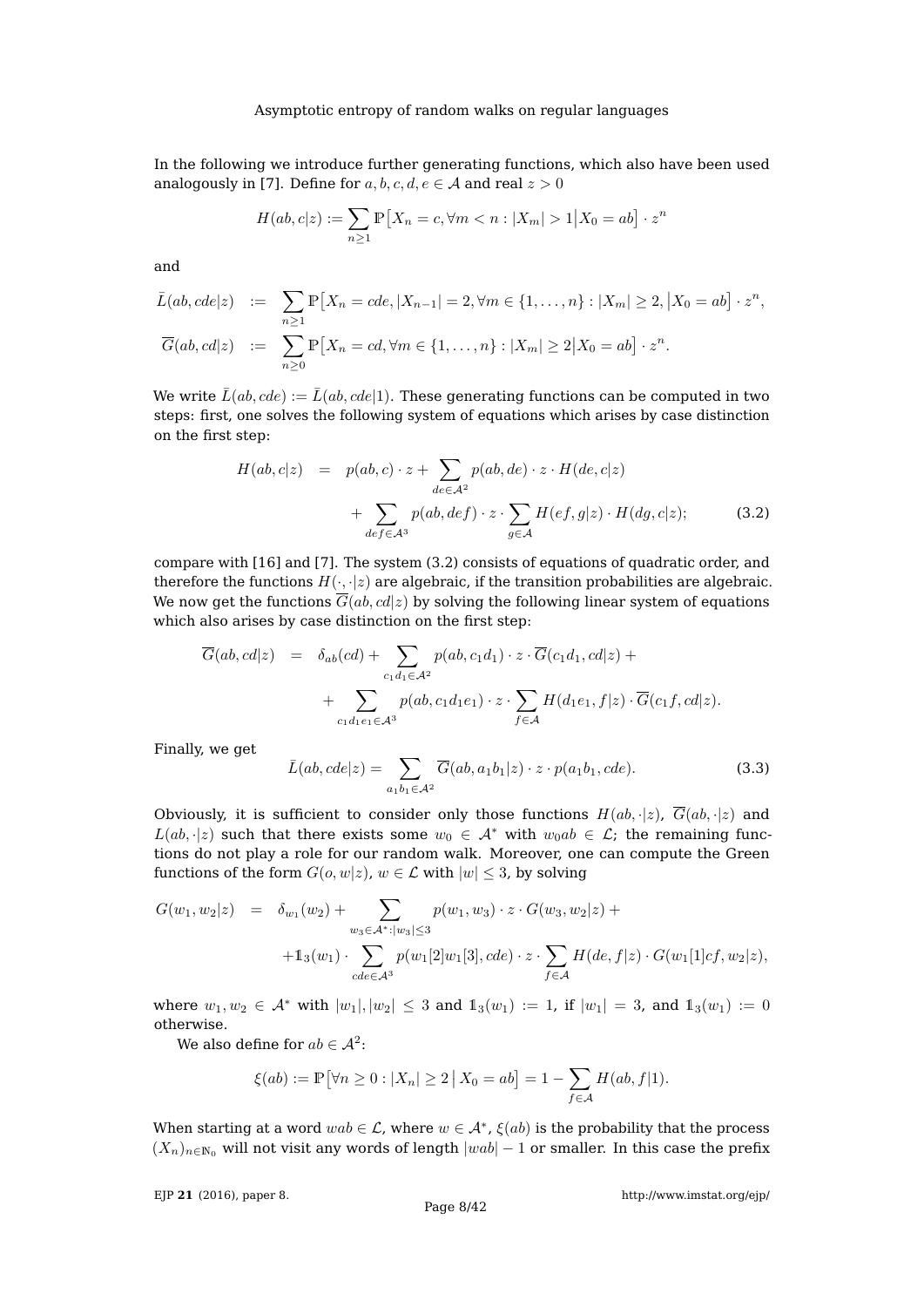In the following we introduce further generating functions, which also have been used analogously in [\[7\]](#page-41-17). Define for  $a, b, c, d, e \in A$  and real  $z > 0$ 

$$
H(ab, c|z) := \sum_{n\geq 1} \mathbb{P}\left[X_n = c, \forall m < n : |X_m| > 1 \middle| X_0 = ab\right] \cdot z^n
$$

and

$$
\bar{L}(ab, cde|z) := \sum_{n\geq 1} \mathbb{P}[X_n = cde, |X_{n-1}| = 2, \forall m \in \{1, ..., n\} : |X_m| \geq 2, |X_0 = ab] \cdot z^n,
$$
  

$$
\overline{G}(ab, cd|z) := \sum_{n\geq 0} \mathbb{P}[X_n = cd, \forall m \in \{1, ..., n\} : |X_m| \geq 2 |X_0 = ab] \cdot z^n.
$$

We write  $\bar{L}(ab, cde) := \bar{L}(ab, cde|1)$ . These generating functions can be computed in two steps: first, one solves the following system of equations which arises by case distinction on the first step:

<span id="page-7-0"></span>
$$
H(ab, c|z) = p(ab, c) \cdot z + \sum_{de \in \mathcal{A}^2} p(ab, de) \cdot z \cdot H(de, c|z)
$$
  
+ 
$$
\sum_{def \in \mathcal{A}^3} p(ab, def) \cdot z \cdot \sum_{g \in \mathcal{A}} H(ef, g|z) \cdot H(dg, c|z); \tag{3.2}
$$

compare with [\[16\]](#page-41-2) and [\[7\]](#page-41-17). The system [\(3.2\)](#page-7-0) consists of equations of quadratic order, and therefore the functions  $H(\cdot, \cdot|z)$  are algebraic, if the transition probabilities are algebraic. We now get the functions  $\overline{G}(ab, cd|z)$  by solving the following linear system of equations which also arises by case distinction on the first step:

$$
\overline{G}(ab, cd|z) = \delta_{ab}(cd) + \sum_{c_1d_1 \in \mathcal{A}^2} p(ab, c_1d_1) \cdot z \cdot \overline{G}(c_1d_1, cd|z) + \sum_{c_1d_1e_1 \in \mathcal{A}^3} p(ab, c_1d_1e_1) \cdot z \cdot \sum_{f \in \mathcal{A}} H(d_1e_1, f|z) \cdot \overline{G}(c_1f, cd|z).
$$

Finally, we get

$$
\bar{L}(ab, cde|z) = \sum_{a_1b_1 \in \mathcal{A}^2} \overline{G}(ab, a_1b_1|z) \cdot z \cdot p(a_1b_1, cde).
$$
 (3.3)

Obviously, it is sufficient to consider only those functions  $H(ab, \cdot|z)$ ,  $\overline{G}(ab, \cdot|z)$  and  $L(ab, \cdot|z)$  such that there exists some  $w_0 \in A^*$  with  $w_0ab \in \mathcal{L}$ ; the remaining functions do not play a role for our random walk. Moreover, one can compute the Green functions of the form  $G(o, w|z)$ ,  $w \in \mathcal{L}$  with  $|w| \leq 3$ , by solving

$$
G(w_1, w_2|z) = \delta_{w_1}(w_2) + \sum_{w_3 \in \mathcal{A}^* : |w_3| \le 3} p(w_1, w_3) \cdot z \cdot G(w_3, w_2|z) +
$$
  
+ 
$$
1_3(w_1) \cdot \sum_{cde \in \mathcal{A}^3} p(w_1[2]w_1[3], cde) \cdot z \cdot \sum_{f \in \mathcal{A}} H(de, f|z) \cdot G(w_1[1]cf, w_2|z),
$$

where  $w_1, w_2 \in \mathcal{A}^*$  with  $|w_1|, |w_2| \leq 3$  and  $\mathbb{1}_3(w_1) := 1$ , if  $|w_1| = 3$ , and  $\mathbb{1}_3(w_1) := 0$ otherwise.

We also define for  $ab \in \mathcal{A}^2$ :

$$
\xi(ab) := \mathbb{P} \big[ \forall n \ge 0 : |X_n| \ge 2 \, \big| \, X_0 = ab \big] = 1 - \sum_{f \in \mathcal{A}} H(ab, f|1).
$$

When starting at a word  $wab \in \mathcal{L}$ , where  $w \in \mathcal{A}^*$ ,  $\xi(ab)$  is the probability that the process  $(X_n)_{n\in\mathbb{N}_0}$  will not visit any words of length  $|wab| - 1$  or smaller. In this case the prefix

EJP **21** [\(2016\), paper 8.](http://dx.doi.org/10.1214/16-EJP4180)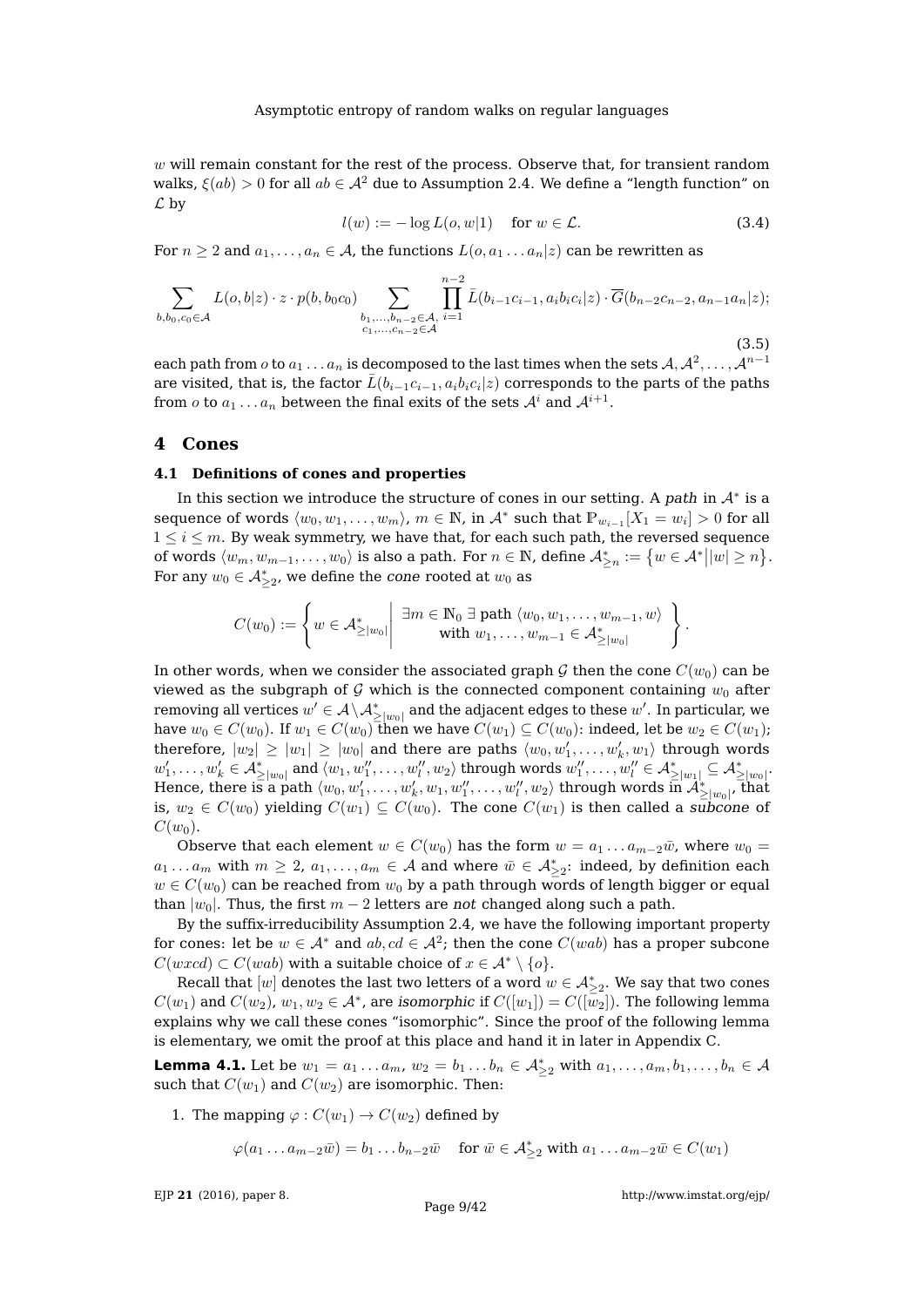$w$  will remain constant for the rest of the process. Observe that, for transient random walks,  $\xi(ab) > 0$  for all  $ab \in \mathcal{A}^2$  due to Assumption [2.4.](#page-4-0) We define a "length function" on  $\mathcal L$  by

$$
l(w) := -\log L(o, w|1) \quad \text{for } w \in \mathcal{L}.
$$
 (3.4)

For  $n \geq 2$  and  $a_1, \ldots, a_n \in A$ , the functions  $L(o, a_1 \ldots a_n | z)$  can be rewritten as

<span id="page-8-2"></span>
$$
\sum_{b,b_0,c_0 \in \mathcal{A}} L(o,b|z) \cdot z \cdot p(b,b_0c_0) \sum_{\substack{b_1,\ldots,b_{n-2} \in \mathcal{A},\\c_1,\ldots,c_{n-2} \in \mathcal{A}}} \prod_{i=1}^{n-2} \bar{L}(b_{i-1}c_{i-1},a_ib_ic_i|z) \cdot \overline{G}(b_{n-2}c_{n-2},a_{n-1}a_n|z);
$$
\n(3.5)

each path from  $o$  to  $a_1 \ldots a_n$  is decomposed to the last times when the sets  $\mathcal{A}, \mathcal{A}^2, \ldots, \mathcal{A}^{n-1}$ are visited, that is, the factor  $\bar{L}(b_{i-1}c_{i-1}, a_ib_ic_i|z)$  corresponds to the parts of the paths from  $o$  to  $a_1 \dots a_n$  between the final exits of the sets  $\mathcal{A}^i$  and  $\mathcal{A}^{i+1}.$ 

## <span id="page-8-0"></span>**4 Cones**

#### <span id="page-8-3"></span>**4.1 Definitions of cones and properties**

In this section we introduce the structure of cones in our setting. A path in  $A^*$  is a sequence of words  $\langle w_0, w_1, \ldots, w_m \rangle$ ,  $m \in \mathbb{N}$ , in  $\mathcal{A}^*$  such that  $\mathbb{P}_{w_{i-1}}[X_1 = w_i] > 0$  for all  $1 \leq i \leq m$ . By weak symmetry, we have that, for each such path, the reversed sequence of words  $\langle w_m, w_{m-1}, \ldots, w_0 \rangle$  is also a path. For  $n \in \mathbb{N}$ , define  $\mathcal{A}^*_{\geq n} := \big\{ w \in \mathcal{A}^* \big| |w| \geq n \big\}$ . For any  $w_0 \in \mathcal{A}_{\geq 2}^*$ , we define the cone rooted at  $w_0$  as

$$
C(w_0) := \left\{ w \in \mathcal{A}_{\geq |w_0|}^* \middle| \begin{array}{c} \exists m \in \mathbb{N}_0 \ \exists \ \text{path} \ \langle w_0, w_1, \dots, w_{m-1}, w \rangle \\ \text{with } w_1, \dots, w_{m-1} \in \mathcal{A}_{\geq |w_0|}^* \end{array} \right\}.
$$

In other words, when we consider the associated graph G then the cone  $C(w_0)$  can be viewed as the subgraph of G which is the connected component containing  $w_0$  after removing all vertices  $w'\in \mathcal{A}\setminus \mathcal{A}_{\geq |w_0|}^*$  and the adjacent edges to these  $w'.$  In particular, we have  $w_0 \in C(w_0)$ . If  $w_1 \in C(w_0)$  then we have  $C(w_1) \subseteq C(w_0)$ : indeed, let be  $w_2 \in C(w_1)$ ; therefore,  $|w_2| \geq |w_1| \geq |w_0|$  and there are paths  $\langle w_0, w_1', \ldots, w_k', w_1 \rangle$  through words  $w_1',\ldots,w_k'\in \mathcal{A}_{\geq |w_0|}^*$  and  $\langle w_1,w_1'',\ldots,w_l'',w_2\rangle$  through words  $w_1'',\ldots,w_l''\in \mathcal{A}_{\geq |w_1|}^*\subseteq \mathcal{A}_{\geq |w_0|}^*.$ Hence, there is a path  $\langle w_0, w_1', \ldots, w_k', w_1, w_1'', \ldots, w_l'', w_2 \rangle$  through words  $\overline{\ln A_{\geq |w_0|}^*}$ , that is,  $w_2 \in C(w_0)$  yielding  $C(w_1) \subseteq C(w_0)$ . The cone  $C(w_1)$  is then called a subcone of  $C(w_0)$ .

Observe that each element  $w \in C(w_0)$  has the form  $w = a_1 \dots a_{m-2} \overline{w}$ , where  $w_0 =$  $a_1 \ldots a_m$  with  $m \ge 2$ ,  $a_1, \ldots, a_m \in \mathcal{A}$  and where  $\bar{w} \in \mathcal{A}_{\ge 2}^*$ : indeed, by definition each  $w \in C(w_0)$  can be reached from  $w_0$  by a path through words of length bigger or equal than  $|w_0|$ . Thus, the first  $m-2$  letters are not changed along such a path.

By the suffix-irreducibility Assumption [2.4,](#page-4-0) we have the following important property for cones: let be  $w \in \mathcal{A}^*$  and  $ab, cd \in \mathcal{A}^2$ ; then the cone  $C(wab)$  has a proper subcone  $C(wxd) \subset C(wab)$  with a suitable choice of  $x \in \mathcal{A}^* \setminus \{o\}.$ 

Recall that  $[w]$  denotes the last two letters of a word  $w \in \mathcal{A}_{\geq 2}^*$ . We say that two cones  $C(w_1)$  and  $C(w_2)$ ,  $w_1,w_2\in \mathcal{A}^*$ , are isomorphic if  $C([w_1])=C([\bar{w}_2])$ . The following lemma explains why we call these cones "isomorphic". Since the proof of the following lemma is elementary, we omit the proof at this place and hand it in later in Appendix [C.](#page-34-0)

<span id="page-8-1"></span>**Lemma 4.1.** Let be  $w_1 = a_1 \ldots a_m$ ,  $w_2 = b_1 \ldots b_n \in A_{\geq 2}^*$  with  $a_1, \ldots, a_m, b_1, \ldots, b_n \in A$ such that  $C(w_1)$  and  $C(w_2)$  are isomorphic. Then:

1. The mapping  $\varphi$  :  $C(w_1) \to C(w_2)$  defined by

 $\varphi(a_1 \dots a_{m-2}\overline{w}) = b_1 \dots b_{n-2}\overline{w} \quad \text{for } \overline{w} \in \mathcal{A}_{\geq 2}^* \text{ with } a_1 \dots a_{m-2}\overline{w} \in C(w_1)$ 

EJP **21** [\(2016\), paper 8.](http://dx.doi.org/10.1214/16-EJP4180)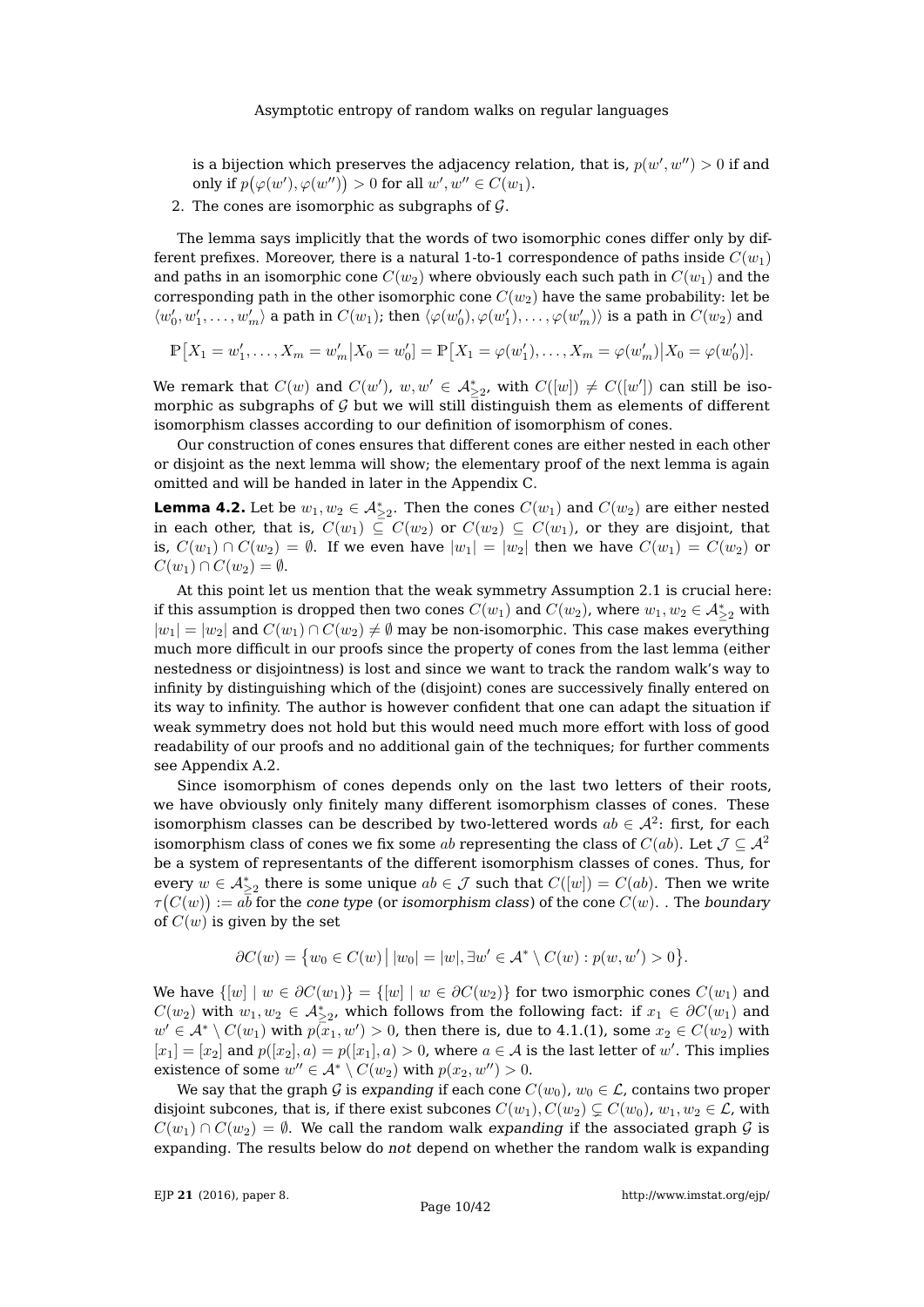is a bijection which preserves the adjacency relation, that is,  $p(w',w'') > 0$  if and only if  $p(\varphi(w'), \varphi(w'')) > 0$  for all  $w', w'' \in C(w_1)$ .

2. The cones are isomorphic as subgraphs of  $G$ .

The lemma says implicitly that the words of two isomorphic cones differ only by different prefixes. Moreover, there is a natural 1-to-1 correspondence of paths inside  $C(w_1)$ and paths in an isomorphic cone  $C(w_2)$  where obviously each such path in  $C(w_1)$  and the corresponding path in the other isomorphic cone  $C(w_2)$  have the same probability: let be  $\langle w_0', w_1', \ldots, w_m' \rangle$  a path in  $C(w_1)$ ; then  $\langle \varphi(w_0'), \varphi(w_1'), \ldots, \varphi(w_m') \rangle$  is a path in  $C(w_2)$  and

$$
\mathbb{P}[X_1 = w'_1, \dots, X_m = w'_m | X_0 = w'_0] = \mathbb{P}[X_1 = \varphi(w'_1), \dots, X_m = \varphi(w'_m) | X_0 = \varphi(w'_0)].
$$

We remark that  $C(w)$  and  $C(w')$ ,  $w, w' \in \mathcal{A}_{\geq 2}^*$ , with  $C([w]) \neq C([w'])$  can still be isomorphic as subgraphs of  $\mathcal G$  but we will still distinguish them as elements of different isomorphism classes according to our definition of isomorphism of cones.

Our construction of cones ensures that different cones are either nested in each other or disjoint as the next lemma will show; the elementary proof of the next lemma is again omitted and will be handed in later in the Appendix [C.](#page-34-0)

<span id="page-9-0"></span>**Lemma 4.2.** Let be  $w_1, w_2 \in \mathcal{A}_{\geq 2}^*$ . Then the cones  $C(w_1)$  and  $C(w_2)$  are either nested in each other, that is,  $C(w_1) \subseteq C(w_2)$  or  $C(w_2) \subseteq C(w_1)$ , or they are disjoint, that is,  $C(w_1) \cap C(w_2) = \emptyset$ . If we even have  $|w_1| = |w_2|$  then we have  $C(w_1) = C(w_2)$  or  $C(w_1) \cap C(w_2) = \emptyset.$ 

At this point let us mention that the weak symmetry Assumption [2.1](#page-3-0) is crucial here: if this assumption is dropped then two cones  $C(w_1)$  and  $C(w_2)$ , where  $w_1, w_2 \in \mathcal{A}_{\geq 2}^*$  with  $|w_1| = |w_2|$  and  $C(w_1) \cap C(w_2) \neq \emptyset$  may be non-isomorphic. This case makes everything much more difficult in our proofs since the property of cones from the last lemma (either nestedness or disjointness) is lost and since we want to track the random walk's way to infinity by distinguishing which of the (disjoint) cones are successively finally entered on its way to infinity. The author is however confident that one can adapt the situation if weak symmetry does not hold but this would need much more effort with loss of good readability of our proofs and no additional gain of the techniques; for further comments see Appendix [A.2.](#page-33-0)

Since isomorphism of cones depends only on the last two letters of their roots, we have obviously only finitely many different isomorphism classes of cones. These isomorphism classes can be described by two-lettered words  $ab \in \mathcal{A}^2.$  first, for each isomorphism class of cones we fix some ab representing the class of  $C(ab)$ . Let  $\mathcal{J} \subset \mathcal{A}^2$ be a system of representants of the different isomorphism classes of cones. Thus, for every  $w \in \mathcal{A}_{\geq 2}^*$  there is some unique  $ab \in \mathcal{J}$  such that  $C([w]) = C(ab)$ . Then we write  $\tau(C(w)):=a\overline b$  for the cone type (or isomorphism class) of the cone  $C(w).$  . The boundary of  $C(w)$  is given by the set

$$
\partial C(w) = \{ w_0 \in C(w) \mid |w_0| = |w|, \exists w' \in A^* \setminus C(w) : p(w, w') > 0 \}.
$$

We have  $\{[w] \mid w \in \partial C(w_1)\} = \{[w] \mid w \in \partial C(w_2)\}$  for two ismorphic cones  $C(w_1)$  and  $C(w_2)$  with  $w_1, w_2 \in \mathcal{A}_{\geq 2}^*$ , which follows from the following fact: if  $x_1 \in \partial C(w_1)$  and  $w'\in \mathcal{A}^*\setminus C(w_1)$  with  $p(\overline{x}_1,w')>0$ , then there is, due to  $4.1. (1)$ , some  $x_2\in C(w_2)$  with  $[x_1] = [x_2]$  and  $p([x_2], a) = p([x_1], a) > 0$ , where  $a \in \mathcal{A}$  is the last letter of w'. This implies existence of some  $w'' \in A^* \setminus C(w_2)$  with  $p(x_2, w'') > 0$ .

We say that the graph G is expanding if each cone  $C(w_0)$ ,  $w_0 \in \mathcal{L}$ , contains two proper disjoint subcones, that is, if there exist subcones  $C(w_1), C(w_2) \subsetneq C(w_0), w_1, w_2 \in \mathcal{L}$ , with  $C(w_1) \cap C(w_2) = \emptyset$ . We call the random walk expanding if the associated graph  $\mathcal G$  is expanding. The results below do not depend on whether the random walk is expanding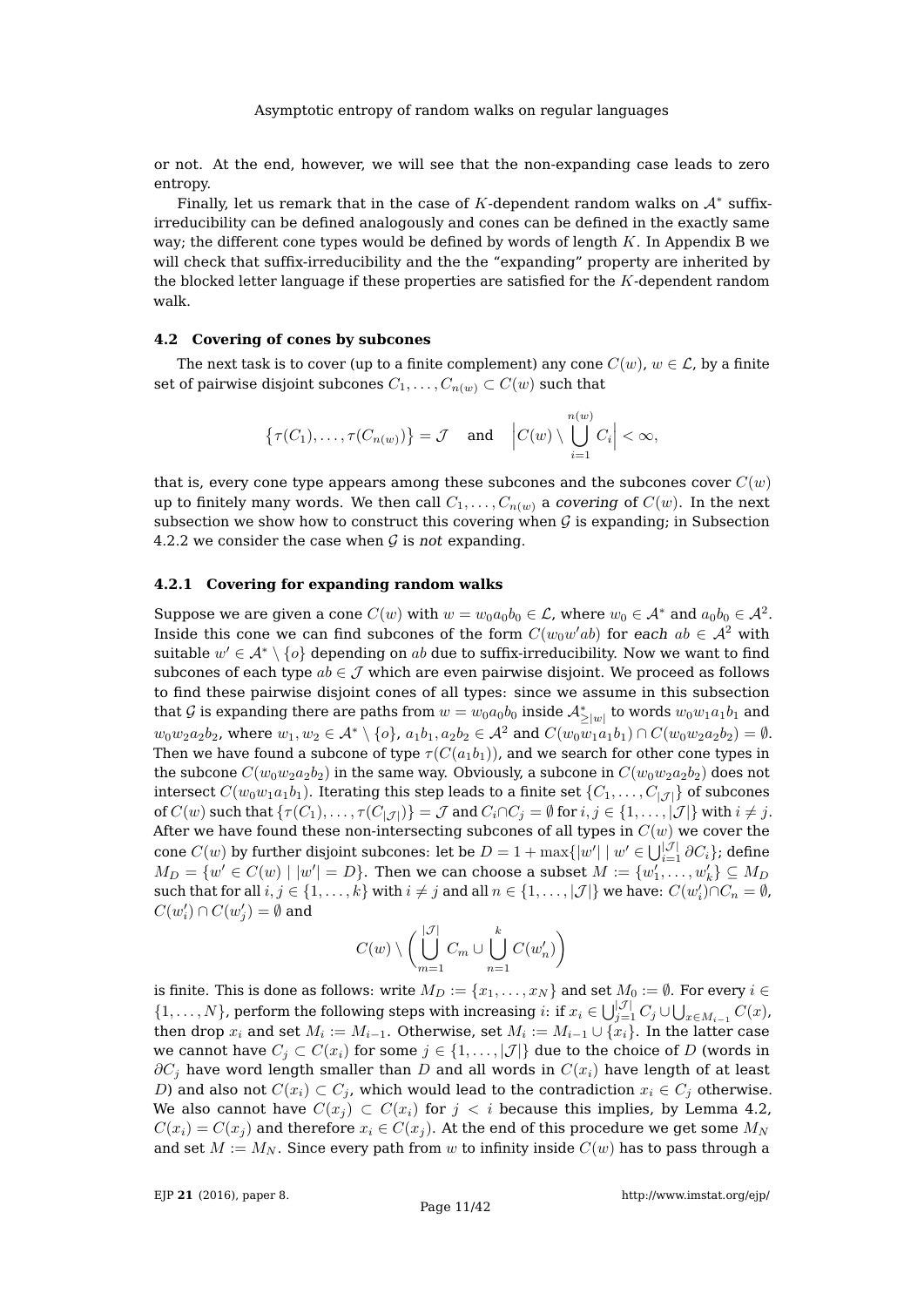or not. At the end, however, we will see that the non-expanding case leads to zero entropy.

Finally, let us remark that in the case of K-dependent random walks on  $\mathcal{A}^*$  suffixirreducibility can be defined analogously and cones can be defined in the exactly same way; the different cone types would be defined by words of length  $K$ . In Appendix [B](#page-33-2) we will check that suffix-irreducibility and the the "expanding" property are inherited by the blocked letter language if these properties are satisfied for the  $K$ -dependent random walk.

## <span id="page-10-0"></span>**4.2 Covering of cones by subcones**

The next task is to cover (up to a finite complement) any cone  $C(w)$ ,  $w \in \mathcal{L}$ , by a finite set of pairwise disjoint subcones  $C_1, \ldots, C_{n(w)} \subset C(w)$  such that

$$
\left\{\tau(C_1),\ldots,\tau(C_{n(w)})\right\}=\mathcal{J} \quad \text{and} \quad \left|C(w) \setminus \bigcup_{i=1}^{n(w)} C_i\right| < \infty,
$$

that is, every cone type appears among these subcones and the subcones cover  $C(w)$ up to finitely many words. We then call  $C_1, \ldots, C_{n(w)}$  a covering of  $C(w)$ . In the next subsection we show how to construct this covering when  $\mathcal G$  is expanding; in Subsection [4.2.2](#page-12-0) we consider the case when  $G$  is not expanding.

# **4.2.1 Covering for expanding random walks**

Suppose we are given a cone  $C(w)$  with  $w = w_0 a_0 b_0 \in \mathcal{L}$ , where  $w_0 \in \mathcal{A}^*$  and  $a_0 b_0 \in \mathcal{A}^2$ . Inside this cone we can find subcones of the form  $C(w_0w'ab)$  for each  $ab\in\mathcal{A}^2$  with suitable  $w' \in \mathcal{A}^* \setminus \{o\}$  depending on  $ab$  due to suffix-irreducibility. Now we want to find subcones of each type  $ab \in \mathcal{J}$  which are even pairwise disjoint. We proceed as follows to find these pairwise disjoint cones of all types: since we assume in this subsection that  $\mathcal G$  is expanding there are paths from  $w=w_0a_0b_0$  inside  $\mathcal A^*_{\ge |w|}$  to words  $w_0w_1a_1b_1$  and  $w_0w_2a_2b_2$ , where  $w_1, w_2 \in A^* \setminus \{o\}$ ,  $a_1b_1, a_2b_2 \in A^2$  and  $C(w_0w_1a_1b_1) \cap C(w_0w_2a_2b_2) = \emptyset$ . Then we have found a subcone of type  $\tau(C(a_1b_1))$ , and we search for other cone types in the subcone  $C(w_0w_2a_2b_2)$  in the same way. Obviously, a subcone in  $C(w_0w_2a_2b_2)$  does not intersect  $C(w_0w_1a_1b_1)$ . Iterating this step leads to a finite set  $\{C_1, \ldots, C_{|\mathcal{J}|}\}\$  of subcones of  $C(w)$  such that  $\{\tau(C_1), \ldots, \tau(C_{|\mathcal{J}|})\} = \mathcal{J}$  and  $C_i \cap C_j = \emptyset$  for  $i, j \in \{1, \ldots, |\mathcal{J}|\}$  with  $i \neq j$ . After we have found these non-intersecting subcones of all types in  $C(w)$  we cover the cone  $C(w)$  by further disjoint subcones: let be  $D=1+\max\{|w'| \mid w'\in \bigcup_{i=1}^{|\mathcal{J}|} \partial C_i\}$ ; define  $M_D = \{w' \in C(w) \mid |w'| = D\}$ . Then we can choose a subset  $M := \{w'_1, \ldots, w'_k\} \subseteq M_D$ such that for all  $i, j \in \{1, ..., k\}$  with  $i \neq j$  and all  $n \in \{1, ..., |\mathcal{J}|\}$  we have:  $C(w'_i) \cap C_n = \emptyset$ ,  $C(w'_i) \cap C(w'_j) = \emptyset$  and  $\overline{J}$ 

$$
C(w) \setminus \left( \bigcup_{m=1}^{|\mathcal{J}|} C_m \cup \bigcup_{n=1}^{k} C(w'_n) \right)
$$

is finite. This is done as follows: write  $M_D := \{x_1, \ldots, x_N\}$  and set  $M_0 := \emptyset$ . For every  $i \in$  $\{1,\ldots,N\}$ , perform the following steps with increasing  $i:$  if  $x_i \in \bigcup_{j=1}^{|\mathcal{J}|} C_j \cup \bigcup_{x \in M_{i-1}} C(x)$ , then drop  $x_i$  and set  $M_i:=M_{i-1}.$  Otherwise, set  $M_i:=M_{i-1}\cup \{x_i\}.$  In the latter case we cannot have  $C_i \subset C(x_i)$  for some  $j \in \{1, \ldots, |\mathcal{J}|\}$  due to the choice of D (words in  $\partial C_i$  have word length smaller than D and all words in  $C(x_i)$  have length of at least D) and also not  $C(x_i) \subset C_j$ , which would lead to the contradiction  $x_i \in C_j$  otherwise. We also cannot have  $C(x_i) \subset C(x_i)$  for  $j < i$  because this implies, by Lemma [4.2,](#page-9-0)  $C(x_i) = C(x_i)$  and therefore  $x_i \in C(x_i)$ . At the end of this procedure we get some  $M_N$ and set  $M := M_N$ . Since every path from w to infinity inside  $C(w)$  has to pass through a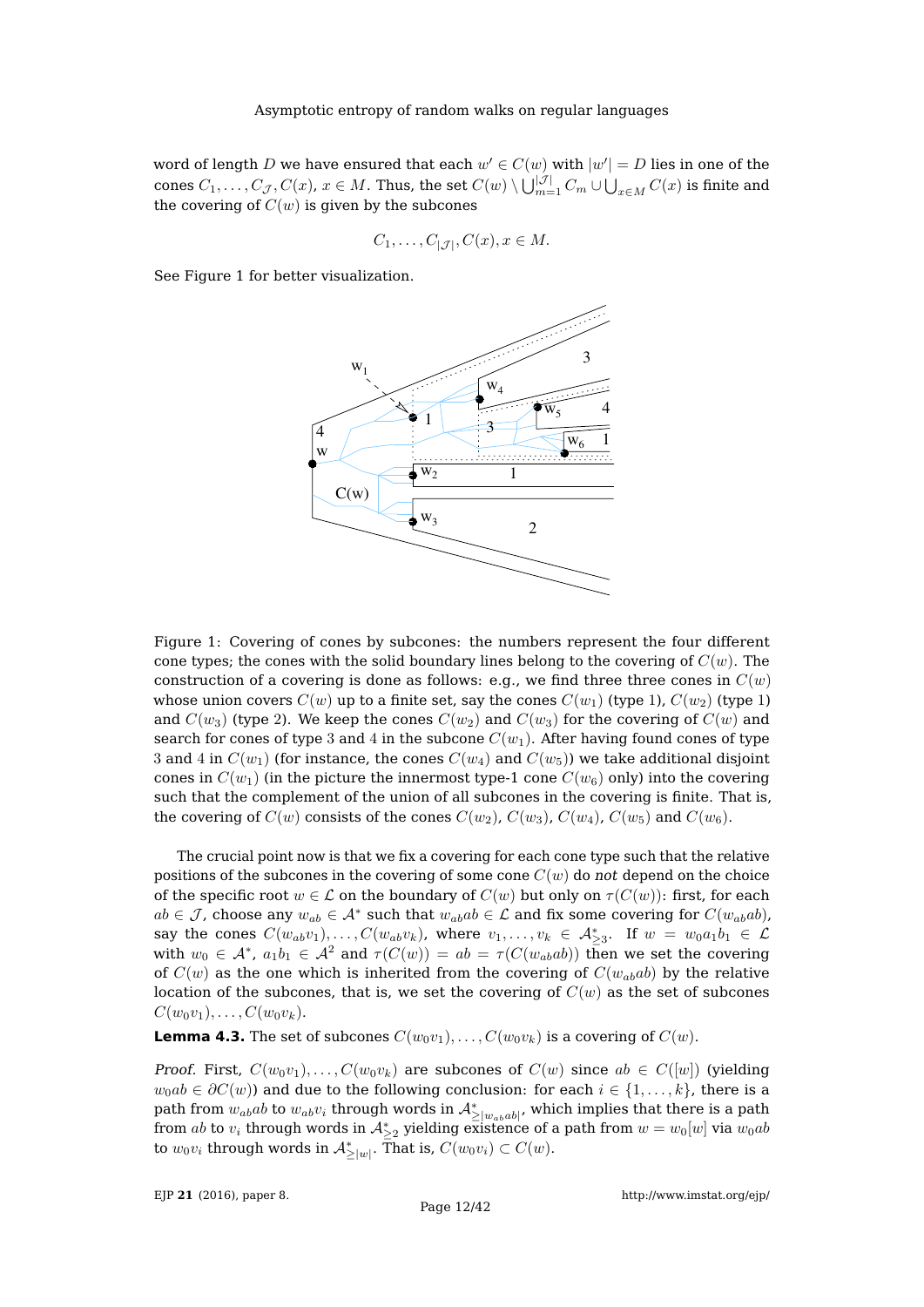word of length  $D$  we have ensured that each  $w' \in C(w)$  with  $|w'| = D$  lies in one of the cones  $C_1,\ldots,C_{\mathcal{J}},C(x)$ ,  $x\in M.$  Thus, the set  $C(w)\setminus\bigcup_{m=1}^{|\mathcal{J}|}C_m\cup\bigcup_{x\in M}C(x)$  is finite and the covering of  $C(w)$  is given by the subcones

$$
C_1, \ldots, C_{|\mathcal{J}|}, C(x), x \in M.
$$

See Figure [1](#page-11-0) for better visualization.



<span id="page-11-0"></span>Figure 1: Covering of cones by subcones: the numbers represent the four different cone types; the cones with the solid boundary lines belong to the covering of  $C(w)$ . The construction of a covering is done as follows: e.g., we find three three cones in  $C(w)$ whose union covers  $C(w)$  up to a finite set, say the cones  $C(w_1)$  (type 1),  $C(w_2)$  (type 1) and  $C(w_3)$  (type 2). We keep the cones  $C(w_2)$  and  $C(w_3)$  for the covering of  $C(w)$  and search for cones of type 3 and 4 in the subcone  $C(w_1)$ . After having found cones of type 3 and 4 in  $C(w_1)$  (for instance, the cones  $C(w_4)$  and  $C(w_5)$ ) we take additional disjoint cones in  $C(w_1)$  (in the picture the innermost type-1 cone  $C(w_6)$  only) into the covering such that the complement of the union of all subcones in the covering is finite. That is, the covering of  $C(w)$  consists of the cones  $C(w_2)$ ,  $C(w_3)$ ,  $C(w_4)$ ,  $C(w_5)$  and  $C(w_6)$ .

The crucial point now is that we fix a covering for each cone type such that the relative positions of the subcones in the covering of some cone  $C(w)$  do not depend on the choice of the specific root  $w \in \mathcal{L}$  on the boundary of  $C(w)$  but only on  $\tau(C(w))$ : first, for each  $ab \in \mathcal{J}$ , choose any  $w_{ab} \in \mathcal{A}^*$  such that  $w_{ab}ab \in \mathcal{L}$  and fix some covering for  $C(w_{ab}ab)$ , say the cones  $C(w_{ab}v_1), \ldots, C(w_{ab}v_k)$ , where  $v_1, \ldots, v_k \in A_{\geq 3}^*$ . If  $w = w_0a_1b_1 \in \mathcal{L}$ with  $w_0\,\in\,\mathcal{A}^*$ ,  $a_1b_1\,\in\,\mathcal{A}^2$  and  $\tau(C(w))\,=\,ab\,=\,\tau(C(w_{ab}ab))$  then we set the covering of  $C(w)$  as the one which is inherited from the covering of  $C(w_{ab}ab)$  by the relative location of the subcones, that is, we set the covering of  $C(w)$  as the set of subcones  $C(w_0v_1), \ldots, C(w_0v_k).$ 

**Lemma 4.3.** The set of subcones  $C(w_0v_1), \ldots, C(w_0v_k)$  is a covering of  $C(w)$ .

*Proof.* First,  $C(w_0v_1), \ldots, C(w_0v_k)$  are subcones of  $C(w)$  since  $ab \in C([w])$  (yielding  $w_0ab \in \partial C(w)$  and due to the following conclusion: for each  $i \in \{1, \ldots, k\}$ , there is a path from  $w_{ab}ab$  to  $w_{ab}v_i$  through words in  $\mathcal{A}_{\geq |w_{ab}ab|}^*$ , which implies that there is a path from  $ab$  to  $v_i$  through words in  $\mathcal{A}_{\geq 2}^*$  yielding existence of a path from  $w=w_0[w]$  via  $w_0ab$ to  $w_0v_i$  through words in  $\mathcal{A}_{\geq |w|}^*.$  That is,  $C(w_0v_i)\subset C(w).$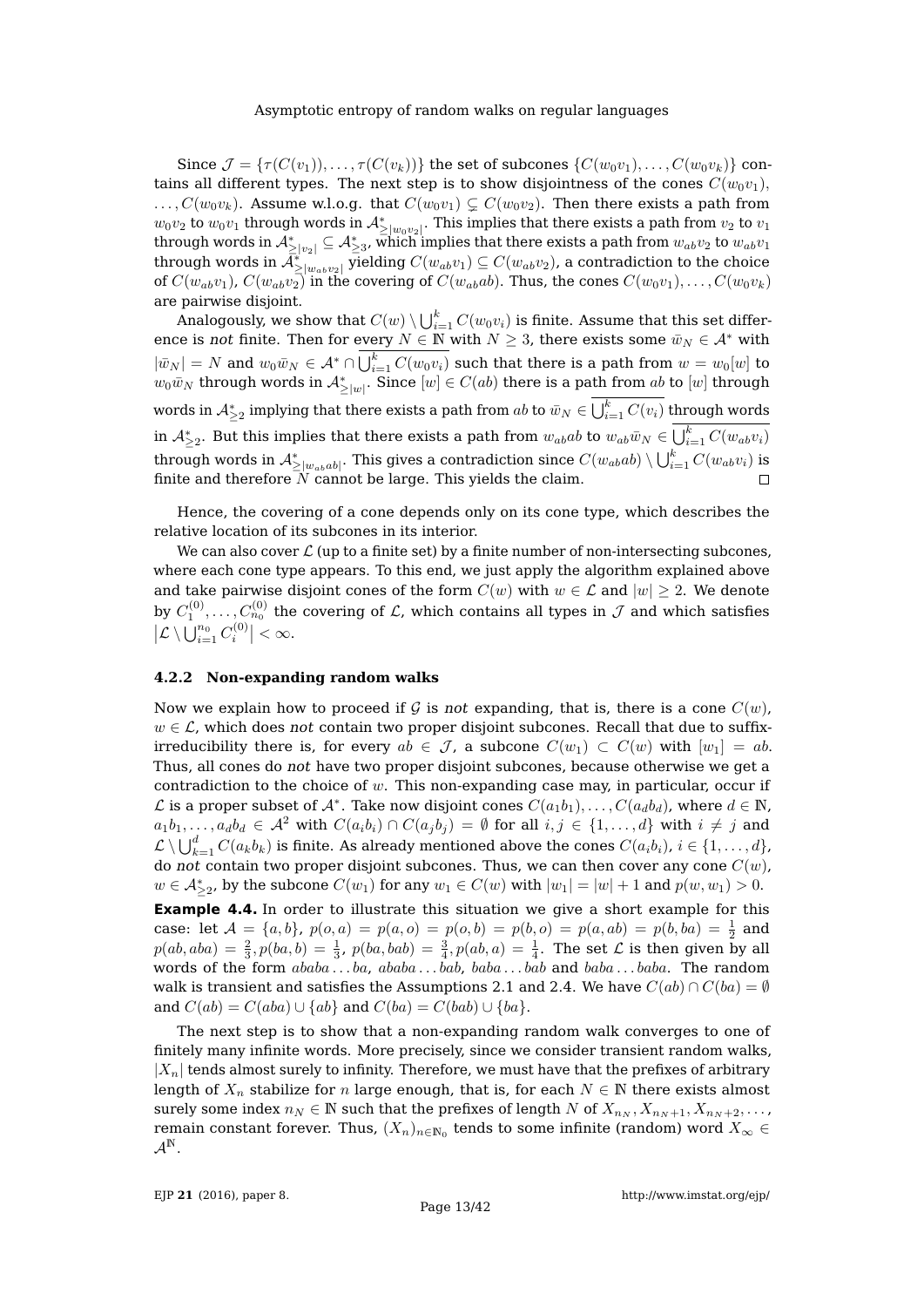Since  $\mathcal{J} = {\tau(C(v_1)), \ldots, \tau(C(v_k))}$  the set of subcones  ${C(w_0v_1), \ldots, C(w_0v_k)}$  contains all different types. The next step is to show disjointness of the cones  $C(w_0v_1)$ ,  $\dots, C(w_0v_k)$ . Assume w.l.o.g. that  $C(w_0v_1) \subsetneq C(w_0v_2)$ . Then there exists a path from  $w_0v_2$  to  $w_0v_1$  through words in  $\mathcal{A}_{\geq |w_0v_2|}^*$ . This implies that there exists a path from  $v_2$  to  $v_1$ through words in  $\mathcal{A}_{\geq |v_2|}^*\subseteq \mathcal{A}_{\geq 3}^*$ , which implies that there exists a path from  $w_{ab}v_2$  to  $w_{ab}v_1$ through words in  $\bar{\cal A}^*_{\geq |w_{ab}v_2|}$  yielding  $C(w_{ab}v_1)\subseteq C(w_{ab}v_2)$ , a contradiction to the choice of  $C(w_{ab}v_1)$ ,  $C(w_{ab}v_2)$  in the covering of  $C(w_{ab}ab)$ . Thus, the cones  $C(w_0v_1), \ldots, C(w_0v_k)$ are pairwise disjoint.

Analogously, we show that  $C(w) \setminus \bigcup_{i=1}^k C(w_0v_i)$  is finite. Assume that this set difference is not finite. Then for every  $N \in \mathbb{N}$  with  $N \geq 3$ , there exists some  $\bar{w}_N \in \mathcal{A}^*$  with  $|\bar w_N|=N$  and  $w_0\bar w_N\in \mathcal{A}^*\cap\bigcup_{i=1}^kC(w_0v_i)$  such that there is a path from  $w=w_0[w]$  to  $w_0\bar w_N$  through words in  ${\cal A}_{\geq |w|}^*$ . Since  $[w]\in C(ab)$  there is a path from  $ab$  to  $[w]$  through words in  $\mathcal{A}_{\geq 2}^*$  implying that there exists a path from  $ab$  to  $\bar w_N\in \bigcup_{i=1}^k C(v_i)$  through words in  $\mathcal{A}_{\geq 2}^*.$  But this implies that there exists a path from  $w_{ab}ab$  to  $w_{ab}\bar w_N\in \bigcup_{i=1}^kC(w_{ab}v_i)$ through words in  $\mathcal{A}_{\geq |w_{ab}ab|}^*$ . This gives a contradiction since  $C(w_{ab}ab)\setminus \bigcup_{i=1}^k C(w_{ab}v_i)$  is finite and therefore  $\bar{N}$  cannot be large. This yields the claim.

Hence, the covering of a cone depends only on its cone type, which describes the relative location of its subcones in its interior.

We can also cover  $\mathcal L$  (up to a finite set) by a finite number of non-intersecting subcones, where each cone type appears. To this end, we just apply the algorithm explained above and take pairwise disjoint cones of the form  $C(w)$  with  $w \in \mathcal{L}$  and  $|w| \geq 2$ . We denote by  $C^{(0)}_1,\ldots, C^{(0)}_{n_0}$  the covering of  ${\mathcal L}$ , which contains all types in  ${\mathcal J}$  and which satisfies  $\left|\mathcal{L}\setminus\bigcup_{i=1}^{n_0}C_i^{(0)}\right|<\infty.$ 

#### <span id="page-12-0"></span>**4.2.2 Non-expanding random walks**

Now we explain how to proceed if G is not expanding, that is, there is a cone  $C(w)$ ,  $w \in \mathcal{L}$ , which does not contain two proper disjoint subcones. Recall that due to suffixirreducibility there is, for every  $ab \in \mathcal{J}$ , a subcone  $C(w_1) \subset C(w)$  with  $[w_1] = ab$ . Thus, all cones do not have two proper disjoint subcones, because otherwise we get a contradiction to the choice of  $w$ . This non-expanding case may, in particular, occur if  $\mathcal L$  is a proper subset of  $\mathcal A^*$ . Take now disjoint cones  $C(a_1b_1),\ldots,C(a_d b_d)$ , where  $d\in\mathbb N$ ,  $a_1b_1,\ldots,a_d b_d \in \mathcal{A}^2$  with  $C(a_ib_i)\cap C(a_j b_j) = \emptyset$  for all  $i,j \in \{1,\ldots,d\}$  with  $i \neq j$  and  $\mathcal{L} \setminus \bigcup_{k=1}^d C(a_kb_k)$  is finite. As already mentioned above the cones  $C(a_ib_i)$ ,  $i \in \{1,\ldots,d\}$ , do not contain two proper disjoint subcones. Thus, we can then cover any cone  $C(w)$ ,  $w \in \mathcal{A}_{\geq 2}^*$ , by the subcone  $C(w_1)$  for any  $w_1 \in C(w)$  with  $|w_1| = |w| + 1$  and  $p(w, w_1) > 0$ .

<span id="page-12-1"></span>**Example 4.4.** In order to illustrate this situation we give a short example for this case: let  $A = \{a, b\}$ ,  $p(o, a) = p(a, o) = p(o, b) = p(b, o) = p(a, ab) = p(b, ba) = \frac{1}{2}$  and  $p(ab, aba) = \frac{2}{3}, p(ba, b) = \frac{1}{3}, p(ba, bab) = \frac{3}{4}, p(ab, a) = \frac{1}{4}$ . The set  $\mathcal L$  is then given by all words of the form  $ababa \dots ba$ ,  $ababa \dots bab$ ,  $baba \dots bab$  and  $baba \dots baba$ . The random walk is transient and satisfies the Assumptions [2.1](#page-3-0) and [2.4.](#page-4-0) We have  $C(ab) \cap C(ba) = \emptyset$ and  $C(ab) = C(aba) \cup \{ab\}$  and  $C(ba) = C(bab) \cup \{ba\}.$ 

The next step is to show that a non-expanding random walk converges to one of finitely many infinite words. More precisely, since we consider transient random walks,  $|X_n|$  tends almost surely to infinity. Therefore, we must have that the prefixes of arbitrary length of  $X_n$  stabilize for n large enough, that is, for each  $N \in \mathbb{N}$  there exists almost surely some index  $n_N \in \mathbb{N}$  such that the prefixes of length N of  $X_{n_N}, X_{n_N+1}, X_{n_N+2}, \ldots$ remain constant forever. Thus,  $(X_n)_{n\in\mathbb{N}_0}$  tends to some infinite (random) word  $X_\infty$   $\in$  $\mathcal{A}^{\mathbb{N}}$ .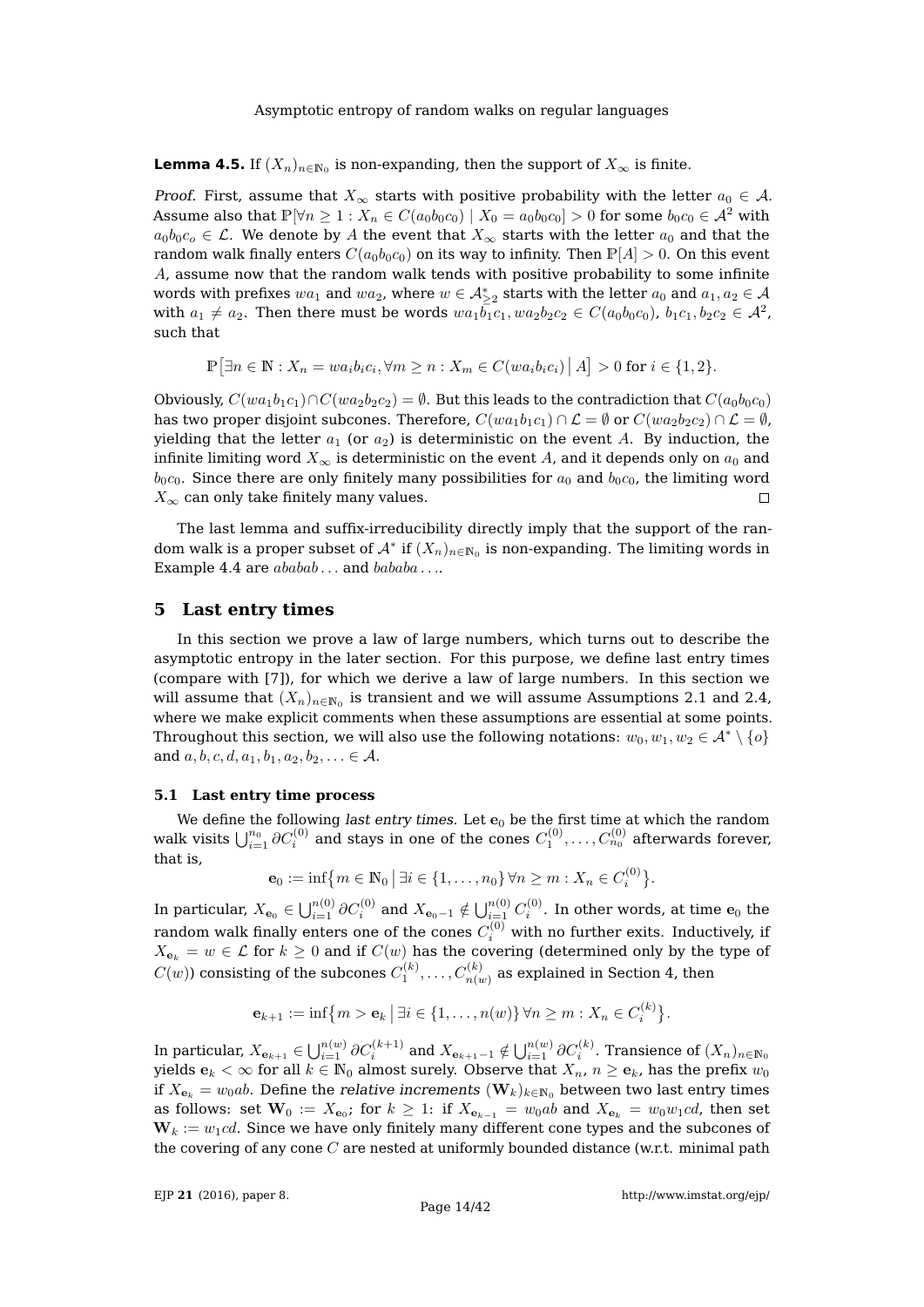**Lemma 4.5.** If  $(X_n)_{n \in \mathbb{N}_0}$  is non-expanding, then the support of  $X_\infty$  is finite.

*Proof.* First, assume that  $X_{\infty}$  starts with positive probability with the letter  $a_0 \in A$ . Assume also that  $\mathbb{P}[\forall n \geq 1 : X_n \in C(a_0b_0c_0) | X_0 = a_0b_0c_0] > 0$  for some  $b_0c_0 \in \mathcal{A}^2$  with  $a_0b_0c_0 \in \mathcal{L}$ . We denote by A the event that  $X_\infty$  starts with the letter  $a_0$  and that the random walk finally enters  $C(a_0b_0c_0)$  on its way to infinity. Then  $\mathbb{P}[A] > 0$ . On this event A, assume now that the random walk tends with positive probability to some infinite words with prefixes  $wa_1$  and  $wa_2$ , where  $w \in \mathcal{A}^*_{\geq 2}$  starts with the letter  $a_0$  and  $a_1, a_2 \in \mathcal{A}$ with  $a_1\neq a_2.$  Then there must be words  $wa_1\bar{b_1}c_1, wa_2b_2c_2 \in C(a_0b_0c_0)$ ,  $b_1c_1, b_2c_2 \in \mathcal{A}^2$ , such that

$$
\mathbb{P}\big[\exists n\in\mathbb{N}:X_n=wa_ib_ic_i,\forall m\geq n: X_m\in C(wa_ib_ic_i) \,\big|\,A\big]>0\text{ for }i\in\{1,2\}.
$$

Obviously,  $C(wa_1b_1c_1)\cap C(wa_2b_2c_2) = \emptyset$ . But this leads to the contradiction that  $C(a_0b_0c_0)$ has two proper disjoint subcones. Therefore,  $C(wa_1b_1c_1) \cap \mathcal{L} = \emptyset$  or  $C(wa_2b_2c_2) \cap \mathcal{L} = \emptyset$ , yielding that the letter  $a_1$  (or  $a_2$ ) is deterministic on the event A. By induction, the infinite limiting word  $X_{\infty}$  is deterministic on the event A, and it depends only on  $a_0$  and  $b_0c_0$ . Since there are only finitely many possibilities for  $a_0$  and  $b_0c_0$ , the limiting word  $X_{\infty}$  can only take finitely many values.  $\Box$ 

The last lemma and suffix-irreducibility directly imply that the support of the random walk is a proper subset of  $\mathcal{A}^*$  if  $(X_n)_{n\in\mathbb{N}_0}$  is non-expanding. The limiting words in Example [4.4](#page-12-1) are  $ababab \ldots$  and  $bababa \ldots$ .

# <span id="page-13-0"></span>**5 Last entry times**

In this section we prove a law of large numbers, which turns out to describe the asymptotic entropy in the later section. For this purpose, we define last entry times (compare with [\[7\]](#page-41-17)), for which we derive a law of large numbers. In this section we will assume that  $(X_n)_{n\in\mathbb{N}_0}$  is transient and we will assume Assumptions [2.1](#page-3-0) and [2.4,](#page-4-0) where we make explicit comments when these assumptions are essential at some points. Throughout this section, we will also use the following notations:  $w_0, w_1, w_2 \in \mathcal{A}^* \setminus \{o\}$ and  $a, b, c, d, a_1, b_1, a_2, b_2, \ldots \in \mathcal{A}$ .

## **5.1 Last entry time process**

We define the following *last entry times*. Let  $\mathbf{e}_0$  be the first time at which the random walk visits  $\bigcup_{i=1}^{n_0}\partial C_i^{(0)}$  and stays in one of the cones  $C_1^{(0)},\ldots,C_{n_0}^{(0)}$  afterwards forever, that is,

$$
\mathbf{e}_0 := \inf \{ m \in \mathbb{N}_0 \, \big| \, \exists i \in \{1, \dots, n_0\} \, \forall n \ge m : X_n \in C_i^{(0)} \}.
$$

In particular,  $X_{\mathbf{e}_0}\in\bigcup_{i=1}^{n(0)}\partial C_i^{(0)}$  and  $X_{\mathbf{e}_0-1}\notin\bigcup_{i=1}^{n(0)}C_i^{(0)}.$  In other words, at time  $\mathbf{e}_0$  the random walk finally enters one of the cones  $C_i^{(0)}$  with no further exits. Inductively, if  $X_{\mathbf{e}_k} = w \in \mathcal{L}$  for  $k \geq 0$  and if  $C(w)$  has the covering (determined only by the type of  $C(w)$ ) consisting of the subcones  $C^{(k)}_1,\ldots, C^{(k)}_{n(w)}$  as explained in Section [4,](#page-8-0) then

$$
\mathbf{e}_{k+1} := \inf \{ m > \mathbf{e}_k \, | \, \exists i \in \{1, \dots, n(w)\} \, \forall n \geq m : X_n \in C_i^{(k)} \}.
$$

In particular,  $X_{\mathbf{e}_{k+1}}\in\bigcup_{i=1}^{n(w)}\partial C_i^{(k+1)}$  and  $X_{\mathbf{e}_{k+1}-1}\notin\bigcup_{i=1}^{n(w)}\partial C_i^{(k)}.$  Transience of  $(X_n)_{n\in\mathbb{N}_0}$ yields  ${\bf e}_k<\infty$  for all  $k\in \mathbb{N}_0$  almost surely. Observe that  $X_n$ ,  $n\geq {\bf e}_k$ , has the prefix  $w_0$ if  $X_{\mathbf{e}_k} = w_0ab$ . Define the relative increments  $(\mathbf{W}_k)_{k \in \mathbb{N}_0}$  between two last entry times as follows: set  $\mathbf{W}_0$  :=  $X_{\mathbf{e}_0}$ ; for  $k\,\geq\,1$ : if  $X_{\mathbf{e}_{k-1}}\,=\,w_0ab$  and  $X_{\mathbf{e}_k}\,=\,w_0w_1cd$ , then set  $W_k := w_1cd$ . Since we have only finitely many different cone types and the subcones of the covering of any cone  $C$  are nested at uniformly bounded distance (w.r.t. minimal path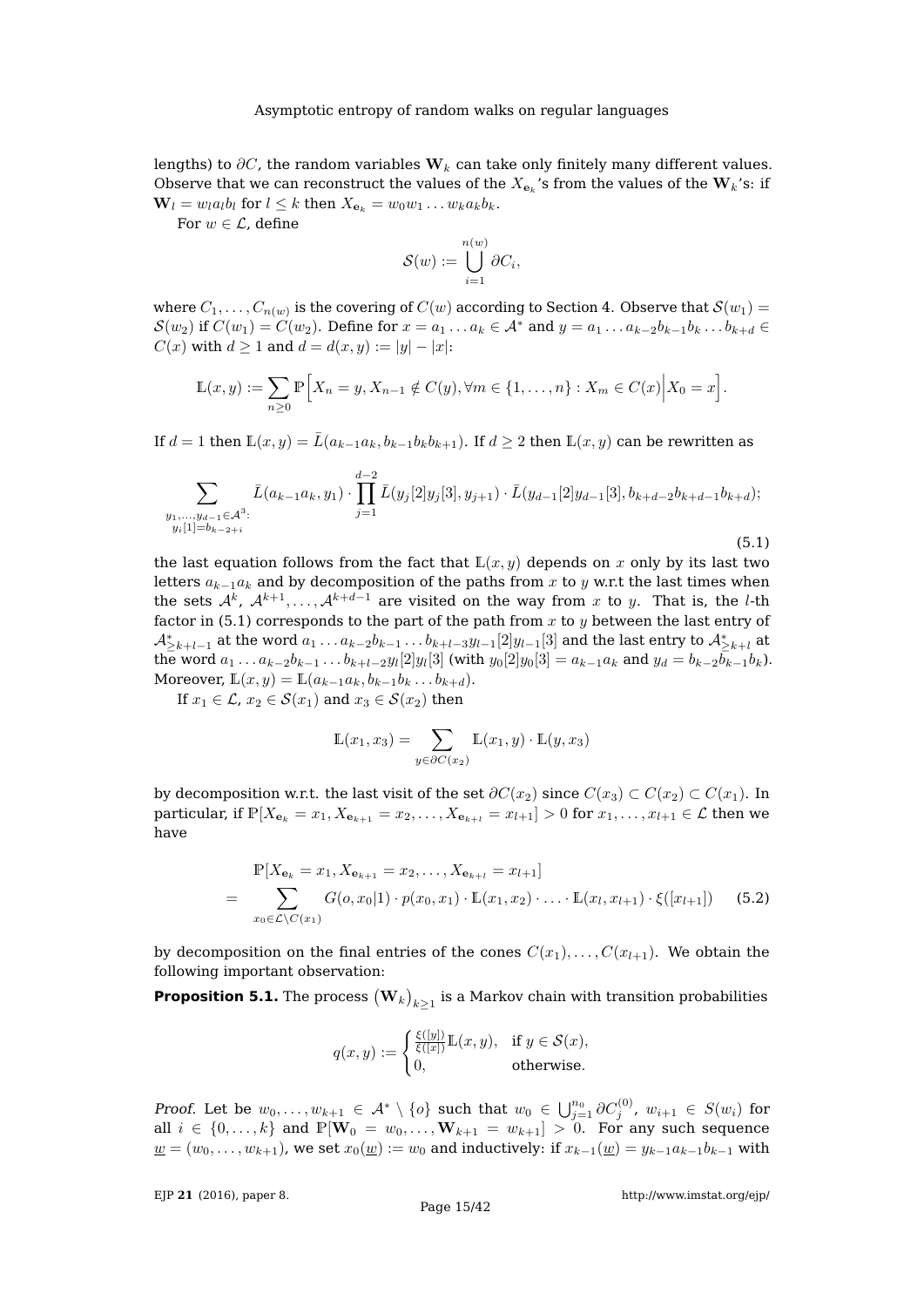lengths) to  $\partial C$ , the random variables  $W_k$  can take only finitely many different values. Observe that we can reconstruct the values of the  $X_{\mathbf{e}_k}$ 's from the values of the  $\mathbf{W}_k$ 's: if  $\mathbf{W}_l = w_l a_l b_l$  for  $l \leq k$  then  $X_{\mathbf{e}_k} = w_0 w_1 \dots w_k a_k b_k$ .

For  $w \in \mathcal{L}$ , define

$$
\mathcal{S}(w) := \bigcup_{i=1}^{n(w)} \partial C_i,
$$

where  $C_1,\ldots,C_{n(w)}$  is the covering of  $C(w)$  according to Section [4.](#page-8-0) Observe that  ${\mathcal{S}}(w_1)$   $=$  $S(w_2)$  if  $C(w_1) = C(w_2)$ . Define for  $x = a_1 \ldots a_k \in A^*$  and  $y = a_1 \ldots a_{k-2} b_{k-1} b_k \ldots b_{k+d} \in A$  $C(x)$  with  $d \ge 1$  and  $d = d(x, y) := |y| - |x|$ :

$$
\mathbb{L}(x,y) := \sum_{n \geq 0} \mathbb{P}\Big[X_n = y, X_{n-1} \notin C(y), \forall m \in \{1, ..., n\} : X_m \in C(x) \Big| X_0 = x\Big].
$$

If  $d = 1$  then  $\mathbb{L}(x, y) = \bar{L}(a_{k-1}a_k, b_{k-1}b_kb_{k+1})$ . If  $d \geq 2$  then  $\mathbb{L}(x, y)$  can be rewritten as

<span id="page-14-0"></span>
$$
\sum_{\substack{y_1,\ldots,y_{d-1}\in\mathcal{A}^3:\\y_i[1]=b_{k-2+i}}} \bar{L}(a_{k-1}a_k,y_1)\cdot \prod_{j=1}^{d-2} \bar{L}(y_j[2]y_j[3],y_{j+1})\cdot \bar{L}(y_{d-1}[2]y_{d-1}[3],b_{k+d-2}b_{k+d-1}b_{k+d});
$$

the last equation follows from the fact that  $\mathbb{L}(x, y)$  depends on x only by its last two letters  $a_{k-1}a_k$  and by decomposition of the paths from x to y w.r.t the last times when the sets  $\mathcal{A}^k$ ,  $\mathcal{A}^{k+1}, \ldots, \mathcal{A}^{k+d-1}$  are visited on the way from x to y. That is, the l-th factor in [\(5.1\)](#page-14-0) corresponds to the part of the path from  $x$  to  $y$  between the last entry of  $\mathcal{A}_{\geq k+l-1}^*$  at the word  $a_1\ldots a_{k-2}b_{k-1}\ldots b_{k+l-3}y_{l-1}[2]y_{l-1}[3]$  and the last entry to  $\mathcal{A}_{\geq k+l}^*$  at the word  $a_1 \ldots a_{k-2} b_{k-1} \ldots b_{k+l-2} y_l[2] y_l[3]$  (with  $y_0[2] y_0[3] = a_{k-1} a_k$  and  $y_d = b_{k-2} b_{k-1} b_k$ ). Moreover,  $\mathbb{L}(x, y) = \mathbb{L}(a_{k-1}a_k, b_{k-1}b_k \dots b_{k+d}).$ 

If  $x_1 \in \mathcal{L}$ ,  $x_2 \in \mathcal{S}(x_1)$  and  $x_3 \in \mathcal{S}(x_2)$  then

$$
\mathbb{L}(x_1, x_3) = \sum_{y \in \partial C(x_2)} \mathbb{L}(x_1, y) \cdot \mathbb{L}(y, x_3)
$$

by decomposition w.r.t. the last visit of the set  $\partial C(x_2)$  since  $C(x_3) \subset C(x_2) \subset C(x_1)$ . In particular, if  $\mathbb{P}[X_{e_k} = x_1, X_{e_{k+1}} = x_2, \ldots, X_{e_{k+l}} = x_{l+1}] > 0$  for  $x_1, \ldots, x_{l+1} \in \mathcal{L}$  then we have

<span id="page-14-1"></span>
$$
\mathbb{P}[X_{\mathbf{e}_k} = x_1, X_{\mathbf{e}_{k+1}} = x_2, \dots, X_{\mathbf{e}_{k+l}} = x_{l+1}]
$$
\n
$$
= \sum_{x_0 \in \mathcal{L} \setminus C(x_1)} G(o, x_0 | 1) \cdot p(x_0, x_1) \cdot \mathbb{L}(x_1, x_2) \cdot \dots \cdot \mathbb{L}(x_l, x_{l+1}) \cdot \xi([x_{l+1}]) \quad (5.2)
$$

by decomposition on the final entries of the cones  $C(x_1), \ldots, C(x_{l+1})$ . We obtain the following important observation:

<span id="page-14-2"></span>**Proposition 5.1.** The process  $\left(\mathbf{W}_k\right)_{k\geq 1}$  is a Markov chain with transition probabilities

$$
q(x,y) := \begin{cases} \frac{\xi([y])}{\xi([x])} \mathbb{L}(x,y), & \text{if } y \in \mathcal{S}(x), \\ 0, & \text{otherwise.} \end{cases}
$$

Proof. Let be  $w_0,\ldots,w_{k+1}\in \mathcal{A}^*\setminus\{o\}$  such that  $w_0\in \bigcup_{j=1}^{n_0}\partial C_j^{(0)},\ w_{i+1}\in S(w_i)$  for all  $i \in \{0, \ldots, k\}$  and  $\mathbb{P}[\mathbf{W}_0 = w_0, \ldots, \mathbf{W}_{k+1} = w_{k+1}] > 0$ . For any such sequence  $\underline{w} = (w_0, \ldots, w_{k+1})$ , we set  $x_0(\underline{w}) := w_0$  and inductively: if  $x_{k-1}(\underline{w}) = y_{k-1}a_{k-1}b_{k-1}$  with

EJP **21** [\(2016\), paper 8.](http://dx.doi.org/10.1214/16-EJP4180)

(5.1)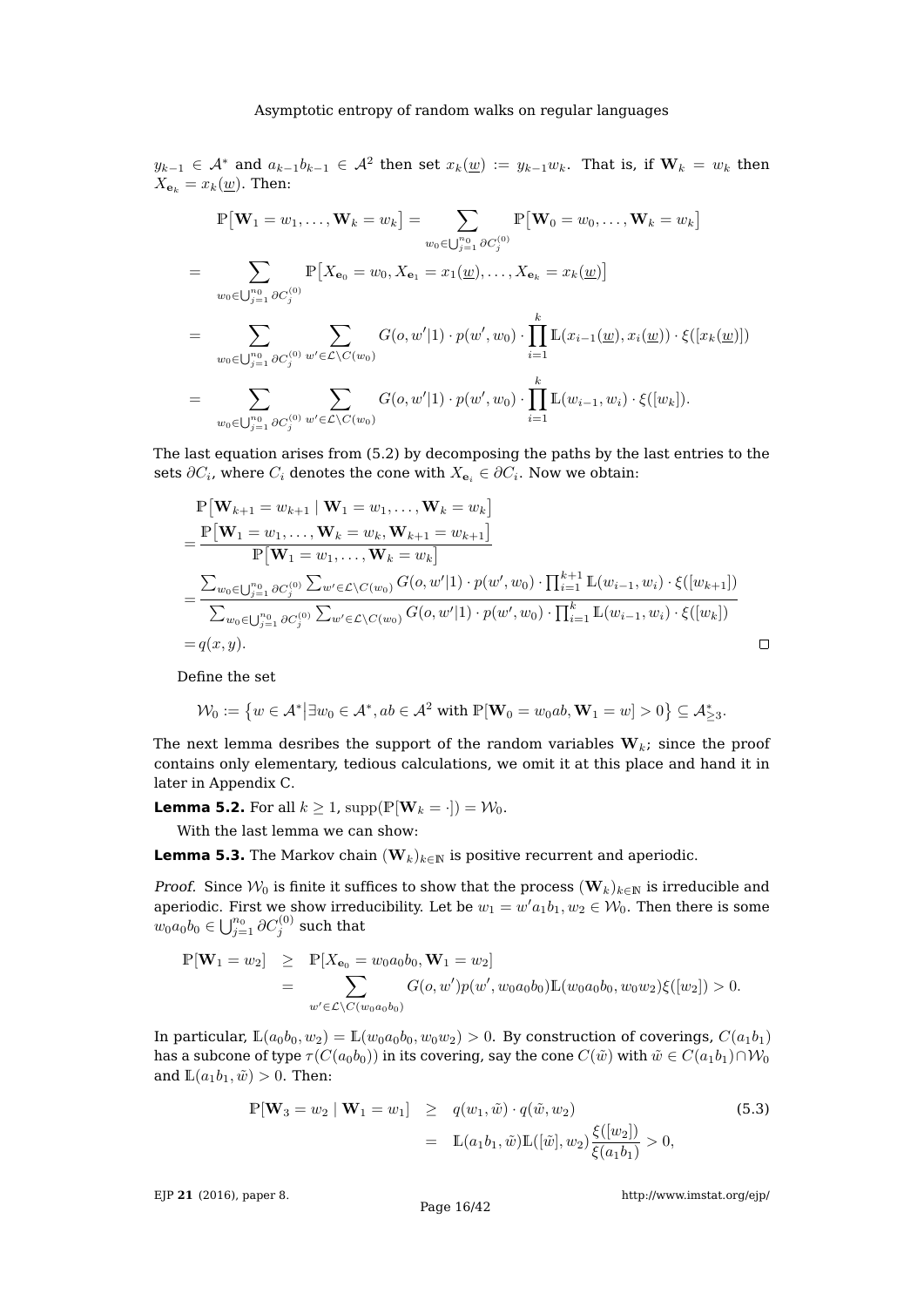$y_{k-1}\,\in\, \mathcal{A}^*$  and  $a_{k-1}b_{k-1}\,\in\, \mathcal{A}^2$  then set  $x_k(\underline{w})\,:=\,y_{k-1}w_k.$  That is, if  $\mathbf{W}_k\,=\,w_k$  then  $X_{\mathbf{e}_k} = x_k(\underline{w})$ . Then:

$$
\mathbb{P}[\mathbf{W}_{1} = w_{1}, \ldots, \mathbf{W}_{k} = w_{k}] = \sum_{w_{0} \in \bigcup_{j=1}^{n_{0}} \partial C_{j}^{(0)}} \mathbb{P}[\mathbf{W}_{0} = w_{0}, \ldots, \mathbf{W}_{k} = w_{k}]
$$
\n
$$
= \sum_{w_{0} \in \bigcup_{j=1}^{n_{0}} \partial C_{j}^{(0)}} \mathbb{P}[X_{\mathbf{e}_{0}} = w_{0}, X_{\mathbf{e}_{1}} = x_{1}(\underline{w}), \ldots, X_{\mathbf{e}_{k}} = x_{k}(\underline{w})]
$$
\n
$$
= \sum_{w_{0} \in \bigcup_{j=1}^{n_{0}} \partial C_{j}^{(0)}} \sum_{w' \in \mathcal{L} \setminus C(w_{0})} G(o, w'|1) \cdot p(w', w_{0}) \cdot \prod_{i=1}^{k} \mathbb{L}(x_{i-1}(\underline{w}), x_{i}(\underline{w})) \cdot \xi([x_{k}(\underline{w})])
$$
\n
$$
= \sum_{w_{0} \in \bigcup_{j=1}^{n_{0}} \partial C_{j}^{(0)}} \sum_{w' \in \mathcal{L} \setminus C(w_{0})} G(o, w'|1) \cdot p(w', w_{0}) \cdot \prod_{i=1}^{k} \mathbb{L}(w_{i-1}, w_{i}) \cdot \xi([w_{k}]).
$$

The last equation arises from [\(5.2\)](#page-14-1) by decomposing the paths by the last entries to the sets  $\partial C_i$ , where  $C_i$  denotes the cone with  $X_{\mathbf{e}_i} \in \partial C_i$ . Now we obtain:

$$
\begin{split}\n& \mathbb{P}\left[\mathbf{W}_{k+1} = w_{k+1} \mid \mathbf{W}_{1} = w_{1}, \ldots, \mathbf{W}_{k} = w_{k}\right] \\
& = \frac{\mathbb{P}\left[\mathbf{W}_{1} = w_{1}, \ldots, \mathbf{W}_{k} = w_{k}, \mathbf{W}_{k+1} = w_{k+1}\right]}{\mathbb{P}\left[\mathbf{W}_{1} = w_{1}, \ldots, \mathbf{W}_{k} = w_{k}\right]} \\
& = \frac{\sum_{w_{0} \in \bigcup_{j=1}^{n_{0}} \partial C_{j}^{(0)}} \sum_{w' \in \mathcal{L} \setminus C(w_{0})} G(o, w'|1) \cdot p(w', w_{0}) \cdot \prod_{i=1}^{k+1} \mathbb{L}(w_{i-1}, w_{i}) \cdot \xi([w_{k+1}])}{\sum_{w_{0} \in \bigcup_{j=1}^{n_{0}} \partial C_{j}^{(0)}} \sum_{w' \in \mathcal{L} \setminus C(w_{0})} G(o, w'|1) \cdot p(w', w_{0}) \cdot \prod_{i=1}^{k} \mathbb{L}(w_{i-1}, w_{i}) \cdot \xi([w_{k}])} \\
& = q(x, y).\n\end{split}
$$

Define the set

$$
\mathcal{W}_0:=\big\{w\in \mathcal{A}^*\big|\exists w_0\in \mathcal{A}^*, ab\in \mathcal{A}^2 \text{ with }\mathbb{P}[\mathbf{W}_0=w_0ab,\mathbf{W}_1=w]>0\big\}\subseteq \mathcal{A}^*_{\geq 3}.
$$

The next lemma desribes the support of the random variables  $W_k$ ; since the proof contains only elementary, tedious calculations, we omit it at this place and hand it in later in Appendix [C.](#page-34-0)

<span id="page-15-0"></span>**Lemma 5.2.** For all  $k \geq 1$ , supp $(\mathbb{P}[\mathbf{W}_k = \cdot]) = \mathcal{W}_0$ .

With the last lemma we can show:

<span id="page-15-2"></span>**Lemma 5.3.** The Markov chain  $(\mathbf{W}_k)_{k \in \mathbb{N}}$  is positive recurrent and aperiodic.

*Proof.* Since  $W_0$  is finite it suffices to show that the process  $(W_k)_{k\in\mathbb{N}}$  is irreducible and aperiodic. First we show irreducibility. Let be  $w_1 = w' a_1 b_1, w_2 \in W_0$ . Then there is some  $w_0a_0b_0\in \bigcup_{j=1}^{n_0}\partial C_j^{(0)}$  such that

$$
\mathbb{P}[\mathbf{W}_1 = w_2] \geq \mathbb{P}[X_{\mathbf{e}_0} = w_0 a_0 b_0, \mathbf{W}_1 = w_2] \n= \sum_{w' \in \mathcal{L} \setminus C(w_0 a_0 b_0)} G(o, w') p(w', w_0 a_0 b_0) \mathbb{L}(w_0 a_0 b_0, w_0 w_2) \xi([w_2]) > 0.
$$

In particular,  $\mathbb{L}(a_0b_0, w_2) = \mathbb{L}(w_0a_0b_0, w_0w_2) > 0$ . By construction of coverings,  $C(a_1b_1)$ has a subcone of type  $\tau(C(a_0b_0))$  in its covering, say the cone  $C(\tilde w)$  with  $\tilde w\in C(a_1b_1)\cap W_0$ and  $\mathbb{L}(a_1b_1, \tilde{w}) > 0$ . Then:

<span id="page-15-1"></span>
$$
\mathbb{P}[\mathbf{W}_3 = w_2 \mid \mathbf{W}_1 = w_1] \ge q(w_1, \tilde{w}) \cdot q(\tilde{w}, w_2)
$$
\n
$$
= \mathbb{L}(a_1 b_1, \tilde{w}) \mathbb{L}([\tilde{w}], w_2) \frac{\xi([w_2])}{\xi(a_1 b_1)} > 0,
$$
\n(5.3)

EJP **21** [\(2016\), paper 8.](http://dx.doi.org/10.1214/16-EJP4180)

<http://www.imstat.org/ejp/>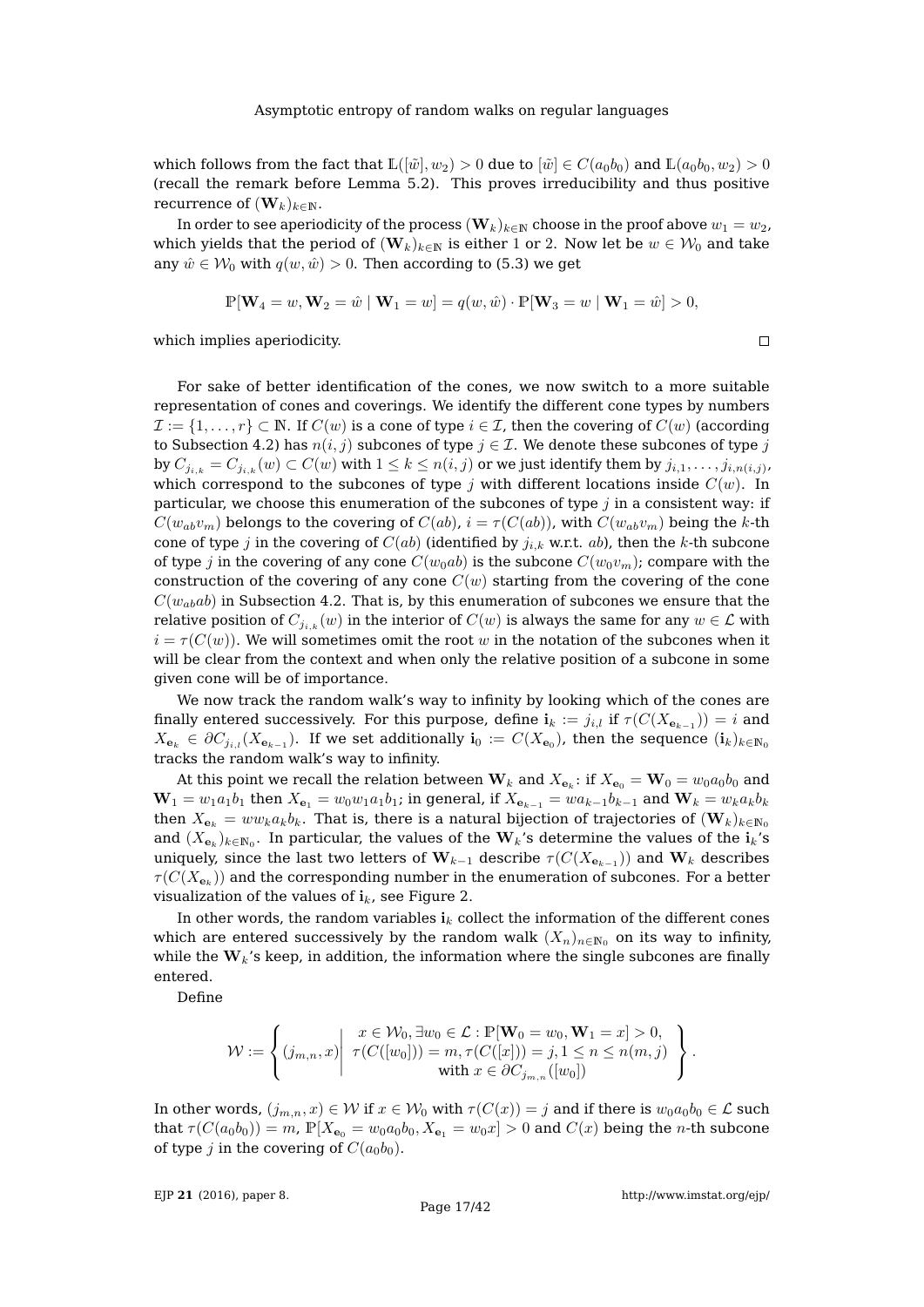which follows from the fact that  $\mathbb{L}([\tilde{w}], w_2) > 0$  due to  $[\tilde{w}] \in C(a_0b_0)$  and  $\mathbb{L}(a_0b_0, w_2) > 0$ (recall the remark before Lemma [5.2\)](#page-15-0). This proves irreducibility and thus positive recurrence of  $(\mathbf{W}_k)_{k\in\mathbb{N}}$ .

In order to see aperiodicity of the process  $(\mathbf{W}_k)_{k\in\mathbb{N}}$  choose in the proof above  $w_1 = w_2$ , which yields that the period of  $(\mathbf{W}_k)_{k\in\mathbb{N}}$  is either 1 or 2. Now let be  $w \in \mathcal{W}_0$  and take any  $\hat{w} \in \mathcal{W}_0$  with  $q(w, \hat{w}) > 0$ . Then according to [\(5.3\)](#page-15-1) we get

$$
\mathbb{P}[\mathbf{W}_4 = w, \mathbf{W}_2 = \hat{w} \mid \mathbf{W}_1 = w] = q(w, \hat{w}) \cdot \mathbb{P}[\mathbf{W}_3 = w \mid \mathbf{W}_1 = \hat{w}] > 0,
$$

which implies aperiodicity.

For sake of better identification of the cones, we now switch to a more suitable representation of cones and coverings. We identify the different cone types by numbers  $\mathcal{I} := \{1, \ldots, r\} \subset \mathbb{N}$ . If  $C(w)$  is a cone of type  $i \in \mathcal{I}$ , then the covering of  $C(w)$  (according to Subsection [4.2\)](#page-10-0) has  $n(i, j)$  subcones of type  $j \in \mathcal{I}$ . We denote these subcones of type j by  $C_{j_{i,k}}=C_{j_{i,k}}(w)\subset C(w)$  with  $1\leq k\leq n(i,j)$  or we just identify them by  $j_{i,1},\ldots,j_{i,n(i,j)}$ , which correspond to the subcones of type j with different locations inside  $C(w)$ . In particular, we choose this enumeration of the subcones of type  $j$  in a consistent way: if  $C(w_{ab}v_m)$  belongs to the covering of  $C(ab)$ ,  $i = \tau(C(ab))$ , with  $C(w_{ab}v_m)$  being the k-th cone of type j in the covering of  $C(ab)$  (identified by  $j_{i,k}$  w.r.t. ab), then the k-th subcone of type j in the covering of any cone  $C(w_0ab)$  is the subcone  $C(w_0v_m)$ ; compare with the construction of the covering of any cone  $C(w)$  starting from the covering of the cone  $C(w_{ab}ab)$  in Subsection [4.2.](#page-10-0) That is, by this enumeration of subcones we ensure that the relative position of  $C_{i_k k} (w)$  in the interior of  $C(w)$  is always the same for any  $w \in \mathcal{L}$  with  $i = \tau(C(w))$ . We will sometimes omit the root w in the notation of the subcones when it will be clear from the context and when only the relative position of a subcone in some given cone will be of importance.

We now track the random walk's way to infinity by looking which of the cones are finally entered successively. For this purpose, define  $\mathbf{i}_k := j_{i,l}$  if  $\tau(C(X_{\mathbf{e}_{k-1}})) = i$  and  $X_{\mathbf{e}_k}\,\in\,\partial C_{j_{i,l}}(X_{\mathbf{e}_{k-1}}).$  If we set additionally  $\mathbf{i}_0\,:=\,C(X_{\mathbf{e}_0})$ , then the sequence  $(\mathbf{i}_k)_{k\in\mathbb{N}_0}$ tracks the random walk's way to infinity.

At this point we recall the relation between  $\mathbf{W}_k$  and  $X_{\mathbf{e}_k} \colon$  if  $X_{\mathbf{e}_0} = \mathbf{W}_0 = w_0a_0b_0$  and  $W_1 = w_1a_1b_1$  then  $X_{\mathbf{e}_1} = w_0w_1a_1b_1$ ; in general, if  $X_{\mathbf{e}_{k-1}} = wa_{k-1}b_{k-1}$  and  $W_k = w_ka_kb_k$ then  $X_{e_k} = ww_k a_k b_k$ . That is, there is a natural bijection of trajectories of  $(\mathbf{W}_k)_{k \in \mathbb{N}_0}$ and  $(X_{\mathbf{e}_k})_{k\in \mathbb{N}_0}.$  In particular, the values of the  $\mathbf{W}_k$ 's determine the values of the  $\mathbf{i}_k$ 's uniquely, since the last two letters of  ${\bf W}_{k-1}$  describe  $\tau(C(X_{\mathbf{e}_{k-1}}))$  and  ${\bf W}_k$  describes  $\tau(C(X_{{\bf e}_k}))$  and the corresponding number in the enumeration of subcones. For a better visualization of the values of  $i_k$ , see Figure [2.](#page-17-0)

In other words, the random variables  $i_k$  collect the information of the different cones which are entered successively by the random walk  $(X_n)_{n\in\mathbb{N}_0}$  on its way to infinity, while the  $W_k$ 's keep, in addition, the information where the single subcones are finally entered.

Define

$$
\mathcal{W} := \left\{ (j_{m,n}, x) \middle| \begin{array}{l} x \in \mathcal{W}_0, \exists w_0 \in \mathcal{L} : \mathbb{P}[\mathbf{W}_0 = w_0, \mathbf{W}_1 = x] > 0, \\ \tau(C([w_0])) = m, \tau(C([x])) = j, 1 \leq n \leq n(m, j) \\ \text{with } x \in \partial C_{j_{m,n}}([w_0]) \end{array} \right\}.
$$

In other words,  $(j_{m,n}, x) \in \mathcal{W}$  if  $x \in \mathcal{W}_0$  with  $\tau(C(x)) = j$  and if there is  $w_0a_0b_0 \in \mathcal{L}$  such that  $\tau(C(a_0b_0)) = m$ ,  $\mathbb{P}[X_{\mathbf{e}_0} = w_0a_0b_0, X_{\mathbf{e}_1} = w_0x] > 0$  and  $C(x)$  being the *n*-th subcone of type j in the covering of  $C(a_0b_0)$ .

EJP **21** [\(2016\), paper 8.](http://dx.doi.org/10.1214/16-EJP4180)

 $\Box$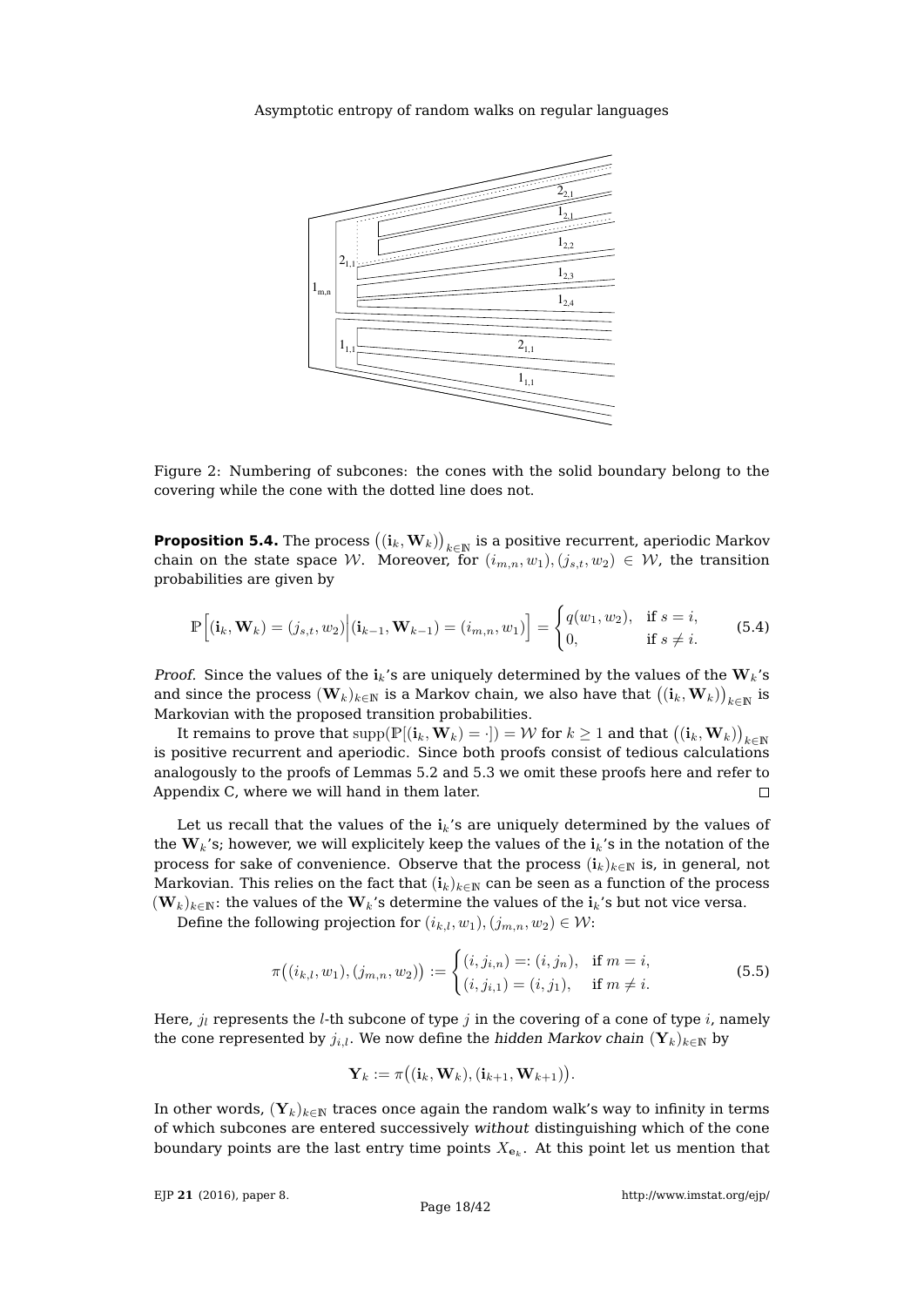

<span id="page-17-0"></span>Figure 2: Numbering of subcones: the cones with the solid boundary belong to the covering while the cone with the dotted line does not.

<span id="page-17-3"></span>**Proposition 5.4.** The process  $\big((\mathbf{i}_k,\mathbf{W}_k)\big)_{k\in\mathbb{N}}$  is a positive recurrent, aperiodic Markov chain on the state space W. Moreover, for  $(i_{m,n}, w_1), (j_{s,t}, w_2) \in W$ , the transition probabilities are given by

<span id="page-17-1"></span>
$$
\mathbb{P}\Big[(\mathbf{i}_k, \mathbf{W}_k) = (j_{s,t}, w_2) \Big| (\mathbf{i}_{k-1}, \mathbf{W}_{k-1}) = (i_{m,n}, w_1) \Big] = \begin{cases} q(w_1, w_2), & \text{if } s = i, \\ 0, & \text{if } s \neq i. \end{cases} \tag{5.4}
$$

*Proof.* Since the values of the  $i_k$ 's are uniquely determined by the values of the  $W_k$ 's and since the process  $(\mathbf{W}_k)_{k\in \mathbb{N}}$  is a Markov chain, we also have that  $\big((\mathbf{i}_k,\mathbf{W}_k)\big)_{k\in \mathbb{N}}$  is Markovian with the proposed transition probabilities.

It remains to prove that  $\mathrm{supp}(\mathbb{P}[(\mathbf{i}_k,\mathbf{W}_k)=\cdot])=\mathcal{W}$  for  $k\geq 1$  and that  $\big((\mathbf{i}_k,\mathbf{W}_k)\big)_{k\in\mathbb{N}}$ is positive recurrent and aperiodic. Since both proofs consist of tedious calculations analogously to the proofs of Lemmas [5.2](#page-15-0) and [5.3](#page-15-2) we omit these proofs here and refer to Appendix [C,](#page-34-0) where we will hand in them later.  $\Box$ 

Let us recall that the values of the  $i_k$ 's are uniquely determined by the values of the  $W_k$ 's; however, we will explicitely keep the values of the  $i_k$ 's in the notation of the process for sake of convenience. Observe that the process  $(i_k)_{k\in\mathbb{N}}$  is, in general, not Markovian. This relies on the fact that  $(i_k)_{k \in \mathbb{N}}$  can be seen as a function of the process  $(\mathbf{W}_k)_{k\in\mathbb{N}}$ : the values of the  $\mathbf{W}_k$ 's determine the values of the  $i_k$ 's but not vice versa.

Define the following projection for  $(i_{k,l}, w_1), (j_{m,n}, w_2) \in \mathcal{W}$ :

<span id="page-17-2"></span>
$$
\pi\big((i_{k,l}, w_1), (j_{m,n}, w_2)\big) := \begin{cases} (i, j_{i,n}) =: (i, j_n), & \text{if } m = i, \\ (i, j_{i,1}) = (i, j_1), & \text{if } m \neq i. \end{cases}
$$
(5.5)

Here,  $j_l$  represents the *l*-th subcone of type j in the covering of a cone of type i, namely the cone represented by  $j_{i,l}$ . We now define the hidden Markov chain  $(\mathbf{Y}_k)_{k \in \mathbb{N}}$  by

$$
\mathbf{Y}_k := \pi \big( (\mathbf{i}_k, \mathbf{W}_k), (\mathbf{i}_{k+1}, \mathbf{W}_{k+1}) \big).
$$

In other words,  $(Y_k)_{k\in\mathbb{N}}$  traces once again the random walk's way to infinity in terms of which subcones are entered successively without distinguishing which of the cone boundary points are the last entry time points  $X_{\mathbf{e}_k}$ . At this point let us mention that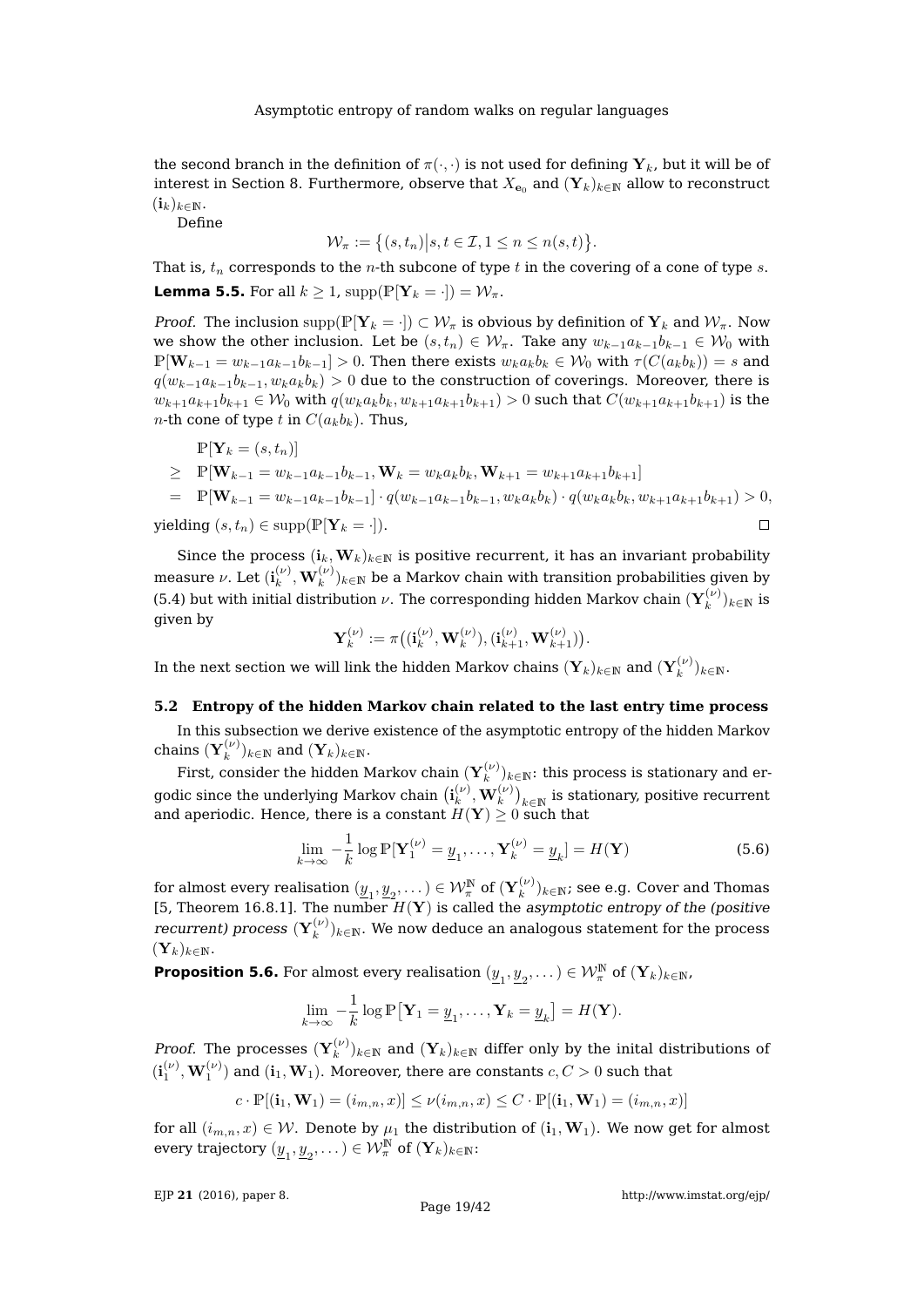the second branch in the definition of  $\pi(\cdot, \cdot)$  is not used for defining  $Y_k$ , but it will be of interest in Section [8.](#page-29-0) Furthermore, observe that  $X_{e_0}$  and  $(Y_k)_{k\in\mathbb{N}}$  allow to reconstruct  $(i_k)_{k\in\mathbb{N}}$ .

Define

$$
\mathcal{W}_{\pi} := \big\{ (s, t_n) \big| s, t \in \mathcal{I}, 1 \leq n \leq n(s, t) \big\}.
$$

That is,  $t_n$  corresponds to the *n*-th subcone of type t in the covering of a cone of type s. **Lemma 5.5.** For all  $k \geq 1$ ,  $\text{supp}(\mathbb{P}[\mathbf{Y}_k = \cdot]) = \mathcal{W}_\pi$ .

*Proof.* The inclusion supp $(\mathbb{P}[\mathbf{Y}_k = \cdot]) \subset \mathcal{W}_\pi$  is obvious by definition of  $\mathbf{Y}_k$  and  $\mathcal{W}_\pi$ . Now we show the other inclusion. Let be  $(s, t_n) \in \mathcal{W}_{\pi}$ . Take any  $w_{k-1}a_{k-1}b_{k-1} \in \mathcal{W}_0$  with  $\mathbb{P}[\mathbf{W}_{k-1} = w_{k-1}a_{k-1}b_{k-1}] > 0$ . Then there exists  $w_ka_kb_k \in W_0$  with  $\tau(C(a_kb_k)) = s$  and  $q(w_{k-1}a_{k-1}b_{k-1}, w_k a_k b_k) > 0$  due to the construction of coverings. Moreover, there is  $w_{k+1}a_{k+1}b_{k+1} \in W_0$  with  $q(w_ka_kb_k, w_{k+1}a_{k+1}b_{k+1}) > 0$  such that  $C(w_{k+1}a_{k+1}b_{k+1})$  is the *n*-th cone of type t in  $C(a_k b_k)$ . Thus,

$$
\begin{align*}\n\mathbb{P}[\mathbf{Y}_k = (s, t_n)] \\
&\geq \mathbb{P}[\mathbf{W}_{k-1} = w_{k-1}a_{k-1}b_{k-1}, \mathbf{W}_k = w_k a_k b_k, \mathbf{W}_{k+1} = w_{k+1}a_{k+1}b_{k+1}] \\
&= \mathbb{P}[\mathbf{W}_{k-1} = w_{k-1}a_{k-1}b_{k-1}] \cdot q(w_{k-1}a_{k-1}b_{k-1}, w_k a_k b_k) \cdot q(w_k a_k b_k, w_{k+1}a_{k+1}b_{k+1}) > 0, \\
\text{yielding } (s, t_n) \in \text{supp}(\mathbb{P}[\mathbf{Y}_k = \cdot]).\n\end{align*}
$$

Since the process  $(i_k, W_k)_{k \in \mathbb{N}}$  is positive recurrent, it has an invariant probability measure  $\nu.$  Let  $(\mathbf{i}_k^{(\nu)})$  $(\omega_k^{(\nu)}, \mathbf{W}_k^{(\nu)})_{k\in \mathbb{N}}$  be a Markov chain with transition probabilities given by [\(5.4\)](#page-17-1) but with initial distribution  $\nu$ . The corresponding hidden Markov chain  $(\mathbf{Y}_k^{(\nu)})$  $\binom{k}{k}$ <sub>k∈N</sub> is given by

$$
\mathbf{Y}_k^{(\nu)} := \pi\big((\mathbf{i}_k^{(\nu)}, \mathbf{W}_k^{(\nu)}), (\mathbf{i}_{k+1}^{(\nu)}, \mathbf{W}_{k+1}^{(\nu)})\big).
$$

In the next section we will link the hidden Markov chains  $(\mathbf{Y}_k)_{k\in \mathbb{N}}$  and  $(\mathbf{Y}_k^{(\nu)})$  $\binom{\nu}{k}$ <sub>k</sub> $\in \mathbb{N}$ .

# **5.2 Entropy of the hidden Markov chain related to the last entry time process**

In this subsection we derive existence of the asymptotic entropy of the hidden Markov chains  $(\mathbf{Y}_k^{(\nu)}$  $\binom{(V)}{k}$ <sub>k∈N</sub> and  $(\mathbf{Y}_k)_{k\in\mathbb{N}}$ .

First, consider the hidden Markov chain  $(\mathbf{Y}_k^{(\nu)})_{k\in \mathbb{N}}$ : this process is stationary and erk godic since the underlying Markov chain  $(\mathbf{i}_k^{(\nu)})$  $\binom{(\nu)}{k}, \mathbf{W}_k^{(\nu)}\big)_{k\in\mathbb{N}}$  is stationary, positive recurrent and aperiodic. Hence, there is a constant  $H(Y) \geq 0$  such that

<span id="page-18-0"></span>
$$
\lim_{k \to \infty} -\frac{1}{k} \log \mathbb{P}[\mathbf{Y}_1^{(\nu)} = \underline{y}_1, \dots, \mathbf{Y}_k^{(\nu)} = \underline{y}_k] = H(\mathbf{Y})
$$
\n(5.6)

for almost every realisation  $(\underline{y}_1, \underline{y}_2, \dots) \in \mathcal{W}_\pi^\mathbb{N}$  of  $(\mathbf{Y}_k^{(\nu)})$  $(k^{(\nu)})_{k\in\mathbb{N}}$ ; see e.g. Cover and Thomas [\[5,](#page-41-22) Theorem 16.8.1]. The number  $H(Y)$  is called the asymptotic entropy of the (positive recurrent) process  $({\bf Y}_k^{(\nu)} )$  $(k^{(\nu)})_{k\in\mathbb{N}}.$  We now deduce an analogous statement for the process  $(\mathbf{Y}_k)_{k\in\mathbb{N}}.$ 

<span id="page-18-1"></span>**Proposition 5.6.** For almost every realisation  $(\underline{y}_1, \underline{y}_2, \dots) \in \mathcal{W}_\pi^{\mathbb{N}}$  of  $(\mathbf{Y}_k)_{k \in \mathbb{N}}$ ,

$$
\lim_{k \to \infty} -\frac{1}{k} \log \mathbb{P}[\mathbf{Y}_1 = \underline{y}_1, \dots, \mathbf{Y}_k = \underline{y}_k] = H(\mathbf{Y}).
$$

*Proof.* The processes  $(\mathbf{Y}_k^{(\nu)})$  $\mathbf{k}^{(\nu)}_k)_{k\in\mathbb{N}}$  and  $(\mathbf{Y}_k)_{k\in\mathbb{N}}$  differ only by the inital distributions of  $(\textbf{i}^{(\nu)}_1, \textbf{W}^{(\nu)}_1)$  and  $(\textbf{i}_1, \textbf{W}_1)$ . Moreover, there are constants  $c,C>0$  such that

$$
c\cdot \mathbb{P}[(\mathbf{i}_1,\mathbf{W}_1)=(i_{m,n},x)]\leq \nu(i_{m,n},x)\leq C\cdot \mathbb{P}[(\mathbf{i}_1,\mathbf{W}_1)=(i_{m,n},x)]
$$

for all  $(i_{m,n}, x) \in W$ . Denote by  $\mu_1$  the distribution of  $(i_1, W_1)$ . We now get for almost every trajectory  $(\underline{y}_1, \underline{y}_2, \dots) \in \mathcal{W}_\pi^\mathbb{N}$  of  $(\mathbf{Y}_k)_{k \in \mathbb{N}}$ :

EJP **21** [\(2016\), paper 8.](http://dx.doi.org/10.1214/16-EJP4180)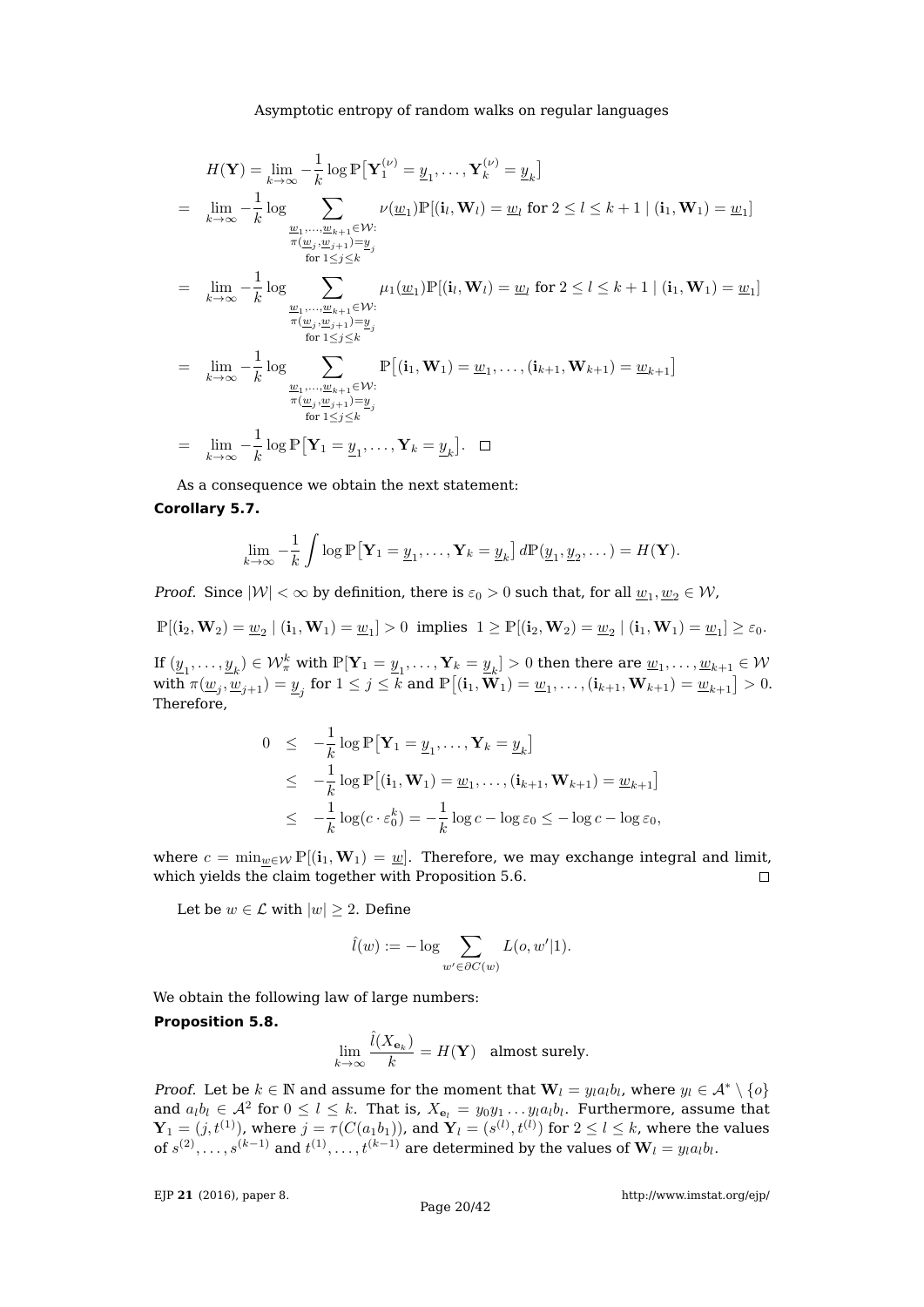$$
H(\mathbf{Y}) = \lim_{k \to \infty} -\frac{1}{k} \log \mathbb{P}[\mathbf{Y}_1^{(\nu)} = \underline{y}_1, \dots, \mathbf{Y}_k^{(\nu)} = \underline{y}_k]
$$
  
\n
$$
= \lim_{k \to \infty} -\frac{1}{k} \log \sum_{\substack{\underline{w}_1, \dots, \underline{w}_{k+1} \in \mathcal{W}: \\ \pi(\underline{w}_j, \underline{w}_{j+1}) = \underline{y}_j \\ \text{for } 1 \le j \le k}} \nu(\underline{w}_1) \mathbb{P}[(i_l, \mathbf{W}_l) = \underline{w}_l \text{ for } 2 \le l \le k+1 \mid (i_1, \mathbf{W}_1) = \underline{w}_1]
$$
  
\n
$$
= \lim_{k \to \infty} -\frac{1}{k} \log \sum_{\substack{\underline{w}_1, \dots, \underline{w}_{k+1} \in \mathcal{W}: \\ \pi(\underline{w}_j, \underline{w}_{j+1}) = \underline{y}_j \\ \text{for } 1 \le j \le k}} \mu_1(\underline{w}_1) \mathbb{P}[(i_l, \mathbf{W}_l) = \underline{w}_l \text{ for } 2 \le l \le k+1 \mid (i_1, \mathbf{W}_1) = \underline{w}_1]
$$
  
\n
$$
= \lim_{k \to \infty} -\frac{1}{k} \log \sum_{\substack{\underline{w}_1, \dots, \underline{w}_{k+1} \in \mathcal{W}: \\ \pi(\underline{w}_j, \underline{w}_{j+1}) = \underline{y}_j \\ \text{for } 1 \le j \le k}} \mathbb{P}[(i_1, \mathbf{W}_1) = \underline{w}_1, \dots, (i_{k+1}, \mathbf{W}_{k+1}) = \underline{w}_{k+1}]
$$
  
\n
$$
= \lim_{k \to \infty} -\frac{1}{k} \log \mathbb{P}[\mathbf{Y}_1 = \underline{y}_1, \dots, \mathbf{Y}_k = \underline{y}_k]. \quad \Box
$$

As a consequence we obtain the next statement:

# **Corollary 5.7.**

$$
\lim_{k \to \infty} -\frac{1}{k} \int \log \mathbb{P}\left[\mathbf{Y}_1 = \underline{y}_1, \dots, \mathbf{Y}_k = \underline{y}_k\right] d\mathbb{P}(\underline{y}_1, \underline{y}_2, \dots) = H(\mathbf{Y}).
$$

*Proof.* Since  $|\mathcal{W}| < \infty$  by definition, there is  $\varepsilon_0 > 0$  such that, for all  $\underline{w}_1, \underline{w}_2 \in \mathcal{W}$ ,

$$
\mathbb{P}[(\mathbf{i}_2,\mathbf{W}_2)=\underline{w}_2\mid (\mathbf{i}_1,\mathbf{W}_1)=\underline{w}_1]>0 \ \text{ implies } \ 1\geq \mathbb{P}[(\mathbf{i}_2,\mathbf{W}_2)=\underline{w}_2\mid (\mathbf{i}_1,\mathbf{W}_1)=\underline{w}_1]\geq \varepsilon_0.
$$

If  $(\underline{y}_1,\ldots,\underline{y}_k)\in\mathcal{W}^k_\pi$  with  $\mathbb{P}[\mathbf{Y}_1=\underline{y}_1,\ldots,\mathbf{Y}_k=\underline{y}_k]>0$  then there are  $\underline{w}_1,\ldots,\underline{w}_{k+1}\in\mathcal{W}$ with  $\pi(\underline{w}_j,\underline{\bar{w}}_{j+1})=\underline{y}_j$  for  $1\leq j\leq k$  and  $\mathbb{P}\big[(\mathbf{i}_1,\tilde{\mathbf{W}_1})=\underline{w}_1,\ldots,(\mathbf{i}_{k+1},\mathbf{W}_{k+1})=\underline{w}_{k+1}\big]>0.$ Therefore,

$$
0 \leq -\frac{1}{k} \log \mathbb{P} [\mathbf{Y}_1 = \underline{y}_1, \dots, \mathbf{Y}_k = \underline{y}_k]
$$
  
\n
$$
\leq -\frac{1}{k} \log \mathbb{P} [(\mathbf{i}_1, \mathbf{W}_1) = \underline{w}_1, \dots, (\mathbf{i}_{k+1}, \mathbf{W}_{k+1}) = \underline{w}_{k+1}]
$$
  
\n
$$
\leq -\frac{1}{k} \log (c \cdot \varepsilon_0^k) = -\frac{1}{k} \log c - \log \varepsilon_0 \leq -\log c - \log \varepsilon_0,
$$

where  $c = \min_{\underline{w} \in \mathcal{W}} \mathbb{P}[(i_1, \mathbf{W}_1) = \underline{w}]$ . Therefore, we may exchange integral and limit, which yields the claim together with Proposition [5.6.](#page-18-1)  $\Box$ 

Let be  $w \in \mathcal{L}$  with  $|w| > 2$ . Define

$$
\hat{l}(w) := -\log \sum_{w' \in \partial C(w)} L(o, w'|1).
$$

We obtain the following law of large numbers:

## <span id="page-19-0"></span>**Proposition 5.8.**

$$
\lim_{k\to\infty}\frac{\widehat{l}(X_{\mathbf{e}_k})}{k}=H(\mathbf{Y})\quad\text{almost surely}.
$$

*Proof.* Let be  $k \in \mathbb{N}$  and assume for the moment that  $\mathbf{W}_l = y_l a_l b_l$ , where  $y_l \in \mathcal{A}^* \setminus \{o\}$ and  $a_l b_l \in \mathcal{A}^2$  for  $0 \le l \le k$ . That is,  $X_{e_l} = y_0 y_1 \dots y_l a_l b_l$ . Furthermore, assume that  $\mathbf{Y}_1=(j,t^{(1)}),$  where  $j=\tau(C(a_1b_1)),$  and  $\mathbf{Y}_l=(s^{(l)},t^{(l)})$  for  $2\leq l\leq k$ , where the values of  $s^{(2)}, \ldots, s^{(k-1)}$  and  $t^{(1)}, \ldots, t^{(k-1)}$  are determined by the values of  $\mathbf{W}_l = y_l a_l b_l.$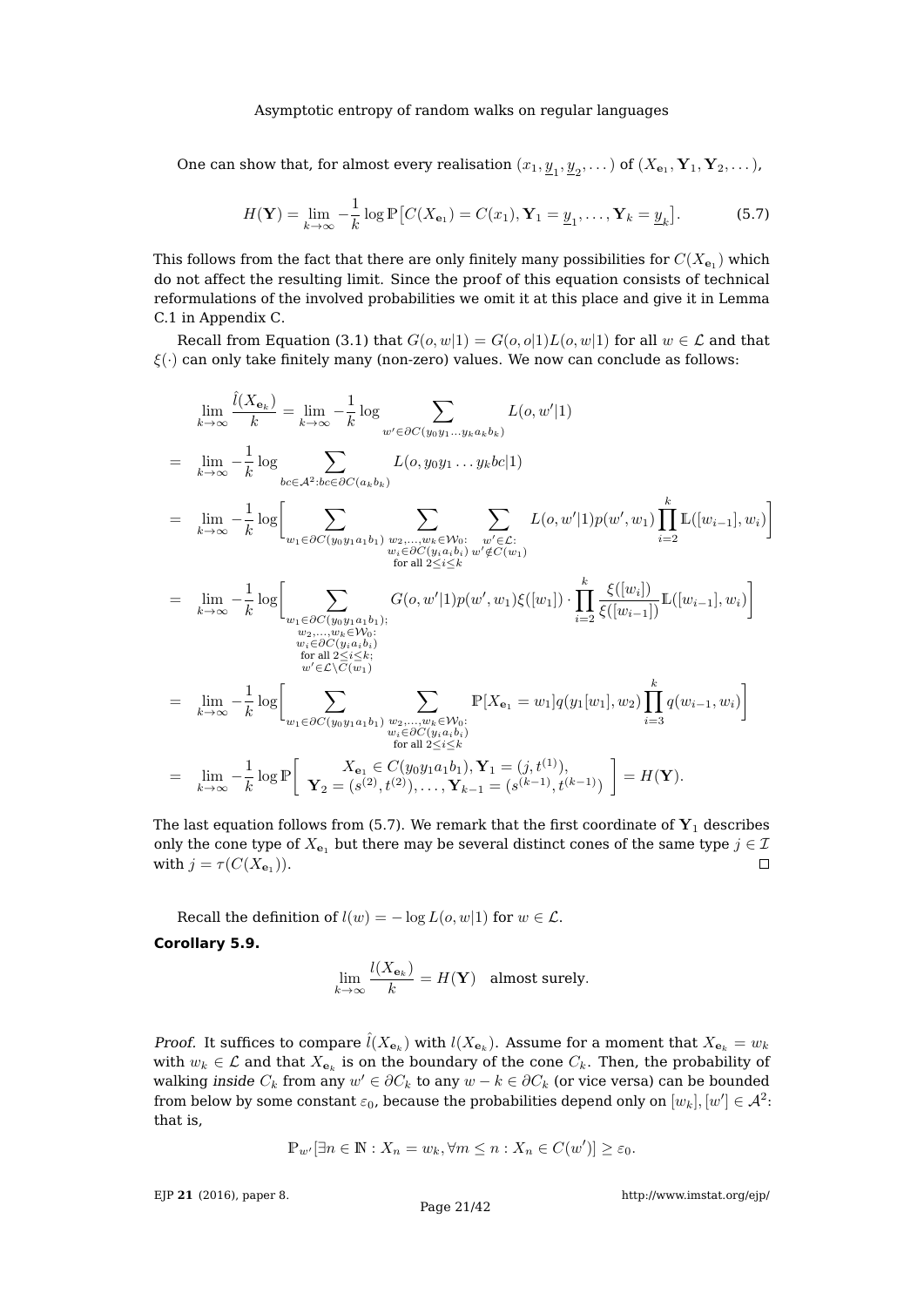One can show that, for almost every realisation  $(x_1, \underline{y}_1, \underline{y}_2, \dots)$  of  $(X_{\mathbf{e}_1}, \mathbf{Y}_1, \mathbf{Y}_2, \dots)$ ,

<span id="page-20-0"></span>
$$
H(\mathbf{Y}) = \lim_{k \to \infty} -\frac{1}{k} \log \mathbb{P}\left[C(X_{\mathbf{e}_1}) = C(x_1), \mathbf{Y}_1 = \underline{y}_1, \dots, \mathbf{Y}_k = \underline{y}_k\right].
$$
 (5.7)

This follows from the fact that there are only finitely many possibilities for  $C(X_{\mathbf{e}_1})$  which do not affect the resulting limit. Since the proof of this equation consists of technical reformulations of the involved probabilities we omit it at this place and give it in Lemma [C.1](#page-37-0) in Appendix [C.](#page-34-0)

Recall from Equation [\(3.1\)](#page-6-1) that  $G(o, w|1) = G(o, o|1)L(o, w|1)$  for all  $w \in \mathcal{L}$  and that  $\xi(\cdot)$  can only take finitely many (non-zero) values. We now can conclude as follows:

$$
\lim_{k \to \infty} \frac{\hat{l}(X_{\mathbf{e}_k})}{k} = \lim_{k \to \infty} -\frac{1}{k} \log \sum_{w' \in \partial C(y_0y_1...y_ka_kb_k)} L(o, w'|1)
$$
\n
$$
= \lim_{k \to \infty} -\frac{1}{k} \log \sum_{bc \in \mathcal{A}^2 : bc \in \partial C(a_kb_k)} L(o, y_0y_1...y_kbc|1)
$$
\n
$$
= \lim_{k \to \infty} -\frac{1}{k} \log \Biggl[ \sum_{w_1 \in \partial C(y_0y_1a_1b_1)} \sum_{\substack{w_2,...,w_k \in \mathcal{W}_0 : \\ w_i \in \partial C(y_ia_ib_i)} \sum_{\substack{w' \in \mathcal{L}: \\ w'_i \in \partial C(y_ia_ib_i) \\ \text{for all } 2 \le i \le k}} L(o, w'|1)p(w', w_1) \prod_{i=2}^k \mathbb{L}([w_{i-1}], w_i) \Biggr]
$$
\n
$$
= \lim_{k \to \infty} -\frac{1}{k} \log \Biggl[ \sum_{\substack{w_1 \in \partial C(y_0y_1a_1b_1); \\ w_2,...,w_k \in \mathcal{W}_0 : \\ w_i \in \partial C(y_ia_ib_i) \\ \text{for all } 2 \le i \le k}} G(o, w'|1)p(w', w_1) \xi([w_1]) \cdot \prod_{i=2}^k \frac{\xi([w_i])}{\xi([w_{i-1}])} \mathbb{L}([w_{i-1}], w_i) \Biggr]
$$
\n
$$
= \lim_{k \to \infty} -\frac{1}{k} \log \Biggl[ \sum_{\substack{w_1 \in \partial C(y_0y_1a_1b_1), w_2,...,w_k \in \mathcal{W}_0 : \\ w_i \in \partial C(y_ia_ib_i) \\ \text{for all } 2 \le i \le k}} \sum_{\substack{w_1 \in \partial C(y_0y_1a_1b_1), \\ w_1 \in \partial C(y_0y_1a_1b_1), \\ \text{for all } 2 \le i \le k}} \mathbb{P}[X_{\mathbf{e}_1} = w_1] q(y_1[w_1], w_2) \prod_{i=3}^k q(w_{i-1}, w_i) \Biggr]
$$
\n
$$
= \
$$

The last equation follows from [\(5.7\)](#page-20-0). We remark that the first coordinate of  $Y_1$  describes only the cone type of  $X_{e_1}$  but there may be several distinct cones of the same type  $j \in \mathcal{I}$  $\Box$ with  $j = \tau(C(X_{\mathbf{e}_1}))$ .

<span id="page-20-1"></span>Recall the definition of  $l(w) = -\log L(o, w|1)$  for  $w \in \mathcal{L}$ . **Corollary 5.9.**

$$
\lim_{k \to \infty} \frac{l(X_{\mathbf{e}_k})}{k} = H(\mathbf{Y}) \text{ almost surely.}
$$

*Proof.* It suffices to compare  $\hat{l}(X_{\mathbf{e}_k})$  with  $l(X_{\mathbf{e}_k})$ . Assume for a moment that  $X_{\mathbf{e}_k} = w_k$ with  $w_k \in \mathcal{L}$  and that  $X_{\mathbf{e}_k}$  is on the boundary of the cone  $C_k$ . Then, the probability of walking *inside*  $C_k$  *from any*  $w' \in \partial C_k$  *to any*  $w - k \in \partial C_k$  *(or vice versa) can be bounded* from below by some constant  $\varepsilon_0$ , because the probabilities depend only on  $[w_k],[w']\in\mathcal{A}^2$ : that is,

$$
\mathbb{P}_{w'}[\exists n \in \mathbb{N} : X_n = w_k, \forall m \le n : X_n \in C(w')] \ge \varepsilon_0.
$$

EJP **21** [\(2016\), paper 8.](http://dx.doi.org/10.1214/16-EJP4180)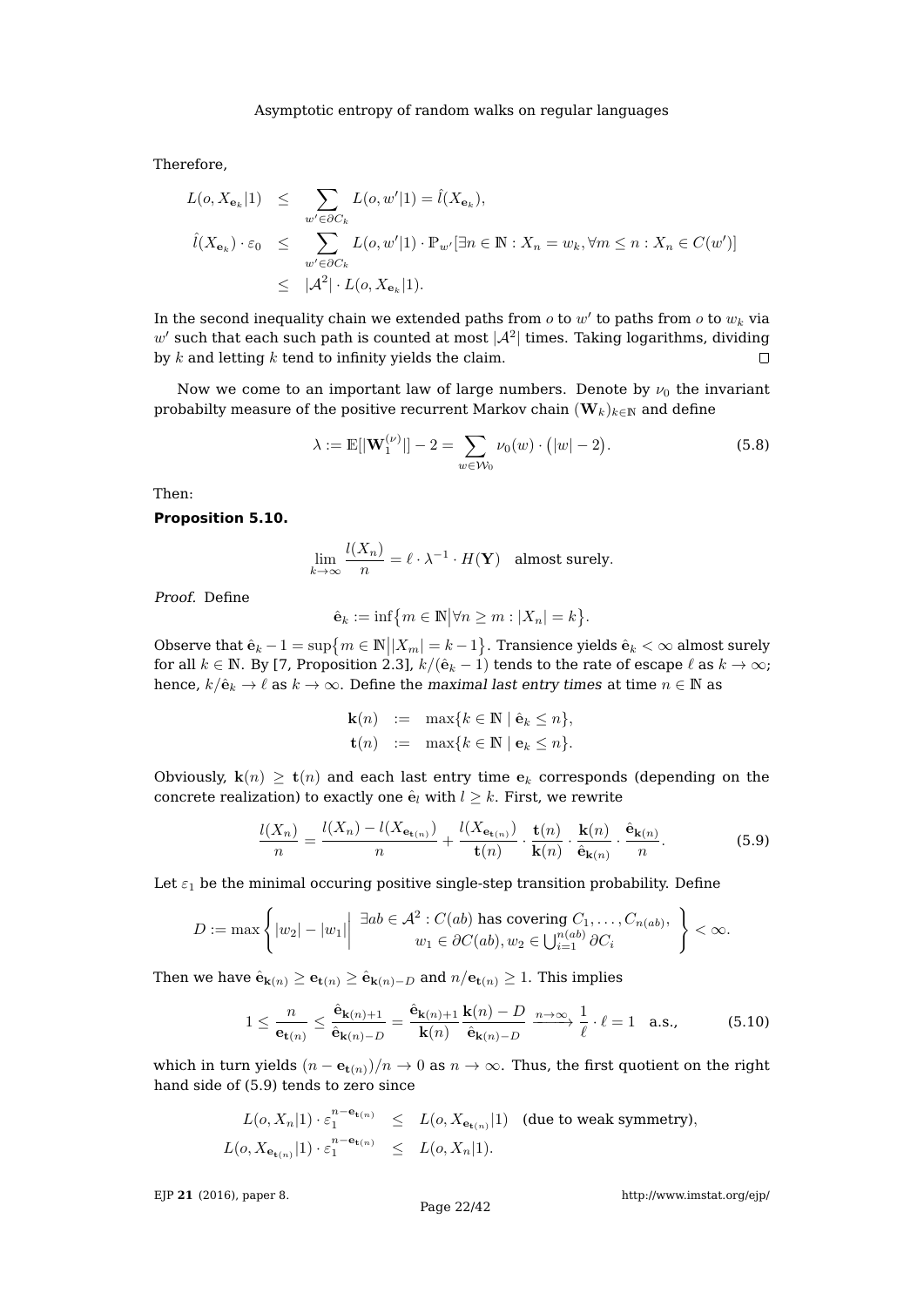Therefore,

$$
L(o, X_{\mathbf{e}_k} | 1) \leq \sum_{w' \in \partial C_k} L(o, w' | 1) = \hat{l}(X_{\mathbf{e}_k}),
$$
  

$$
\hat{l}(X_{\mathbf{e}_k}) \cdot \varepsilon_0 \leq \sum_{w' \in \partial C_k} L(o, w' | 1) \cdot \mathbb{P}_{w'}[\exists n \in \mathbb{N} : X_n = w_k, \forall m \leq n : X_n \in C(w')] \leq |A^2| \cdot L(o, X_{\mathbf{e}_k} | 1).
$$

In the second inequality chain we extended paths from  $o$  to  $w'$  to paths from  $o$  to  $w_k$  via  $w'$  such that each such path is counted at most  $|\mathcal{A}^2|$  times. Taking logarithms, dividing by  $k$  and letting  $k$  tend to infinity yields the claim.  $\Box$ 

Now we come to an important law of large numbers. Denote by  $\nu_0$  the invariant probabilty measure of the positive recurrent Markov chain  $(\mathbf{W}_k)_{k\in\mathbb{N}}$  and define

<span id="page-21-0"></span>
$$
\lambda := \mathbb{E}[|\mathbf{W}_1^{(\nu)}|] - 2 = \sum_{w \in \mathcal{W}_0} \nu_0(w) \cdot (|w| - 2). \tag{5.8}
$$

Then:

## <span id="page-21-3"></span>**Proposition 5.10.**

 $\lambda$ 

$$
\lim_{n \to \infty} \frac{l(X_n)}{n} = \ell \cdot \lambda^{-1} \cdot H(\mathbf{Y}) \quad \text{almost surely.}
$$

Proof. Define

$$
\hat{\mathbf{e}}_k := \inf \{ m \in \mathbb{N} \big| \forall n \ge m : |X_n| = k \}.
$$

Observe that  $\hat{\mathbf{e}}_k - 1 = \sup \{ m \in \mathbb{N} | |X_m| = k - 1 \}$ . Transience yields  $\hat{\mathbf{e}}_k < \infty$  almost surely for all  $k \in \mathbb{N}$ . By [\[7,](#page-41-17) Proposition 2.3],  $k/(\hat{\mathbf{e}}_k - 1)$  tends to the rate of escape  $\ell$  as  $k \to \infty$ ; hence,  $k/\hat{\mathbf{e}}_k \to \ell$  as  $k \to \infty$ . Define the maximal last entry times at time  $n \in \mathbb{N}$  as

$$
\begin{array}{rcl}\n\mathbf{k}(n) & := & \max\{k \in \mathbb{N} \mid \hat{\mathbf{e}}_k \leq n\}, \\
\mathbf{t}(n) & := & \max\{k \in \mathbb{N} \mid \mathbf{e}_k \leq n\}.\n\end{array}
$$

Obviously,  $\mathbf{k}(n) \geq \mathbf{t}(n)$  and each last entry time  $\mathbf{e}_k$  corresponds (depending on the concrete realization) to exactly one  $\hat{\mathbf{e}}_l$  with  $l \geq k$ . First, we rewrite

<span id="page-21-1"></span>
$$
\frac{l(X_n)}{n} = \frac{l(X_n) - l(X_{\mathbf{e}_{\mathbf{t}(n)}})}{n} + \frac{l(X_{\mathbf{e}_{\mathbf{t}(n)}})}{\mathbf{t}(n)} \cdot \frac{\mathbf{t}(n)}{\mathbf{k}(n)} \cdot \frac{\mathbf{k}(n)}{\hat{\mathbf{e}}_{\mathbf{k}(n)}} \cdot \frac{\hat{\mathbf{e}}_{\mathbf{k}(n)}}{n}.
$$
(5.9)

Let  $\varepsilon_1$  be the minimal occuring positive single-step transition probability. Define

$$
D := \max \left\{ |w_2| - |w_1| \middle| \begin{array}{c} \exists ab \in \mathcal{A}^2 : C(ab) \text{ has covering } C_1, \dots, C_{n(ab)}, \\ w_1 \in \partial C(ab), w_2 \in \bigcup_{i=1}^{n(ab)} \partial C_i \end{array} \right\} < \infty.
$$

Then we have  $\hat{\mathbf{e}}_{\mathbf{k}(n)} \geq \mathbf{e}_{\mathbf{t}(n)} \geq \hat{\mathbf{e}}_{\mathbf{k}(n)-D}$  and  $n/\mathbf{e}_{\mathbf{t}(n)} \geq 1$ . This implies

<span id="page-21-2"></span>
$$
1 \leq \frac{n}{\mathbf{e}_{\mathbf{t}(n)}} \leq \frac{\hat{\mathbf{e}}_{\mathbf{k}(n)+1}}{\hat{\mathbf{e}}_{\mathbf{k}(n)-D}} = \frac{\hat{\mathbf{e}}_{\mathbf{k}(n)+1}}{\mathbf{k}(n)} \frac{\mathbf{k}(n)-D}{\hat{\mathbf{e}}_{\mathbf{k}(n)-D}} \xrightarrow{n \to \infty} \frac{1}{\ell} \cdot \ell = 1 \quad \text{a.s.,}
$$
(5.10)

which in turn yields  $(n - e_{t(n)})/n \to 0$  as  $n \to \infty$ . Thus, the first quotient on the right hand side of [\(5.9\)](#page-21-1) tends to zero since

$$
L(o, X_n|1) \cdot \varepsilon_1^{n - \mathbf{e}_{\mathbf{t}(n)}} \le L(o, X_{\mathbf{e}_{\mathbf{t}(n)}}|1) \text{ (due to weak symmetry)},
$$
  

$$
L(o, X_{\mathbf{e}_{\mathbf{t}(n)}}|1) \cdot \varepsilon_1^{n - \mathbf{e}_{\mathbf{t}(n)}} \le L(o, X_n|1).
$$

EJP **21** [\(2016\), paper 8.](http://dx.doi.org/10.1214/16-EJP4180)

<http://www.imstat.org/ejp/>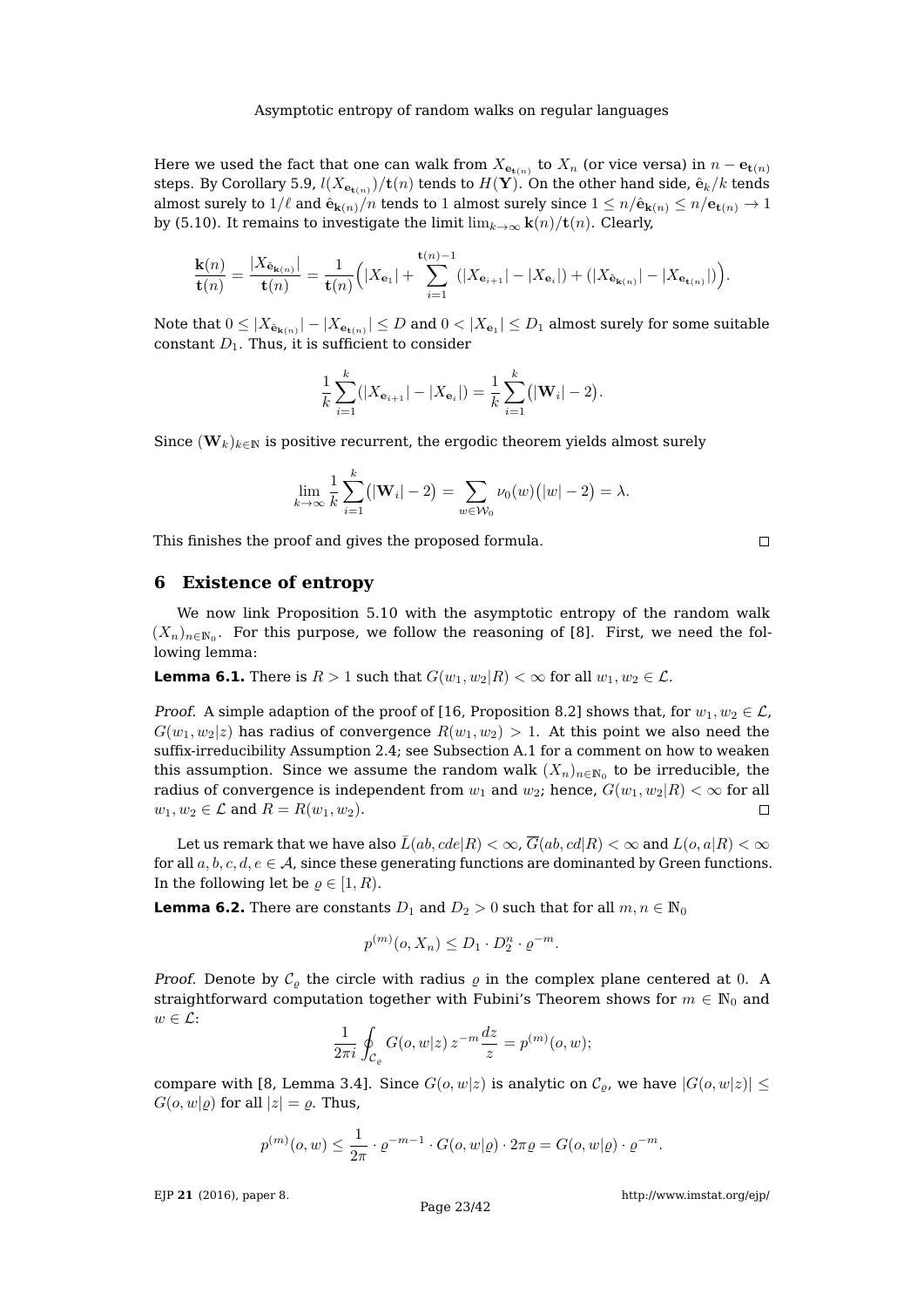Here we used the fact that one can walk from  $X_{\mathbf{e}_{\mathbf{t}(n)}}$  to  $X_n$  (or vice versa) in  $n - \mathbf{e}_{\mathbf{t}(n)}$ steps. By Corollary [5.9,](#page-20-1)  $l(X_{\mathbf{e}_{\mathbf{t}(n)}})/\mathbf{t}(n)$  tends to  $H(\mathbf{Y}).$  On the other hand side,  $\hat{\mathbf{e}}_k/k$  tends almost surely to  $1/\ell$  and  $\hat{\mathbf{e}}_{\mathbf{k}(n)}/n$  tends to 1 almost surely since  $1 \le n/\hat{\mathbf{e}}_{\mathbf{k}(n)} \le n/\mathbf{e}_{\mathbf{t}(n)} \to 1$ by [\(5.10\)](#page-21-2). It remains to investigate the limit  $\lim_{k\to\infty} \mathbf{k}(n)/\mathbf{t}(n)$ . Clearly,

$$
\frac{\mathbf{k}(n)}{\mathbf{t}(n)} = \frac{|X_{\hat{\mathbf{e}}_{\mathbf{k}(n)}}|}{\mathbf{t}(n)} = \frac{1}{\mathbf{t}(n)} \Big( |X_{\mathbf{e}_1}| + \sum_{i=1}^{\mathbf{t}(n)-1} (|X_{\mathbf{e}_{i+1}}| - |X_{\mathbf{e}_i}|) + (|X_{\hat{\mathbf{e}}_{\mathbf{k}(n)}}| - |X_{\mathbf{e}_{\mathbf{t}(n)}}|) \Big).
$$

Note that  $0\leq|X_{\hat{\bf e}_{{\bf k}(n)}}|-|X_{{\bf e}_{\mathbf{t}(n)}}|\leq D$  and  $0<|X_{{\bf e}_1}|\leq D_1$  almost surely for some suitable constant  $D_1$ . Thus, it is sufficient to consider

$$
\frac{1}{k}\sum_{i=1}^{k}(|X_{\mathbf{e}_{i+1}}| - |X_{\mathbf{e}_i}|) = \frac{1}{k}\sum_{i=1}^{k}(|\mathbf{W}_i| - 2).
$$

Since  $(\mathbf{W}_k)_{k\in\mathbb{N}}$  is positive recurrent, the ergodic theorem yields almost surely

$$
\lim_{k \to \infty} \frac{1}{k} \sum_{i=1}^{k} (|\mathbf{W}_{i}| - 2) = \sum_{w \in \mathcal{W}_{0}} \nu_{0}(w) (|w| - 2) = \lambda.
$$

This finishes the proof and gives the proposed formula.

# <span id="page-22-0"></span>**6 Existence of entropy**

We now link Proposition [5.10](#page-21-3) with the asymptotic entropy of the random walk  $(X_n)_{n\in\mathbb{N}_0}$ . For this purpose, we follow the reasoning of [\[8\]](#page-41-8). First, we need the following lemma:

<span id="page-22-1"></span>**Lemma 6.1.** There is  $R > 1$  such that  $G(w_1, w_2 | R) < \infty$  for all  $w_1, w_2 \in \mathcal{L}$ .

*Proof.* A simple adaption of the proof of [\[16,](#page-41-2) Proposition 8.2] shows that, for  $w_1, w_2 \in \mathcal{L}$ ,  $G(w_1, w_2|z)$  has radius of convergence  $R(w_1, w_2) > 1$ . At this point we also need the suffix-irreducibility Assumption [2.4;](#page-4-0) see Subsection [A.1](#page-31-0) for a comment on how to weaken this assumption. Since we assume the random walk  $(X_n)_{n\in\mathbb{N}_0}$  to be irreducible, the radius of convergence is independent from  $w_1$  and  $w_2$ ; hence,  $G(w_1, w_2|R) < \infty$  for all  $w_1, w_2 \in \mathcal{L}$  and  $R = R(w_1, w_2)$ .  $\Box$ 

Let us remark that we have also  $\bar{L}(ab, cde|R) < \infty$ ,  $\bar{G}(ab, cd|R) < \infty$  and  $L(o, a|R) < \infty$ for all  $a, b, c, d, e \in A$ , since these generating functions are dominanted by Green functions. In the following let be  $\rho \in [1, R)$ .

<span id="page-22-2"></span>**Lemma 6.2.** There are constants  $D_1$  and  $D_2 > 0$  such that for all  $m, n \in \mathbb{N}_0$ 

$$
p^{(m)}(o, X_n) \le D_1 \cdot D_2^n \cdot \varrho^{-m}.
$$

*Proof.* Denote by  $C_{\rho}$  the circle with radius  $\rho$  in the complex plane centered at 0. A straightforward computation together with Fubini's Theorem shows for  $m \in \mathbb{N}_0$  and  $w \in \mathcal{L}$ :

$$
\frac{1}{2\pi i} \oint_{\mathcal{C}_{\varrho}} G(o, w|z) z^{-m} \frac{dz}{z} = p^{(m)}(o, w);
$$

compare with [\[8,](#page-41-8) Lemma 3.4]. Since  $G(o, w|z)$  is analytic on  $\mathcal{C}_{\alpha}$ , we have  $|G(o, w|z)|$  <  $G(o, w | \rho)$  for all  $|z| = \rho$ . Thus,

$$
p^{(m)}(o,w) \leq \frac{1}{2\pi} \cdot \varrho^{-m-1} \cdot G(o,w|\varrho) \cdot 2\pi\varrho = G(o,w|\varrho) \cdot \varrho^{-m}.
$$

EJP **21** [\(2016\), paper 8.](http://dx.doi.org/10.1214/16-EJP4180)

 $\Box$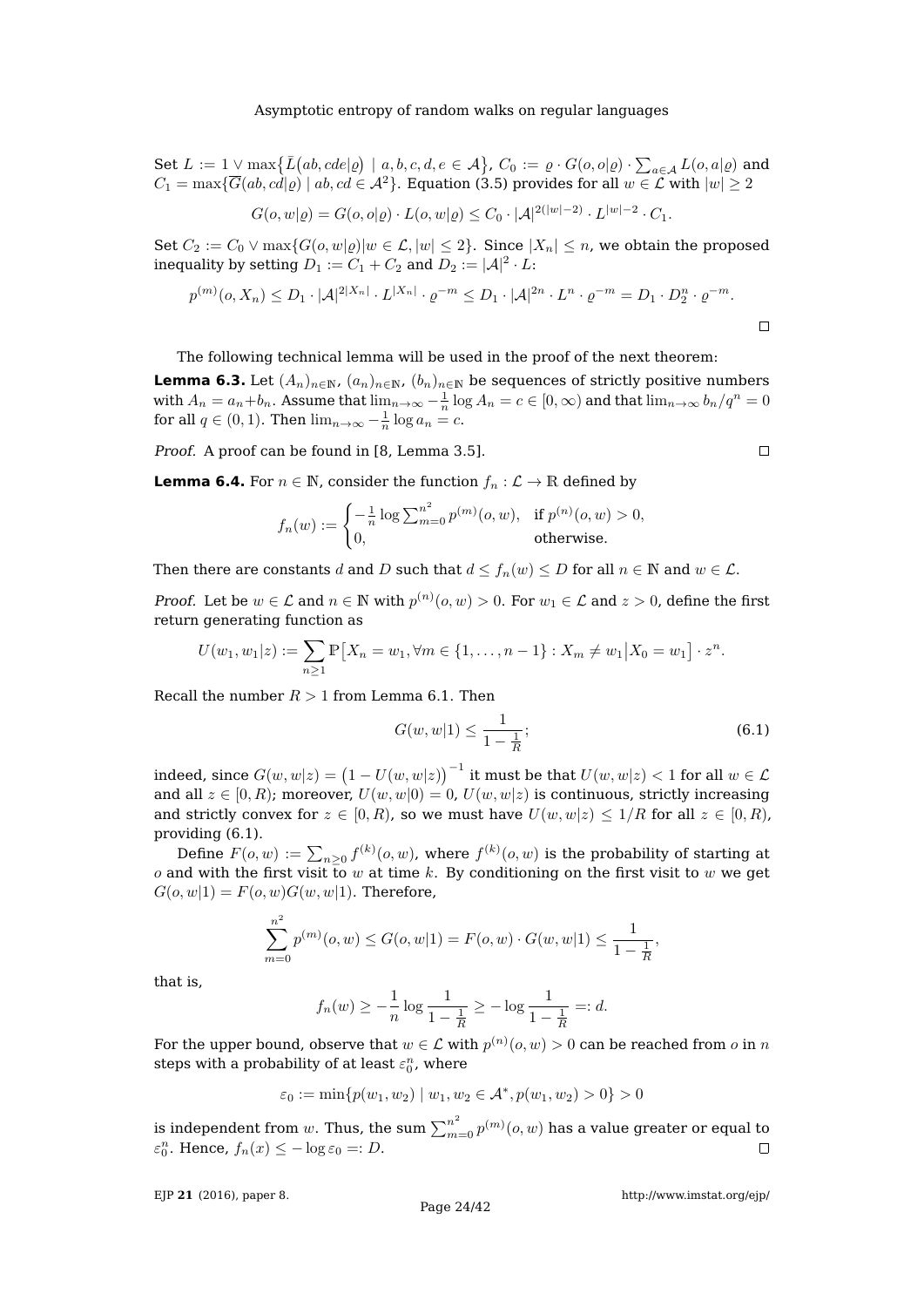Set  $L := 1 \vee \max \{ \bar{L}(ab, cde | \varrho) \mid a, b, c, d, e \in \mathcal{A} \}$ ,  $C_0 := \varrho \cdot G(o, o | \varrho) \cdot \sum_{a \in \mathcal{A}} L(o, a | \varrho)$  and  $C_1 = \max{\{\overline{G}(ab, cd|\rho) \mid ab, cd \in \mathcal{A}^2\}}$ . Equation [\(3.5\)](#page-8-2) provides for all  $w \in \mathcal{L}$  with  $|w| \geq 2$ 

$$
G(o, w | \varrho) = G(o, o | \varrho) \cdot L(o, w | \varrho) \le C_0 \cdot |\mathcal{A}|^{2(|w|-2)} \cdot L^{|w|-2} \cdot C_1.
$$

Set  $C_2 := C_0 \vee \max\{G(o, w|g)|w \in \mathcal{L}, |w| \leq 2\}$ . Since  $|X_n| \leq n$ , we obtain the proposed inequality by setting  $D_1:=C_1+C_2$  and  $D_2:=|\mathcal{A}|^2\cdot L$ :

$$
p^{(m)}(o, X_n) \le D_1 \cdot |\mathcal{A}|^{2|X_n|} \cdot L^{|X_n|} \cdot \varrho^{-m} \le D_1 \cdot |\mathcal{A}|^{2n} \cdot L^n \cdot \varrho^{-m} = D_1 \cdot D_2^n \cdot \varrho^{-m}.
$$

The following technical lemma will be used in the proof of the next theorem:

<span id="page-23-1"></span>**Lemma 6.3.** Let  $(A_n)_{n\in\mathbb{N}}$ ,  $(a_n)_{n\in\mathbb{N}}$ ,  $(b_n)_{n\in\mathbb{N}}$  be sequences of strictly positive numbers with  $A_n = a_n + b_n$ . Assume that  $\lim_{n\to\infty} -\frac{1}{n} \log A_n = c \in [0,\infty)$  and that  $\lim_{n\to\infty} b_n/q^n = 0$ for all  $q \in (0,1)$ . Then  $\lim_{n\to\infty} -\frac{1}{n} \log a_n = c$ .

Proof. A proof can be found in [\[8,](#page-41-8) Lemma 3.5].

<span id="page-23-2"></span>**Lemma 6.4.** For  $n \in \mathbb{N}$ , consider the function  $f_n : \mathcal{L} \to \mathbb{R}$  defined by

$$
f_n(w) := \begin{cases} -\frac{1}{n} \log \sum_{m=0}^{n^2} p^{(m)}(o, w), & \text{if } p^{(n)}(o, w) > 0, \\ 0, & \text{otherwise.} \end{cases}
$$

Then there are constants d and D such that  $d \le f_n(w) \le D$  for all  $n \in \mathbb{N}$  and  $w \in \mathcal{L}$ .

*Proof.* Let be  $w \in \mathcal{L}$  and  $n \in \mathbb{N}$  with  $p^{(n)}(o, w) > 0$ . For  $w_1 \in \mathcal{L}$  and  $z > 0$ , define the first return generating function as

$$
U(w_1, w_1|z) := \sum_{n\geq 1} \mathbb{P}\left[X_n = w_1, \forall m \in \{1, \dots, n-1\} : X_m \neq w_1 | X_0 = w_1\right] \cdot z^n.
$$

Recall the number  $R > 1$  from Lemma [6.1.](#page-22-1) Then

<span id="page-23-0"></span>
$$
G(w, w|1) \le \frac{1}{1 - \frac{1}{R}};
$$
\n(6.1)

indeed, since  $G(w,w|z)=\big(1-U(w,w|z)\big)^{-1}$  it must be that  $U(w,w|z)< 1$  for all  $w\in\mathcal{L}$ and all  $z \in [0, R)$ ; moreover,  $U(w, w|0) = 0$ ,  $U(w, w|z)$  is continuous, strictly increasing and strictly convex for  $z \in [0, R)$ , so we must have  $U(w, w|z) \leq 1/R$  for all  $z \in [0, R)$ , providing [\(6.1\)](#page-23-0).

Define  $F(o, w) := \sum_{n \geq 0} f^{(k)}(o, w)$ , where  $f^{(k)}(o, w)$  is the probability of starting at o and with the first visit to w at time k. By conditioning on the first visit to w we get  $G(o, w|1) = F(o, w)G(w, w|1)$ . Therefore,

$$
\sum_{m=0}^{n^2} p^{(m)}(o, w) \le G(o, w|1) = F(o, w) \cdot G(w, w|1) \le \frac{1}{1 - \frac{1}{R}},
$$

that is,

$$
f_n(w) \ge -\frac{1}{n} \log \frac{1}{1 - \frac{1}{R}} \ge -\log \frac{1}{1 - \frac{1}{R}} =: d.
$$

For the upper bound, observe that  $w\in \mathcal{L}$  with  $p^{(n)}(o,w)>0$  can be reached from  $o$  in  $n$ steps with a probability of at least  $\varepsilon_0^n$ , where

$$
\varepsilon_0 := \min\{p(w_1, w_2) \mid w_1, w_2 \in \mathcal{A}^*, p(w_1, w_2) > 0\} > 0
$$

is independent from  $w.$  Thus, the sum  $\sum_{m=0}^{n^2}p^{(m)}(o,w)$  has a value greater or equal to  $\varepsilon_0^n$ . Hence,  $f_n(x) \leq -\log \varepsilon_0 =: D$ .  $\Box$ 

EJP **21** [\(2016\), paper 8.](http://dx.doi.org/10.1214/16-EJP4180)

 $\Box$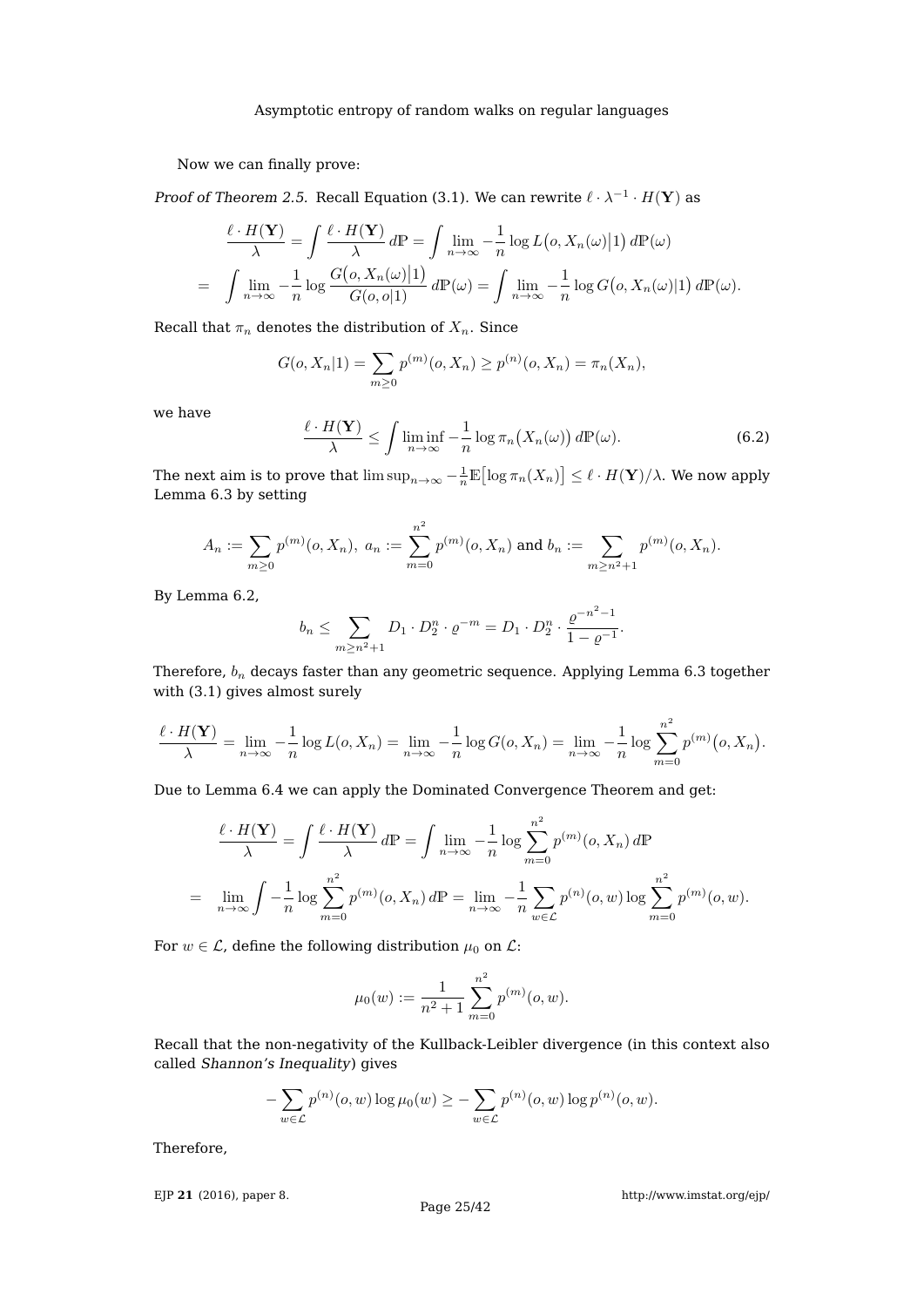Now we can finally prove:

Proof of Theorem [2.5.](#page-5-0) Recall Equation [\(3.1\)](#page-6-1). We can rewrite  $\ell \cdot \lambda^{-1} \cdot H(\mathbf{Y})$  as

$$
\frac{\ell \cdot H(\mathbf{Y})}{\lambda} = \int \frac{\ell \cdot H(\mathbf{Y})}{\lambda} d\mathbb{P} = \int \lim_{n \to \infty} -\frac{1}{n} \log L(o, X_n(\omega)|1) d\mathbb{P}(\omega)
$$
  
= 
$$
\int \lim_{n \to \infty} -\frac{1}{n} \log \frac{G(o, X_n(\omega)|1)}{G(o, o|1)} d\mathbb{P}(\omega) = \int \lim_{n \to \infty} -\frac{1}{n} \log G(o, X_n(\omega)|1) d\mathbb{P}(\omega).
$$

Recall that  $\pi_n$  denotes the distribution of  $X_n$ . Since

$$
G(o, X_n|1) = \sum_{m \ge 0} p^{(m)}(o, X_n) \ge p^{(n)}(o, X_n) = \pi_n(X_n),
$$

we have

<span id="page-24-0"></span>
$$
\frac{\ell \cdot H(\mathbf{Y})}{\lambda} \le \int \liminf_{n \to \infty} -\frac{1}{n} \log \pi_n(X_n(\omega)) \, d\mathbb{P}(\omega). \tag{6.2}
$$

The next aim is to prove that  $\limsup_{n\to\infty}-\frac{1}{n}\mathbb E\bigl[\log\pi_n(X_n)\bigr]\leq \ell\cdot H(\mathbf Y)/\lambda.$  We now apply Lemma [6.3](#page-23-1) by setting

$$
A_n := \sum_{m \geq 0} p^{(m)}(o, X_n), \ a_n := \sum_{m=0}^{n^2} p^{(m)}(o, X_n) \text{ and } b_n := \sum_{m \geq n^2 + 1} p^{(m)}(o, X_n).
$$

By Lemma [6.2,](#page-22-2)

$$
b_n \leq \sum_{m \geq n^2 + 1} D_1 \cdot D_2^n \cdot \varrho^{-m} = D_1 \cdot D_2^n \cdot \frac{\varrho^{-n^2 - 1}}{1 - \varrho^{-1}}.
$$

Therefore,  $b_n$  decays faster than any geometric sequence. Applying Lemma [6.3](#page-23-1) together with [\(3.1\)](#page-6-1) gives almost surely

$$
\frac{\ell \cdot H(\mathbf{Y})}{\lambda} = \lim_{n \to \infty} -\frac{1}{n} \log L(o, X_n) = \lim_{n \to \infty} -\frac{1}{n} \log G(o, X_n) = \lim_{n \to \infty} -\frac{1}{n} \log \sum_{m=0}^{n^2} p^{(m)}(o, X_n).
$$

Due to Lemma [6.4](#page-23-2) we can apply the Dominated Convergence Theorem and get:

$$
\frac{\ell \cdot H(\mathbf{Y})}{\lambda} = \int \frac{\ell \cdot H(\mathbf{Y})}{\lambda} d\mathbb{P} = \int \lim_{n \to \infty} -\frac{1}{n} \log \sum_{m=0}^{n^2} p^{(m)}(o, X_n) d\mathbb{P}
$$

$$
= \lim_{n \to \infty} \int -\frac{1}{n} \log \sum_{m=0}^{n^2} p^{(m)}(o, X_n) d\mathbb{P} = \lim_{n \to \infty} -\frac{1}{n} \sum_{w \in \mathcal{L}} p^{(n)}(o, w) \log \sum_{m=0}^{n^2} p^{(m)}(o, w).
$$

For  $w \in \mathcal{L}$ , define the following distribution  $\mu_0$  on  $\mathcal{L}$ :

$$
\mu_0(w) := \frac{1}{n^2 + 1} \sum_{m=0}^{n^2} p^{(m)}(o, w).
$$

Recall that the non-negativity of the Kullback-Leibler divergence (in this context also called Shannon's Inequality) gives

$$
-\sum_{w\in\mathcal{L}} p^{(n)}(o, w) \log \mu_0(w) \ge -\sum_{w\in\mathcal{L}} p^{(n)}(o, w) \log p^{(n)}(o, w).
$$

Therefore,

EJP **21** [\(2016\), paper 8.](http://dx.doi.org/10.1214/16-EJP4180)

<http://www.imstat.org/ejp/>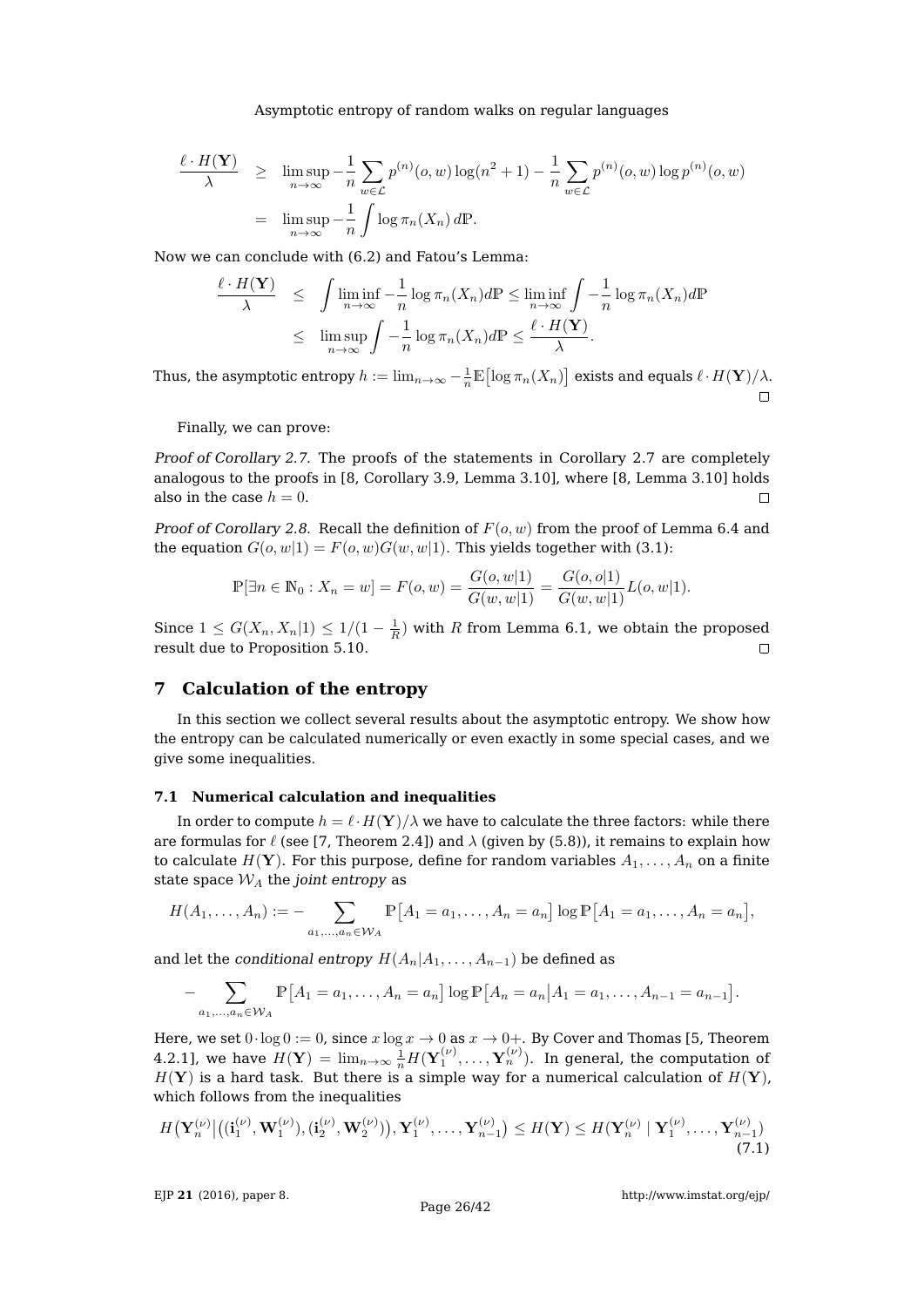$$
\frac{\ell \cdot H(\mathbf{Y})}{\lambda} \geq \limsup_{n \to \infty} \frac{1}{n} \sum_{w \in \mathcal{L}} p^{(n)}(o, w) \log(n^2 + 1) - \frac{1}{n} \sum_{w \in \mathcal{L}} p^{(n)}(o, w) \log p^{(n)}(o, w)
$$

$$
= \limsup_{n \to \infty} \frac{1}{n} \int \log \pi_n(X_n) d\mathbb{P}.
$$

Now we can conclude with [\(6.2\)](#page-24-0) and Fatou's Lemma:

$$
\frac{\ell \cdot H(\mathbf{Y})}{\lambda} \leq \int \liminf_{n \to \infty} \frac{1}{n} \log \pi_n(X_n) d\mathbb{P} \leq \liminf_{n \to \infty} \int -\frac{1}{n} \log \pi_n(X_n) d\mathbb{P}
$$
  

$$
\leq \limsup_{n \to \infty} \int -\frac{1}{n} \log \pi_n(X_n) d\mathbb{P} \leq \frac{\ell \cdot H(\mathbf{Y})}{\lambda}.
$$

Thus, the asymptotic entropy  $h:=\lim_{n\to\infty}-\frac{1}{n}\mathbb E\bigl[\log\pi_n(X_n)\bigr]$  exists and equals  $\ell\cdot H(\mathbf Y)/\lambda.$  $\Box$ 

Finally, we can prove:

Proof of Corollary [2.7.](#page-5-2) The proofs of the statements in Corollary [2.7](#page-5-2) are completely analogous to the proofs in [\[8,](#page-41-8) Corollary 3.9, Lemma 3.10], where [\[8,](#page-41-8) Lemma 3.10] holds also in the case  $h = 0$ .  $\Box$ 

Proof of Corollary [2.8.](#page-5-3) Recall the definition of  $F(o, w)$  from the proof of Lemma [6.4](#page-23-2) and the equation  $G(o, w|1) = F(o, w)G(w, w|1)$ . This yields together with [\(3.1\)](#page-6-1):

$$
\mathbb{P}[\exists n \in \mathbb{N}_0 : X_n = w] = F(o, w) = \frac{G(o, w|1)}{G(w, w|1)} = \frac{G(o, o|1)}{G(w, w|1)} L(o, w|1).
$$

Since  $1 \le G(X_n, X_n|1) \le 1/(1 - \frac{1}{R})$  with R from Lemma [6.1,](#page-22-1) we obtain the proposed result due to Proposition [5.10.](#page-21-3)  $\Box$ 

# <span id="page-25-0"></span>**7 Calculation of the entropy**

In this section we collect several results about the asymptotic entropy. We show how the entropy can be calculated numerically or even exactly in some special cases, and we give some inequalities.

## **7.1 Numerical calculation and inequalities**

In order to compute  $h = \ell \cdot H(Y)/\lambda$  we have to calculate the three factors: while there are formulas for  $\ell$  (see [\[7,](#page-41-17) Theorem 2.4]) and  $\lambda$  (given by [\(5.8\)](#page-21-0)), it remains to explain how to calculate  $H(Y)$ . For this purpose, define for random variables  $A_1, \ldots, A_n$  on a finite state space  $\mathcal{W}_A$  the joint entropy as

$$
H(A_1, ..., A_n) := - \sum_{a_1, ..., a_n \in \mathcal{W}_A} \mathbb{P}[A_1 = a_1, ..., A_n = a_n] \log \mathbb{P}[A_1 = a_1, ..., A_n = a_n],
$$

and let the conditional entropy  $H(A_n|A_1,\ldots,A_{n-1})$  be defined as

$$
- \sum_{a_1, ..., a_n \in \mathcal{W}_A} \mathbb{P}[A_1 = a_1, ..., A_n = a_n] \log \mathbb{P}[A_n = a_n | A_1 = a_1, ..., A_{n-1} = a_{n-1}].
$$

Here, we set  $0 \cdot \log 0 := 0$ , since  $x \log x \to 0$  as  $x \to 0+$ . By Cover and Thomas [\[5,](#page-41-22) Theorem 4.2.1], we have  $H(\mathbf{Y}) = \lim_{n\to\infty} \frac{1}{n} H(\mathbf{Y}_1^{(\nu)},\dots,\mathbf{Y}_n^{(\nu)}).$  In general, the computation of  $H(Y)$  is a hard task. But there is a simple way for a numerical calculation of  $H(Y)$ , which follows from the inequalities

<span id="page-25-1"></span>
$$
H(\mathbf{Y}_n^{(\nu)} \big| \big( (\mathbf{i}_1^{(\nu)}, \mathbf{W}_1^{(\nu)}), (\mathbf{i}_2^{(\nu)}, \mathbf{W}_2^{(\nu)}) \big), \mathbf{Y}_1^{(\nu)}, \dots, \mathbf{Y}_{n-1}^{(\nu)} \big) \le H(\mathbf{Y}) \le H(\mathbf{Y}_n^{(\nu)} \mid \mathbf{Y}_1^{(\nu)}, \dots, \mathbf{Y}_{n-1}^{(\nu)})
$$
(7.1)

EJP **21** [\(2016\), paper 8.](http://dx.doi.org/10.1214/16-EJP4180)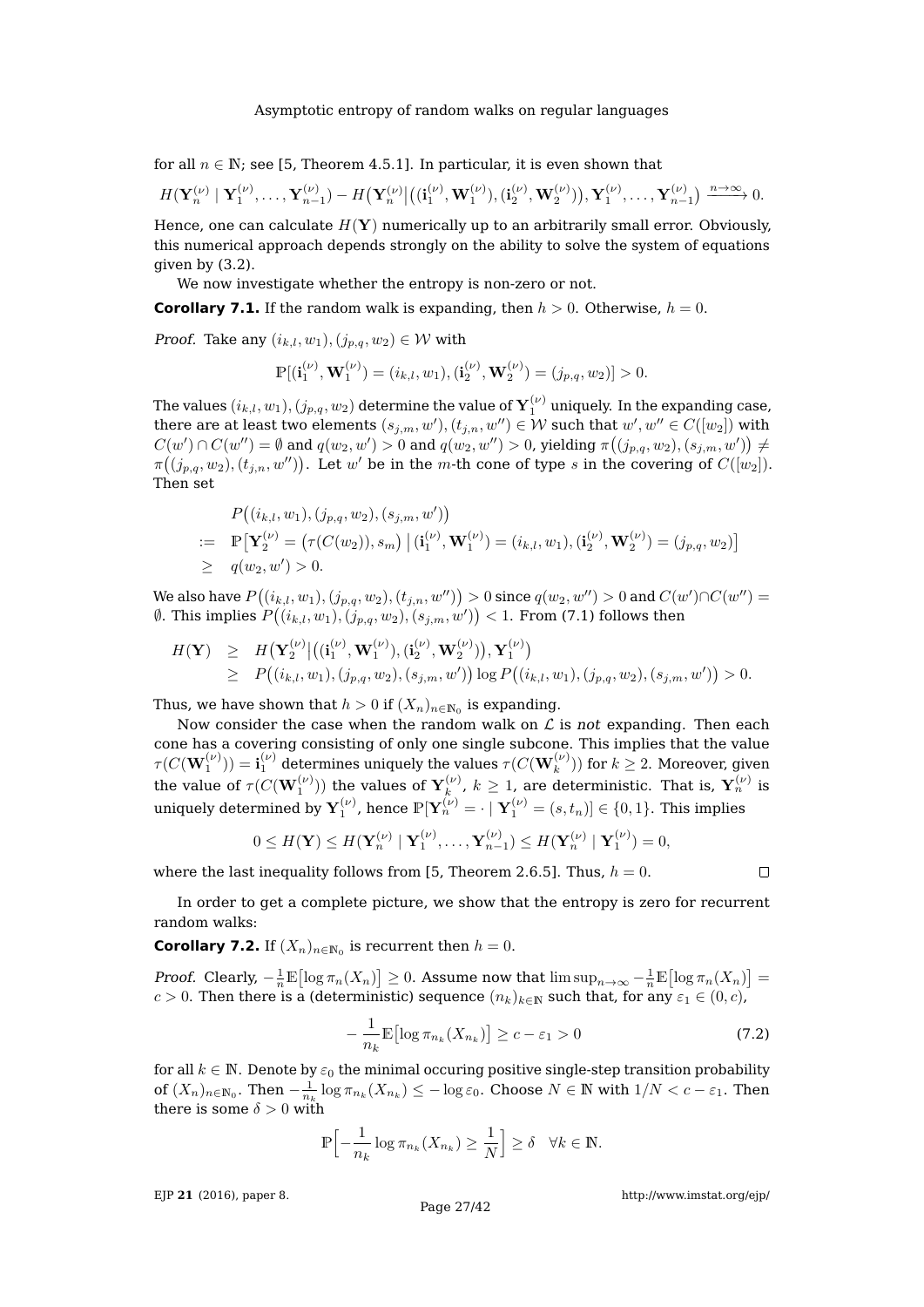for all  $n \in \mathbb{N}$ ; see [\[5,](#page-41-22) Theorem 4.5.1]. In particular, it is even shown that

 $H(\mathbf{Y}_n^{(\nu)} \mid \mathbf{Y}_1^{(\nu)}, \ldots, \mathbf{Y}_{n-1}^{(\nu)}) - H(\mathbf{Y}_n^{(\nu)} \big| \big( (\mathbf{i}_1^{(\nu)}, \mathbf{W}_1^{(\nu)}), (\mathbf{i}_2^{(\nu)}, \mathbf{W}_2^{(\nu)}) \big), \mathbf{Y}_1^{(\nu)}, \ldots, \mathbf{Y}_{n-1}^{(\nu)} \big) \xrightarrow{n \to \infty} 0.$ 

Hence, one can calculate  $H(Y)$  numerically up to an arbitrarily small error. Obviously, this numerical approach depends strongly on the ability to solve the system of equations given by [\(3.2\)](#page-7-0).

We now investigate whether the entropy is non-zero or not.

<span id="page-26-1"></span>**Corollary 7.1.** If the random walk is expanding, then  $h > 0$ . Otherwise,  $h = 0$ .

*Proof.* Take any  $(i_{k,l}, w_1), (j_{p,q}, w_2) \in \mathcal{W}$  with

$$
\mathbb{P}[(\mathbf{i}_1^{(\nu)}, \mathbf{W}_1^{(\nu)}) = (i_{k,l}, w_1), (\mathbf{i}_2^{(\nu)}, \mathbf{W}_2^{(\nu)}) = (j_{p,q}, w_2)] > 0.
$$

The values  $(i_{k,l},w_1),(j_{p,q},w_2)$  determine the value of  $\mathbf{Y}_1^{(\nu)}$  uniquely. In the expanding case, there are at least two elements  $(s_{j,m}, w'), (t_{j,n}, w'') \in \mathcal{W}$  such that  $w', w'' \in C([w_2])$  with  $C(w')\cap C(w'')=\emptyset$  and  $q(w_2,w')>0$  and  $q(w_2,w'')>0$ , yielding  $\pi((j_{p,q},w_2),(s_{j,m},w'))\neq 0$  $\pi((j_{p,q}, w_2), (t_{j,n}, w''))$ . Let  $w'$  be in the m-th cone of type s in the covering of  $C([w_2]).$ Then set

$$
P((i_{k,l}, w_1), (j_{p,q}, w_2), (s_{j,m}, w'))
$$
  
\n
$$
= \mathbb{P}[\mathbf{Y}_2^{(\nu)} = (\tau(C(w_2)), s_m) | (i_1^{(\nu)}, \mathbf{W}_1^{(\nu)}) = (i_{k,l}, w_1), (i_2^{(\nu)}, \mathbf{W}_2^{(\nu)}) = (j_{p,q}, w_2)]
$$
  
\n
$$
\geq q(w_2, w') > 0.
$$

We also have  $P\big((i_{k,l},w_1),(j_{p,q},w_2),(t_{j,n},w'')\big)>0$  since  $q(w_2,w'')>0$  and  $C(w')\cap C(w'')=0$  $\emptyset.$  This implies  $P\big((i_{k,l},w_1),(j_{p,q},w_2),(s_{j,m},w')\big)< 1.$  From [\(7.1\)](#page-25-1) follows then

$$
H(\mathbf{Y}) \geq H(\mathbf{Y}_{2}^{(\nu)} | ((\mathbf{i}_{1}^{(\nu)}, \mathbf{W}_{1}^{(\nu)}), (\mathbf{i}_{2}^{(\nu)}, \mathbf{W}_{2}^{(\nu)})), \mathbf{Y}_{1}^{(\nu)}) \geq P((i_{k,l}, w_{1}), (j_{p,q}, w_{2}), (s_{j,m}, w')) \log P((i_{k,l}, w_{1}), (j_{p,q}, w_{2}), (s_{j,m}, w')) > 0.
$$

Thus, we have shown that  $h>0$  if  $(X_n)_{n\in\mathbb{N}_0}$  is expanding.

Now consider the case when the random walk on  $\mathcal L$  is not expanding. Then each cone has a covering consisting of only one single subcone. This implies that the value  $\tau(C(\mathbf{W}^{(\nu)}_1))=\mathbf{i}_1^{(\nu)}$  determines uniquely the values  $\tau(C(\mathbf{W}^{(\nu)}_k))$  for  $k\geq 2.$  Moreover, given the value of  $\tau(C(\mathbf{W}_1^{(\nu)}))$  the values of  $\mathbf{Y}_k^{(\nu)}$ ,  $k \ge 1$ , are d  $\mathbf{x}^{(\nu)}_k$ ,  $k\geq 1$ , are deterministic. That is,  $\mathbf{Y}^{(\nu)}_n$  is uniquely determined by  ${\bf Y}_1^{(\nu)}$ , hence  $\mathbb{P}[{\bf Y}_n^{(\nu)}=\cdot \mid {\bf Y}_1^{(\nu)}=(s,t_n)]\in\{0,1\}.$  This implies

$$
0 \leq H(\mathbf{Y}) \leq H(\mathbf{Y}_n^{(\nu)} \mid \mathbf{Y}_1^{(\nu)}, \dots, \mathbf{Y}_{n-1}^{(\nu)}) \leq H(\mathbf{Y}_n^{(\nu)} \mid \mathbf{Y}_1^{(\nu)}) = 0,
$$

where the last inequality follows from [\[5,](#page-41-22) Theorem 2.6.5]. Thus,  $h = 0$ .

In order to get a complete picture, we show that the entropy is zero for recurrent random walks:

<span id="page-26-0"></span>**Corollary 7.2.** If  $(X_n)_{n \in \mathbb{N}_0}$  is recurrent then  $h = 0$ .

Proof. Clearly,  $-\frac{1}{n}\mathbb{E}[\log \pi_n(X_n)] \geq 0$ . Assume now that  $\limsup_{n\to\infty}-\frac{1}{n}\mathbb{E}[\log \pi_n(X_n)] =$ c > 0. Then there is a (deterministic) sequence  $(n_k)_{k\in\mathbb{N}}$  such that, for any  $\varepsilon_1 \in (0, c)$ ,

<span id="page-26-2"></span>
$$
-\frac{1}{n_k} \mathbb{E} \left[ \log \pi_{n_k}(X_{n_k}) \right] \ge c - \varepsilon_1 > 0 \tag{7.2}
$$

for all  $k \in \mathbb{N}$ . Denote by  $\varepsilon_0$  the minimal occuring positive single-step transition probability of  $(X_n)_{n \in \mathbb{N}_0}$ . Then  $-\frac{1}{n_k} \log \pi_{n_k}(X_{n_k}) \leq -\log \varepsilon_0$ . Choose  $N \in \mathbb{N}$  with  $1/N < c - \varepsilon_1$ . Then there is some  $\delta > 0$  with

$$
\mathbb{P}\Bigl[-\frac{1}{n_k}\log\pi_{n_k}(X_{n_k})\geq \frac{1}{N}\Bigr]\geq \delta \quad \forall k\in\mathbb{N}.
$$

EJP **21** [\(2016\), paper 8.](http://dx.doi.org/10.1214/16-EJP4180)

 $\Box$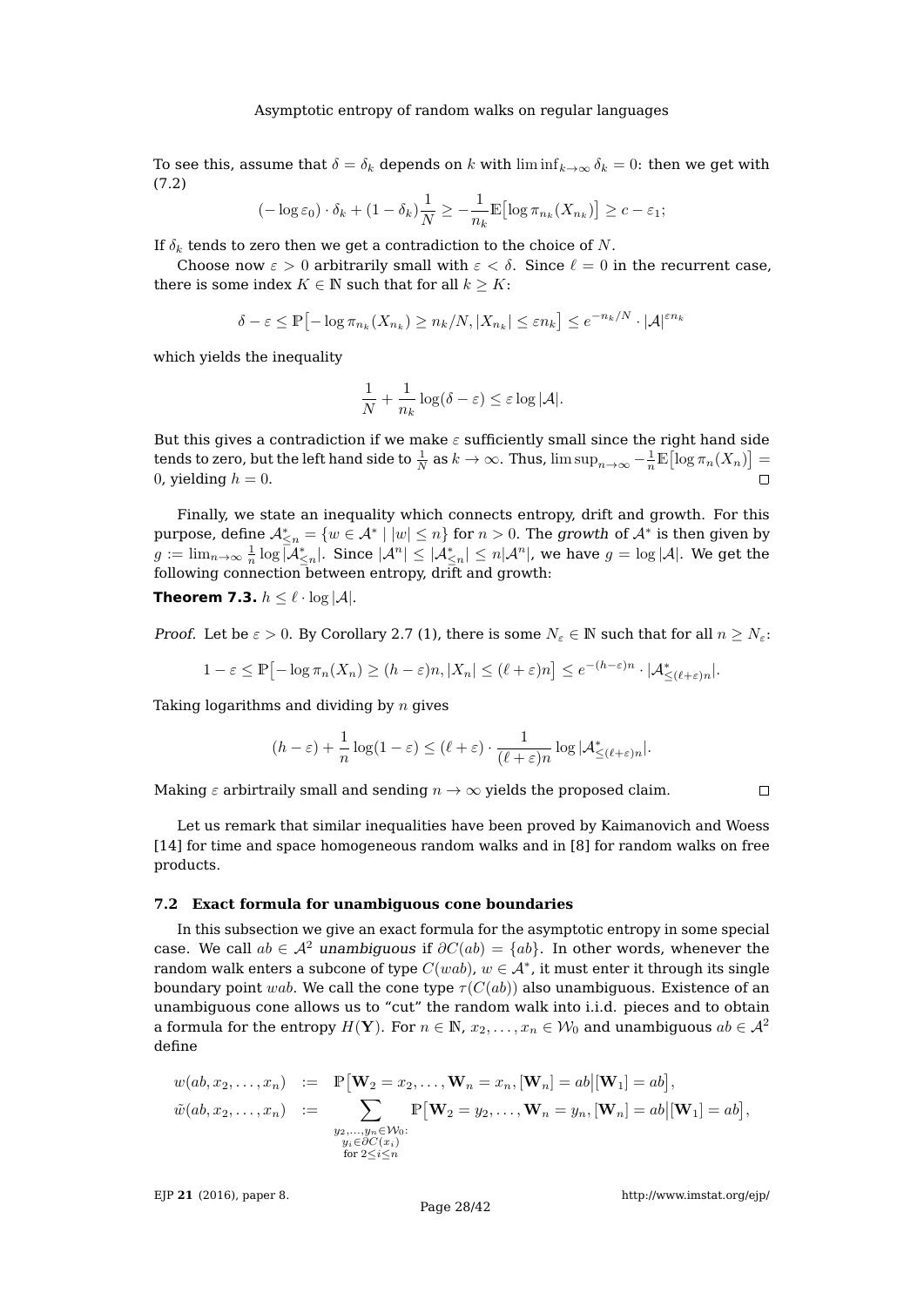To see this, assume that  $\delta = \delta_k$  depends on k with  $\liminf_{k \to \infty} \delta_k = 0$ : then we get with [\(7.2\)](#page-26-2)

$$
(-\log \varepsilon_0) \cdot \delta_k + (1 - \delta_k) \frac{1}{N} \ge -\frac{1}{n_k} \mathbb{E} [\log \pi_{n_k}(X_{n_k})] \ge c - \varepsilon_1;
$$

If  $\delta_k$  tends to zero then we get a contradiction to the choice of N.

Choose now  $\varepsilon > 0$  arbitrarily small with  $\varepsilon < \delta$ . Since  $\ell = 0$  in the recurrent case, there is some index  $K \in \mathbb{N}$  such that for all  $k \geq K$ :

$$
\delta - \varepsilon \le \mathbb{P} \left[ -\log \pi_{n_k}(X_{n_k}) \ge n_k/N, |X_{n_k}| \le \varepsilon n_k \right] \le e^{-n_k/N} \cdot |\mathcal{A}|^{\varepsilon n_k}
$$

which yields the inequality

$$
\frac{1}{N} + \frac{1}{n_k} \log(\delta - \varepsilon) \leq \varepsilon \log |\mathcal{A}|.
$$

But this gives a contradiction if we make  $\varepsilon$  sufficiently small since the right hand side tends to zero, but the left hand side to  $\frac{1}{N}$  as  $k \to \infty$ . Thus,  $\limsup_{n \to \infty} -\frac{1}{n} \mathbb{E} \bigl[ \log \pi_n(X_n) \bigr] =$ 0, yielding  $h = 0$ .

Finally, we state an inequality which connects entropy, drift and growth. For this purpose, define  $\mathcal{A}^*_{\leq n}=\{w\in \mathcal{A}^*\mid |w|\leq n\}$  for  $n>0.$  The growth of  $\mathcal{A}^*$  is then given by  $g:=\lim_{n\to\infty}\frac{1}{n}\log\overline{|\mathcal{A}^*_{\le n}|}.$  Since  $|\mathcal{A}^n|\le|\mathcal{A}^*_{\le n}|\le n|\mathcal{A}^n|,$  we have  $g=\log|\mathcal{A}|.$  We get the following connection between entropy, drift and growth:

<span id="page-27-0"></span>**Theorem 7.3.**  $h \leq \ell \cdot \log |\mathcal{A}|$ .

*Proof.* Let be  $\varepsilon > 0$ . By Corollary [2.7](#page-5-2) (1), there is some  $N_{\varepsilon} \in \mathbb{N}$  such that for all  $n \ge N_{\varepsilon}$ :

$$
1 - \varepsilon \le \mathbb{P} \left[ -\log \pi_n(X_n) \ge (h - \varepsilon)n, |X_n| \le (\ell + \varepsilon)n \right] \le e^{-(h - \varepsilon)n} \cdot |\mathcal{A}_{\le (\ell + \varepsilon)n}^*|.
$$

Taking logarithms and dividing by  $n$  gives

$$
(h-\varepsilon) + \frac{1}{n}\log(1-\varepsilon) \le (\ell+\varepsilon)\cdot \frac{1}{(\ell+\varepsilon)n}\log|\mathcal{A}_{\le (\ell+\varepsilon)n}^*|.
$$

Making  $\varepsilon$  arbirtraily small and sending  $n \to \infty$  yields the proposed claim.

 $\Box$ 

Let us remark that similar inequalities have been proved by Kaimanovich and Woess [\[14\]](#page-41-23) for time and space homogeneous random walks and in [\[8\]](#page-41-8) for random walks on free products.

### **7.2 Exact formula for unambiguous cone boundaries**

In this subsection we give an exact formula for the asymptotic entropy in some special case. We call  $ab \in A^2$  unambiguous if  $\partial C(ab) = \{ab\}$ . In other words, whenever the random walk enters a subcone of type  $C(wab)$ ,  $w\in \mathcal{A}^*$ , it must enter it through its single boundary point wab. We call the cone type  $\tau(C(ab))$  also unambiguous. Existence of an unambiguous cone allows us to "cut" the random walk into i.i.d. pieces and to obtain a formula for the entropy  $H(Y)$ . For  $n \in \mathbb{N}$ ,  $x_2, \ldots, x_n \in W_0$  and unambiguous  $ab \in \mathcal{A}^2$ define

$$
w(ab, x_2, \ldots, x_n) := \mathbb{P}[\mathbf{W}_2 = x_2, \ldots, \mathbf{W}_n = x_n, [\mathbf{W}_n] = ab | [\mathbf{W}_1] = ab],
$$
  

$$
\tilde{w}(ab, x_2, \ldots, x_n) := \sum_{\substack{y_2, \ldots, y_n \in \mathcal{W}_0:\\y_i \in \partial C(x_i)}} \mathbb{P}[\mathbf{W}_2 = y_2, \ldots, \mathbf{W}_n = y_n, [\mathbf{W}_n] = ab | [\mathbf{W}_1] = ab],
$$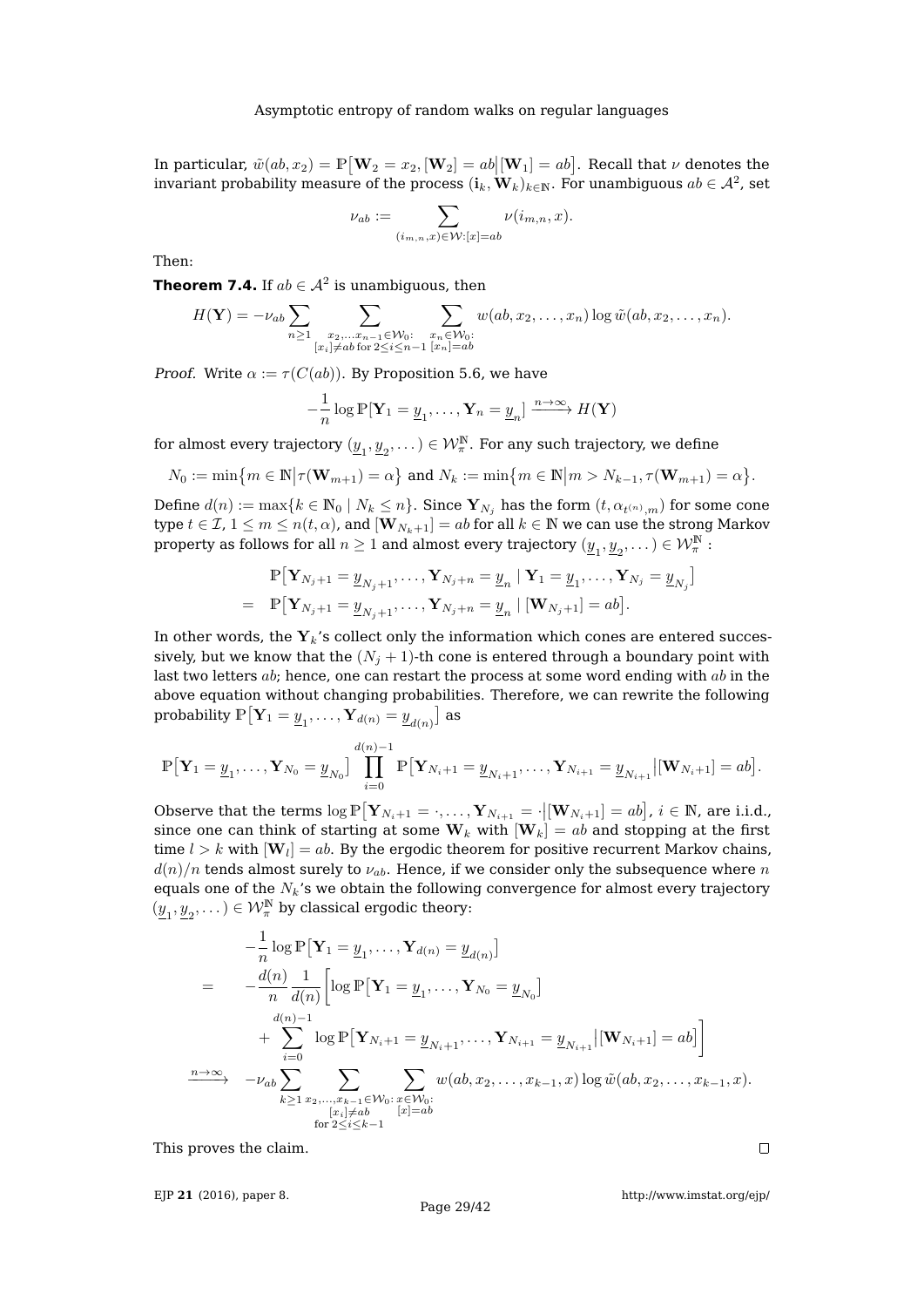In particular,  $\tilde{w}(ab, x_2) = \mathbb{P}[\mathbf{W}_2 = x_2, [\mathbf{W}_2] = ab][\mathbf{W}_1] = ab]$ . Recall that  $\nu$  denotes the invariant probability measure of the process  $(\mathbf{i}_k, \mathbf{W}_k)_{k\in \mathbb{N}}.$  For unambiguous  $ab \in \mathcal{A}^2$ , set

$$
\nu_{ab} := \sum_{(i_{m,n},x) \in \mathcal{W}: [x] = ab} \nu(i_{m,n},x).
$$

Then:

<span id="page-28-0"></span>**Theorem 7.4.** If  $ab \in \mathcal{A}^2$  is unambiguous, then

$$
H(\mathbf{Y}) = -\nu_{ab} \sum_{n \geq 1} \sum_{\substack{x_2, \dots, x_{n-1} \in \mathcal{W}_0:\\[x_i] \neq ab \text{ for } 2 \leq i \leq n-1}} \sum_{\substack{x_n \in \mathcal{W}_0:\\[x_n] = ab}} w(ab, x_2, \dots, x_n) \log \tilde{w}(ab, x_2, \dots, x_n).
$$

*Proof.* Write  $\alpha := \tau(C(ab))$ . By Proposition [5.6,](#page-18-1) we have

$$
-\frac{1}{n}\log \mathbb{P}[\mathbf{Y}_1 = \underline{y}_1, \dots, \mathbf{Y}_n = \underline{y}_n] \xrightarrow{n \to \infty} H(\mathbf{Y})
$$

for almost every trajectory  $(\underline{y}_1, \underline{y}_2, \dots) \in \mathcal{W}_\pi^\mathbb{N}.$  For any such trajectory, we define

$$
N_0:=\min\bigl\{m\in\mathbb{N}\big|\tau(\mathbf{W}_{m+1})=\alpha\bigr\}\text{ and }N_k:=\min\bigl\{m\in\mathbb{N}\big|m>N_{k-1},\tau(\mathbf{W}_{m+1})=\alpha\bigr\}.
$$

Define  $d(n) := \max\{k \in \mathbb{N}_0 \mid N_k \leq n\}$ . Since  $\mathbf{Y}_{N_j}$  has the form  $(t, \alpha_{t^{(n)}, m})$  for some cone type  $t \in \mathcal{I}$ ,  $1 \leq m \leq n(t, \alpha)$ , and  $[\mathbf{W}_{N_k+1}] = ab$  for all  $k \in \mathbb{N}$  we can use the strong Markov property as follows for all  $n\geq 1$  and almost every trajectory  $(\underline{y}_1,\underline{y}_2,\dots)\in\mathcal{W}_\pi^\mathbb{N}$  :

$$
\mathbb{P}\big[\mathbf{Y}_{N_j+1} = \underline{y}_{N_j+1}, \dots, \mathbf{Y}_{N_j+n} = \underline{y}_n \mid \mathbf{Y}_1 = \underline{y}_1, \dots, \mathbf{Y}_{N_j} = \underline{y}_{N_j}\big]
$$
\n
$$
= \mathbb{P}\big[\mathbf{Y}_{N_j+1} = \underline{y}_{N_j+1}, \dots, \mathbf{Y}_{N_j+n} = \underline{y}_n \mid [\mathbf{W}_{N_j+1}] = ab\big].
$$

In other words, the  $Y_k$ 's collect only the information which cones are entered successively, but we know that the  $(N_i + 1)$ -th cone is entered through a boundary point with last two letters  $ab$ ; hence, one can restart the process at some word ending with  $ab$  in the above equation without changing probabilities. Therefore, we can rewrite the following probability  $\mathbb{P}\big[\mathbf{Y}_1 = \underline{y}_1, \ldots, \mathbf{Y}_{d(n)} = \underline{y}_{d(n)}\big]$  as

$$
\mathbb{P}\big[\mathbf{Y}_1 = \underline{y}_1, \dots, \mathbf{Y}_{N_0} = \underline{y}_{N_0}\big] \prod_{i=0}^{d(n)-1} \mathbb{P}\big[\mathbf{Y}_{N_i+1} = \underline{y}_{N_i+1}, \dots, \mathbf{Y}_{N_{i+1}} = \underline{y}_{N_{i+1}} \big| [\mathbf{W}_{N_i+1}] = ab \big].
$$

Observe that the terms  $\log \mathbb{P}[\mathbf{Y}_{N_i+1} = \cdot, \dots, \mathbf{Y}_{N_{i+1}} = \cdot | [\mathbf{W}_{N_i+1}] = ab]$ ,  $i \in \mathbb{N}$ , are i.i.d., since one can think of starting at some  $W_k$  with  $|W_k| = ab$  and stopping at the first time  $l > k$  with  $[\mathbf{W}_l] = ab.$  By the ergodic theorem for positive recurrent Markov chains,  $d(n)/n$  tends almost surely to  $\nu_{ab}$ . Hence, if we consider only the subsequence where n equals one of the  $N_k$ 's we obtain the following convergence for almost every trajectory  $(\underline{y}_1, \underline{y}_2, \dots) \in \mathcal{W}_{\pi}^{\mathbb{N}}$  by classical ergodic theory:

$$
-\frac{1}{n}\log \mathbb{P}\left[\mathbf{Y}_{1} = \underline{y}_{1}, \ldots, \mathbf{Y}_{d(n)} = \underline{y}_{d(n)}\right]
$$
\n
$$
= -\frac{d(n)}{n}\frac{1}{d(n)}\left[\log \mathbb{P}\left[\mathbf{Y}_{1} = \underline{y}_{1}, \ldots, \mathbf{Y}_{N_{0}} = \underline{y}_{N_{0}}\right]\right]
$$
\n
$$
+ \sum_{i=0}^{d(n)-1} \log \mathbb{P}\left[\mathbf{Y}_{N_{i}+1} = \underline{y}_{N_{i}+1}, \ldots, \mathbf{Y}_{N_{i+1}} = \underline{y}_{N_{i+1}}\left|[\mathbf{W}_{N_{i}+1}] = ab\right]\right]
$$
\n
$$
\xrightarrow{n \to \infty} -\nu_{ab} \sum_{k \geq 1} \sum_{\substack{x_{2}, \ldots, x_{k-1} \in \mathcal{W}_{0}: \\ [x_{i}] \neq ab}} \sum_{\substack{x \in \mathcal{W}_{0}: \\ [x_{i}] = ab}} \sum_{\substack{x_{i} \in \mathcal{W}_{0}: \\ [x_{i}] = ab}} w(ab, x_{2}, \ldots, x_{k-1}, x) \log \tilde{w}(ab, x_{2}, \ldots, x_{k-1}, x).
$$

This proves the claim.

EJP **21** [\(2016\), paper 8.](http://dx.doi.org/10.1214/16-EJP4180)

<http://www.imstat.org/ejp/>

 $\Box$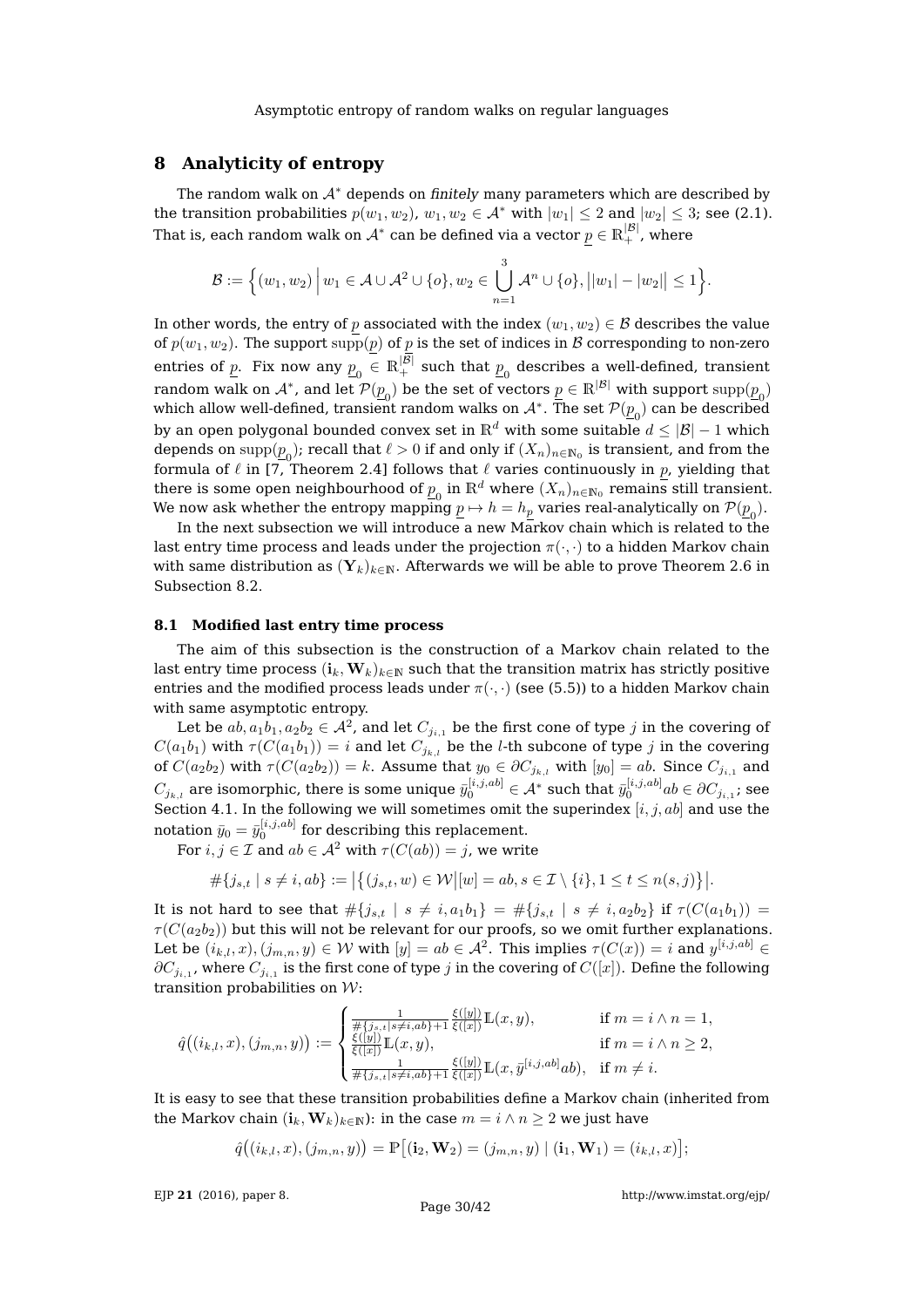# <span id="page-29-0"></span>**8 Analyticity of entropy**

The random walk on  $A^*$  depends on finitely many parameters which are described by the transition probabilities  $p(w_1, w_2), w_1, w_2 \in \mathcal{A}^*$  with  $|w_1| \leq 2$  and  $|w_2| \leq 3$ ; see [\(2.1\)](#page-2-1). That is, each random walk on  $\mathcal{A}^*$  can be defined via a vector  $\underline{p}\in\mathbb{R}_+^{|\mathcal{B}|}$ , where

$$
\mathcal{B} := \Big\{ (w_1, w_2) \Big| \, w_1 \in \mathcal{A} \cup \mathcal{A}^2 \cup \{o\}, w_2 \in \bigcup_{n=1}^3 \mathcal{A}^n \cup \{o\}, \big| |w_1| - |w_2| \big| \leq 1 \Big\}.
$$

In other words, the entry of p associated with the index  $(w_1, w_2) \in \mathcal{B}$  describes the value of  $p(w_1, w_2)$ . The support  $supp(p)$  of p is the set of indices in B corresponding to non-zero entries of  $p$ . Fix now any  $p_{0}^{\pm}\in\mathbb{R}_{+}^{|\mathcal{B}|}$  such that  $p_{0}^{\pm}$  describes a well-defined, transient random walk on  $\mathcal{A}^*$ , and let  $\mathcal{P}(\underline{p}_0)$  be the set of vectors  $\underline{p} \in \mathbb{R}^{|\mathcal{B}|}$  with support  $\text{supp}(\underline{p}_0)$ which allow well-defined, transient random walks on  $\mathcal{A}^*.$  The set  $\mathcal{P}(\underline{p}_0)$  can be described by an open polygonal bounded convex set in  $\mathbb{R}^d$  with some suitable  $d \leq |\mathcal{B}| - 1$  which depends on  $\mathrm{supp}(\underline{p}_0)$ ; recall that  $\ell > 0$  if and only if  $(X_n)_{n\in\mathbb{N}_0}$  is transient, and from the formula of  $\ell$  in [\[7,](#page-41-17) Theorem 2.4] follows that  $\ell$  varies continuously in p, yielding that there is some open neighbourhood of  $\underline{p}_0$  in  $\mathbb{R}^d$  where  $(X_n)_{n\in\mathbb{N}_0}$  remains still transient. We now ask whether the entropy mapping  $\underline{p} \mapsto h = h_{\underline{p}}$  varies real-analytically on  $\mathcal{P}(\underline{p}_0).$ 

In the next subsection we will introduce a new Markov chain which is related to the last entry time process and leads under the projection  $\pi(\cdot, \cdot)$  to a hidden Markov chain with same distribution as  $(Y_k)_{k\in\mathbb{N}}$ . Afterwards we will be able to prove Theorem [2.6](#page-5-4) in Subsection [8.2.](#page-30-0)

# **8.1 Modified last entry time process**

The aim of this subsection is the construction of a Markov chain related to the last entry time process  $(i_k, W_k)_{k \in \mathbb{N}}$  such that the transition matrix has strictly positive entries and the modified process leads under  $\pi(\cdot, \cdot)$  (see [\(5.5\)](#page-17-2)) to a hidden Markov chain with same asymptotic entropy.

Let be  $ab,a_1b_1,a_2b_2\in\mathcal{A}^2$ , and let  $C_{j_{i,1}}$  be the first cone of type  $j$  in the covering of  $C(a_1b_1)$  with  $\tau(C(a_1b_1)) = i$  and let  $C_{i_{k,l}}$  be the *l*-th subcone of type j in the covering of  $C(a_2b_2)$  with  $\tau(C(a_2b_2)) = k$ . Assume that  $y_0 \in \partial C_{j_{k,l}}$  with  $[y_0] = ab$ . Since  $C_{j_{i,1}}$  and  $C_{j_{k,l}}$  are isomorphic, there is some unique  $\bar y_0^{[i,j,ab]}\in\mathcal A^*$  such that  $\bar y_0^{[i,j,ab]}{}_{ab}\in\partial C_{j_{i,1}};$  see Section [4.1.](#page-8-3) In the following we will sometimes omit the superindex  $[i, j, ab]$  and use the notation  $\bar{y}_0 = \bar{y}_0^{[i,j,ab]}$  for describing this replacement.

For  $i, j \in \mathcal{I}$  and  $ab \in \mathcal{A}^2$  with  $\tau(C(ab)) = j$ , we write

$$
\#\{j_{s,t}\mid s\neq i,ab\}:=\big|\big\{(j_{s,t},w)\in \mathcal{W}\big| [w]=ab, s\in \mathcal{I}\setminus\{i\}, 1\leq t\leq n(s,j)\big\}\big|.
$$

It is not hard to see that  $\#\{j_{s,t} \mid s \neq i, a_1b_1\} = \#\{j_{s,t} \mid s \neq i, a_2b_2\}$  if  $\tau(C(a_1b_1)) =$  $\tau(C(a_2b_2))$  but this will not be relevant for our proofs, so we omit further explanations. Let be  $(i_{k,l},x),(j_{m,n},y)\in \mathcal{W}$  with  $[y]=ab\in \mathcal{A}^2.$  This implies  $\tau(C(x))=i$  and  $y^{[i,j,ab]}\in \mathcal{W}$  $\partial C_{j_{i,1}}$ , where  $C_{j_{i,1}}$  is the first cone of type  $j$  in the covering of  $C([x])$ . Define the following transition probabilities on  $W$ :

$$
\hat{q}((i_{k,l}, x), (j_{m,n}, y)) := \begin{cases} \frac{1}{\# \{j_{s,t} | s \neq i, ab\} + 1} \frac{\xi([y])}{\xi([x])} \mathbb{L}(x, y), & \text{if } m = i \wedge n = 1, \\ \frac{\xi([y])}{\xi([x])} \mathbb{L}(x, y), & \text{if } m = i \wedge n \ge 2, \\ \frac{1}{\# \{j_{s,t} | s \neq i, ab\} + 1} \frac{\xi([y])}{\xi([x])} \mathbb{L}(x, \bar{y}^{[i,j,ab]}ab), & \text{if } m \neq i. \end{cases}
$$

It is easy to see that these transition probabilities define a Markov chain (inherited from the Markov chain  $(i_k, W_k)_{k \in \mathbb{N}}$ : in the case  $m = i \wedge n \geq 2$  we just have

$$
\hat{q}\big((i_{k,l},x),(j_{m,n},y)\big)=\mathbb{P}\big[(\mathbf{i}_2,\mathbf{W}_2)=(j_{m,n},y)\mid (\mathbf{i}_1,\mathbf{W}_1)=(i_{k,l},x)\big];
$$

EJP **21** [\(2016\), paper 8.](http://dx.doi.org/10.1214/16-EJP4180)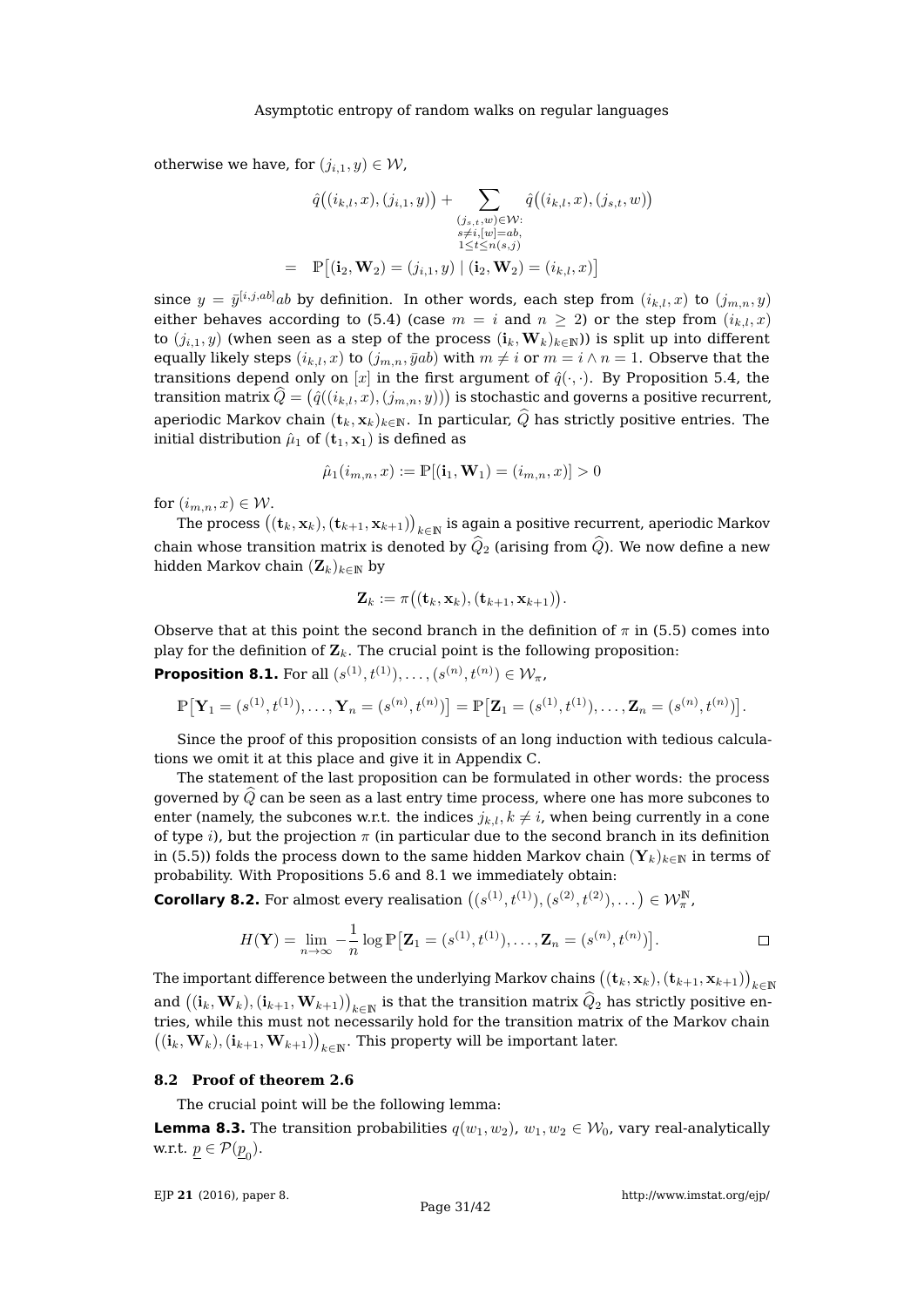otherwise we have, for  $(j_{i,1}, y) \in W$ ,

$$
\hat{q}((i_{k,l}, x), (j_{i,1}, y)) + \sum_{\substack{(j_{s,t}, w) \in \mathcal{W}: \ s \neq i, [w] = ab, \\ s \neq i, [w] = ab, \\ 1 \leq t \leq n(s, j)}} \hat{q}((i_{k,l}, x), (j_{s,t}, w))
$$
\n
$$
= \mathbb{P}[(i_2, \mathbf{W}_2) = (j_{i,1}, y) | (i_2, \mathbf{W}_2) = (i_{k,l}, x)]
$$

since  $y\,=\,\bar y^{[i,j,ab]}{}_{ab}$  by definition. In other words, each step from  $(i_{k,l},x)$  to  $(j_{m,n},y)$ either behaves according to [\(5.4\)](#page-17-1) (case  $m = i$  and  $n \ge 2$ ) or the step from  $(i_{k,l}, x)$ to  $(j_{i,1}, y)$  (when seen as a step of the process  $(i_k, W_k)_{k \in \mathbb{N}}$ ) is split up into different equally likely steps  $(i_{k,l}, x)$  to  $(j_{m,n}, \bar{y}ab)$  with  $m \neq i$  or  $m = i \wedge n = 1$ . Observe that the transitions depend only on [x] in the first argument of  $\hat{q}(\cdot,\cdot)$ . By Proposition [5.4,](#page-17-3) the transition matrix  $\widehat{Q} = \big(\hat{q}((i_{k,l},x),(j_{m,n}, y))\big)$  is stochastic and governs a positive recurrent, aperiodic Markov chain  $(\mathbf{t}_k, \mathbf{x}_k)_{k\in\mathbb{N}}$ . In particular,  $\widehat{Q}$  has strictly positive entries. The initial distribution  $\hat{\mu}_1$  of  $(t_1, x_1)$  is defined as

$$
\hat{\mu}_1(i_{m,n}, x) := \mathbb{P}[(\mathbf{i}_1, \mathbf{W}_1) = (i_{m,n}, x)] > 0
$$

for  $(i_{m,n}, x) \in \mathcal{W}$ .

The process  $\big((\mathbf{t}_k,\mathbf{x}_k),(\mathbf{t}_{k+1},\mathbf{x}_{k+1})\big)_{k\in \mathbb{N}}$  is again a positive recurrent, aperiodic Markov chain whose transition matrix is denoted by  $\widehat{Q}_2$  (arising from  $\widehat{Q}$ ). We now define a new hidden Markov chain  $(\mathbf{Z}_k)_{k \in \mathbb{N}}$  by

$$
\mathbf{Z}_k := \pi\big((\mathbf{t}_k,\mathbf{x}_k),(\mathbf{t}_{k+1},\mathbf{x}_{k+1})\big).
$$

Observe that at this point the second branch in the definition of  $\pi$  in [\(5.5\)](#page-17-2) comes into play for the definition of  $\mathbf{Z}_k$ . The crucial point is the following proposition:

<span id="page-30-1"></span>**Proposition 8.1.** For all  $(s^{(1)}, t^{(1)}), \ldots, (s^{(n)}, t^{(n)}) \in \mathcal{W}_{\pi}$ ,

$$
\mathbb{P}\big[\mathbf{Y}_1 = (s^{(1)}, t^{(1)}), \dots, \mathbf{Y}_n = (s^{(n)}, t^{(n)})\big] = \mathbb{P}\big[\mathbf{Z}_1 = (s^{(1)}, t^{(1)}), \dots, \mathbf{Z}_n = (s^{(n)}, t^{(n)})\big].
$$

Since the proof of this proposition consists of an long induction with tedious calculations we omit it at this place and give it in Appendix [C.](#page-34-0)

The statement of the last proposition can be formulated in other words: the process governed by  $\tilde{Q}$  can be seen as a last entry time process, where one has more subcones to enter (namely, the subcones w.r.t. the indices  $j_{k,l}, k \neq i$ , when being currently in a cone of type i), but the projection  $\pi$  (in particular due to the second branch in its definition in [\(5.5\)](#page-17-2)) folds the process down to the same hidden Markov chain  $(Y_k)_{k\in\mathbb{N}}$  in terms of probability. With Propositions [5.6](#page-18-1) and [8.1](#page-30-1) we immediately obtain:

<span id="page-30-3"></span>**Corollary 8.2.** For almost every realisation  $((s^{(1)}, t^{(1)}), (s^{(2)}, t^{(2)}), \dots) \in \mathcal{W}_{\pi}^{\mathbb{N}},$ 

$$
H(\mathbf{Y}) = \lim_{n \to \infty} -\frac{1}{n} \log \mathbb{P}\big[\mathbf{Z}_1 = (s^{(1)}, t^{(1)}), \dots, \mathbf{Z}_n = (s^{(n)}, t^{(n)})\big].
$$

The important difference between the underlying Markov chains  $\big((\mathbf{t}_k,\mathbf{x}_k),(\mathbf{t}_{k+1},\mathbf{x}_{k+1})\big)_{k\in\mathbb{N}}$ and  $((\mathbf{i}_k,\mathbf{W}_k),(\mathbf{i}_{k+1},\mathbf{W}_{k+1}))_{k\in\mathbb{N}}$  is that the transition matrix  $\hat{Q}_2$  has strictly positive entries, while this must not necessarily hold for the transition matrix of the Markov chain  $((\mathbf{i}_k, \mathbf{W}_k), (\mathbf{i}_{k+1}, \mathbf{W}_{k+1}))_{k \in \mathbb{N}}$ . This property will be important later.

#### <span id="page-30-0"></span>**8.2 Proof of theorem [2.6](#page-5-4)**

The crucial point will be the following lemma:

<span id="page-30-2"></span>**Lemma 8.3.** The transition probabilities  $q(w_1, w_2)$ ,  $w_1, w_2 \in W_0$ , vary real-analytically w.r.t.  $\underline{p} \in \mathcal{P}(\underline{p}_0)$ .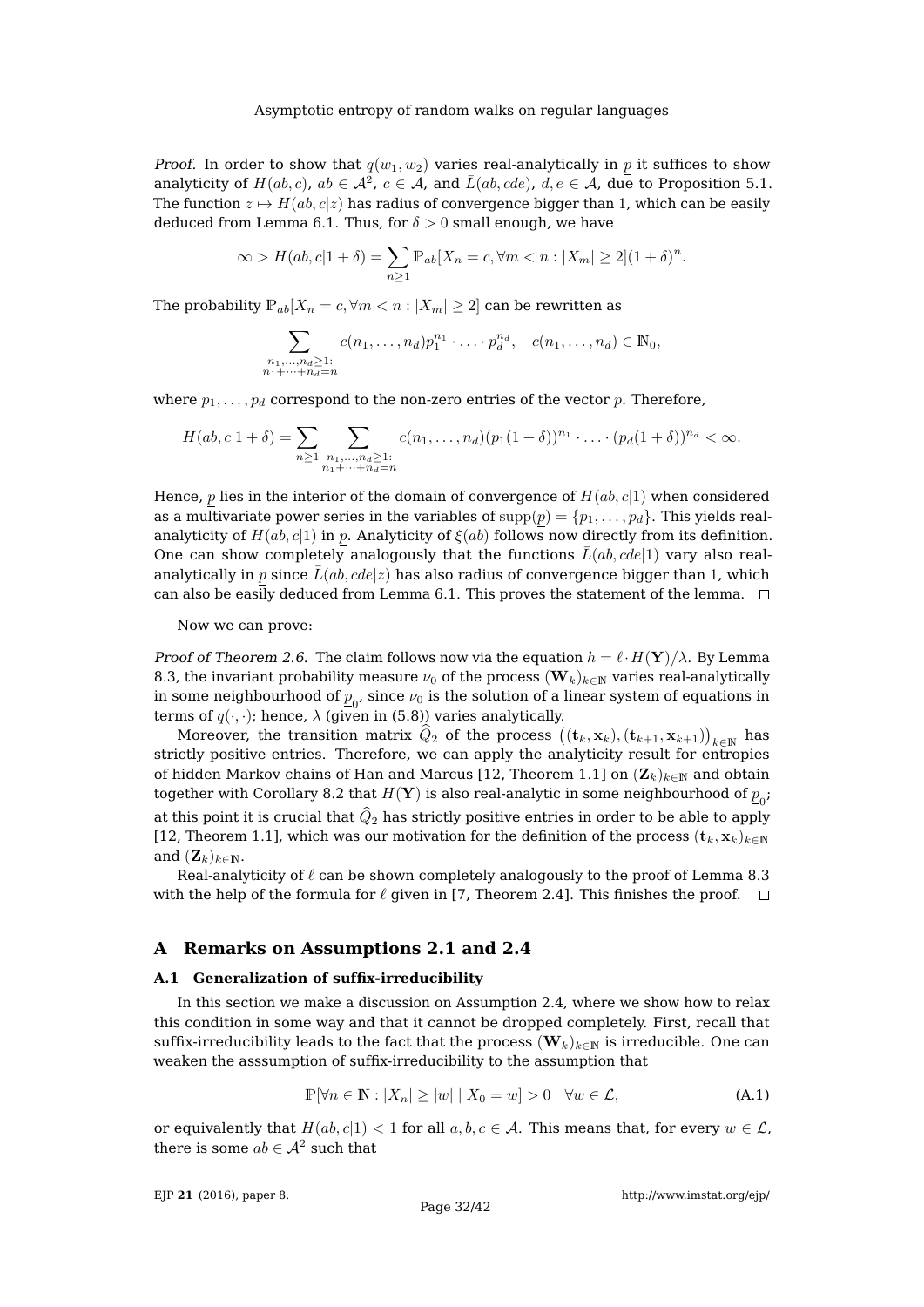*Proof.* In order to show that  $q(w_1, w_2)$  varies real-analytically in p it suffices to show analyticity of  $H(ab, c)$ ,  $ab \in \mathcal{A}^2$ ,  $c \in \mathcal{A}$ , and  $\bar{L}(ab, cde)$ ,  $d, e \in \mathcal{A}$ , due to Proposition [5.1.](#page-14-2) The function  $z \mapsto H(ab, c|z)$  has radius of convergence bigger than 1, which can be easily deduced from Lemma [6.1.](#page-22-1) Thus, for  $\delta > 0$  small enough, we have

$$
\infty > H(ab, c|1+\delta) = \sum_{n \ge 1} \mathbb{P}_{ab}[X_n = c, \forall m < n : |X_m| \ge 2](1+\delta)^n.
$$

The probability  $\mathbb{P}_{ab}[X_n = c, \forall m < n : |X_m| \geq 2]$  can be rewritten as

$$
\sum_{\substack{n_1,\ldots,n_d\geq 1:\\n_1+\cdots+n_d=n}}c(n_1,\ldots,n_d)p_1^{n_1}\cdot\ldots\cdot p_d^{n_d}, \quad c(n_1,\ldots,n_d)\in\mathbb{N}_0,
$$

where  $p_1, \ldots, p_d$  correspond to the non-zero entries of the vector p. Therefore,

$$
H(ab, c|1+\delta) = \sum_{n \geq 1} \sum_{\substack{n_1, \dots, n_d \geq 1:\\ n_1 + \dots + n_d = n}} c(n_1, \dots, n_d) (p_1(1+\delta))^{n_1} \cdot \dots \cdot (p_d(1+\delta))^{n_d} < \infty.
$$

Hence, p lies in the interior of the domain of convergence of  $H(ab, c|1)$  when considered as a multivariate power series in the variables of  $supp(p) = \{p_1, \ldots, p_d\}$ . This yields realanalyticity of  $H(ab, c|1)$  in p. Analyticity of  $\xi(ab)$  follows now directly from its definition. One can show completely analogously that the functions  $\bar{L}(ab, cde|1)$  vary also realanalytically in p since  $\bar{L}(ab, cde|z)$  has also radius of convergence bigger than 1, which can also be easily deduced from Lemma [6.1.](#page-22-1) This proves the statement of the lemma.  $\Box$ 

Now we can prove:

Proof of Theorem [2.6.](#page-5-4) The claim follows now via the equation  $h = \ell \cdot H(Y)/\lambda$ . By Lemma [8.3,](#page-30-2) the invariant probability measure  $\nu_0$  of the process  $(\mathbf{W}_k)_{k\in\mathbb{N}}$  varies real-analytically in some neighbourhood of  $\overline{p}_0^{}$ , since  $\nu_0$  is the solution of a linear system of equations in terms of  $q(\cdot, \cdot)$ ; hence,  $\lambda$  (given in [\(5.8\)](#page-21-0)) varies analytically.

Moreover, the transition matrix  $\hat{Q}_2$  of the process  $((\mathbf{t}_k, \mathbf{x}_k), (\mathbf{t}_{k+1}, \mathbf{x}_{k+1}))_{k \in \mathbb{N}}$  has strictly positive entries. Therefore, we can apply the analyticity result for entropies of hidden Markov chains of Han and Marcus [\[12,](#page-41-16) Theorem 1.1] on  $(\mathbf{Z}_k)_{k\in\mathbb{N}}$  and obtain together with Corollary [8.2](#page-30-3) that  $H(\mathbf{Y})$  is also real-analytic in some neighbourhood of  $\underline{p}_0$ ; at this point it is crucial that  $\widehat{Q}_2$  has strictly positive entries in order to be able to apply [\[12,](#page-41-16) Theorem 1.1], which was our motivation for the definition of the process  $(\mathbf{t}_k, \mathbf{x}_k)_{k \in \mathbb{N}}$ and  $(\mathbf{Z}_k)_{k\in\mathbb{N}}$ .

Real-analyticity of  $\ell$  can be shown completely analogously to the proof of Lemma [8.3](#page-30-2) with the help of the formula for  $\ell$  given in [\[7,](#page-41-17) Theorem 2.4]. This finishes the proof.  $\Box$ 

# **A Remarks on Assumptions [2.1](#page-3-0) and [2.4](#page-4-0)**

## <span id="page-31-0"></span>**A.1 Generalization of suffix-irreducibility**

In this section we make a discussion on Assumption [2.4,](#page-4-0) where we show how to relax this condition in some way and that it cannot be dropped completely. First, recall that suffix-irreducibility leads to the fact that the process  $(\mathbf{W}_k)_{k\in\mathbb{N}}$  is irreducible. One can weaken the asssumption of suffix-irreducibility to the assumption that

<span id="page-31-1"></span>
$$
\mathbb{P}[\forall n \in \mathbb{N} : |X_n| \ge |w| \mid X_0 = w] > 0 \quad \forall w \in \mathcal{L}, \tag{A.1}
$$

or equivalently that  $H(ab, c|1) < 1$  for all  $a, b, c \in A$ . This means that, for every  $w \in \mathcal{L}$ , there is some  $ab \in \mathcal{A}^2$  such that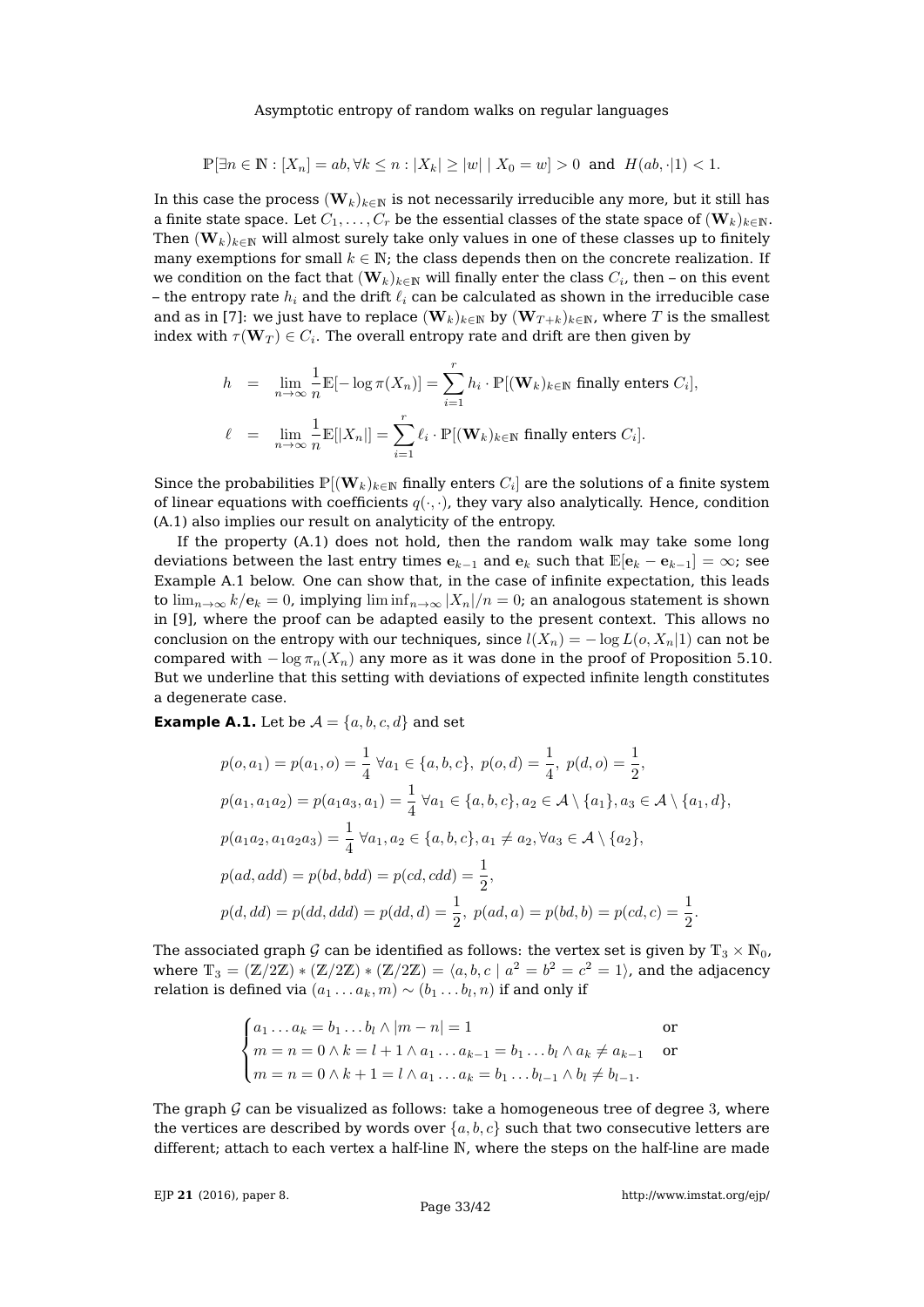$$
\mathbb{P}[\exists n \in \mathbb{N} : [X_n] = ab, \forall k \le n : |X_k| \ge |w| \mid X_0 = w] > 0 \text{ and } H(ab, \cdot |1) < 1.
$$

In this case the process  $(\mathbf{W}_k)_{k \in \mathbb{N}}$  is not necessarily irreducible any more, but it still has a finite state space. Let  $C_1, \ldots, C_r$  be the essential classes of the state space of  $(\mathbf{W}_k)_{k \in \mathbb{N}}$ . Then  $(\mathbf{W}_k)_{k\in\mathbb{N}}$  will almost surely take only values in one of these classes up to finitely many exemptions for small  $k \in \mathbb{N}$ ; the class depends then on the concrete realization. If we condition on the fact that  $(\mathbf{W}_k)_{k \in \mathbb{N}}$  will finally enter the class  $C_i$ , then – on this event – the entropy rate  $h_i$  and the drift  $\ell_i$  can be calculated as shown in the irreducible case and as in [\[7\]](#page-41-17): we just have to replace  $(\mathbf{W}_k)_{k \in \mathbb{N}}$  by  $(\mathbf{W}_{T+k})_{k \in \mathbb{N}}$ , where T is the smallest index with  $\tau(\mathbf{W}_T) \in C_i.$  The overall entropy rate and drift are then given by

$$
h = \lim_{n \to \infty} \frac{1}{n} \mathbb{E}[-\log \pi(X_n)] = \sum_{i=1}^r h_i \cdot \mathbb{P}[(\mathbf{W}_k)_{k \in \mathbb{N}} \text{ finally enters } C_i],
$$
  

$$
\ell = \lim_{n \to \infty} \frac{1}{n} \mathbb{E}[|X_n|] = \sum_{i=1}^r \ell_i \cdot \mathbb{P}[(\mathbf{W}_k)_{k \in \mathbb{N}} \text{ finally enters } C_i].
$$

Since the probabilities  $\mathbb{P}[(\mathbf{W}_k)_{k\in \mathbb{N}}$  finally enters  $C_i]$  are the solutions of a finite system of linear equations with coefficients  $q(\cdot, \cdot)$ , they vary also analytically. Hence, condition [\(A.1\)](#page-31-1) also implies our result on analyticity of the entropy.

If the property [\(A.1\)](#page-31-1) does not hold, then the random walk may take some long deviations between the last entry times  $e_{k-1}$  and  $e_k$  such that  $\mathbb{E}[e_k - e_{k-1}] = \infty$ ; see Example [A.1](#page-32-0) below. One can show that, in the case of infinite expectation, this leads to  $\lim_{n\to\infty}k/e_k=0$ , implying  $\liminf_{n\to\infty} |X_n|/n=0$ ; an analogous statement is shown in [\[9\]](#page-41-7), where the proof can be adapted easily to the present context. This allows no conclusion on the entropy with our techniques, since  $l(X_n) = -\log L(o, X_n|1)$  can not be compared with  $-\log \pi_n(X_n)$  any more as it was done in the proof of Proposition [5.10.](#page-21-3) But we underline that this setting with deviations of expected infinite length constitutes a degenerate case.

<span id="page-32-0"></span>**Example A.1.** Let be  $A = \{a, b, c, d\}$  and set

$$
p(o, a_1) = p(a_1, o) = \frac{1}{4} \forall a_1 \in \{a, b, c\}, p(o, d) = \frac{1}{4}, p(d, o) = \frac{1}{2},
$$
  
\n
$$
p(a_1, a_1a_2) = p(a_1a_3, a_1) = \frac{1}{4} \forall a_1 \in \{a, b, c\}, a_2 \in \mathcal{A} \setminus \{a_1\}, a_3 \in \mathcal{A} \setminus \{a_1, d\},
$$
  
\n
$$
p(a_1a_2, a_1a_2a_3) = \frac{1}{4} \forall a_1, a_2 \in \{a, b, c\}, a_1 \neq a_2, \forall a_3 \in \mathcal{A} \setminus \{a_2\},
$$
  
\n
$$
p(ad, add) = p(bd, bdd) = p(cd, cdd) = \frac{1}{2},
$$
  
\n
$$
p(d, dd) = p(dd, dd) = p(dd, d) = \frac{1}{2}, p(ad, a) = p(bd, b) = p(cd, c) = \frac{1}{2}.
$$

The associated graph G can be identified as follows: the vertex set is given by  $\mathbb{T}_3 \times \mathbb{N}_0$ , where  $\mathbb{T}_3 = (\mathbb{Z}/2\mathbb{Z}) * (\mathbb{Z}/2\mathbb{Z}) * (\mathbb{Z}/2\mathbb{Z}) = \langle a, b, c \mid a^2 = b^2 = c^2 = 1 \rangle$ , and the adjacency relation is defined via  $(a_1 \ldots a_k,m) \sim (b_1 \ldots b_l,n)$  if and only if

$$
\begin{cases} a_1 \dots a_k = b_1 \dots b_l \land |m - n| = 1 & \text{or} \\ m = n = 0 \land k = l + 1 \land a_1 \dots a_{k-1} = b_1 \dots b_l \land a_k \neq a_{k-1} & \text{or} \\ m = n = 0 \land k + 1 = l \land a_1 \dots a_k = b_1 \dots b_{l-1} \land b_l \neq b_{l-1}.\end{cases}
$$

The graph  $G$  can be visualized as follows: take a homogeneous tree of degree 3, where the vertices are described by words over  $\{a, b, c\}$  such that two consecutive letters are different; attach to each vertex a half-line N, where the steps on the half-line are made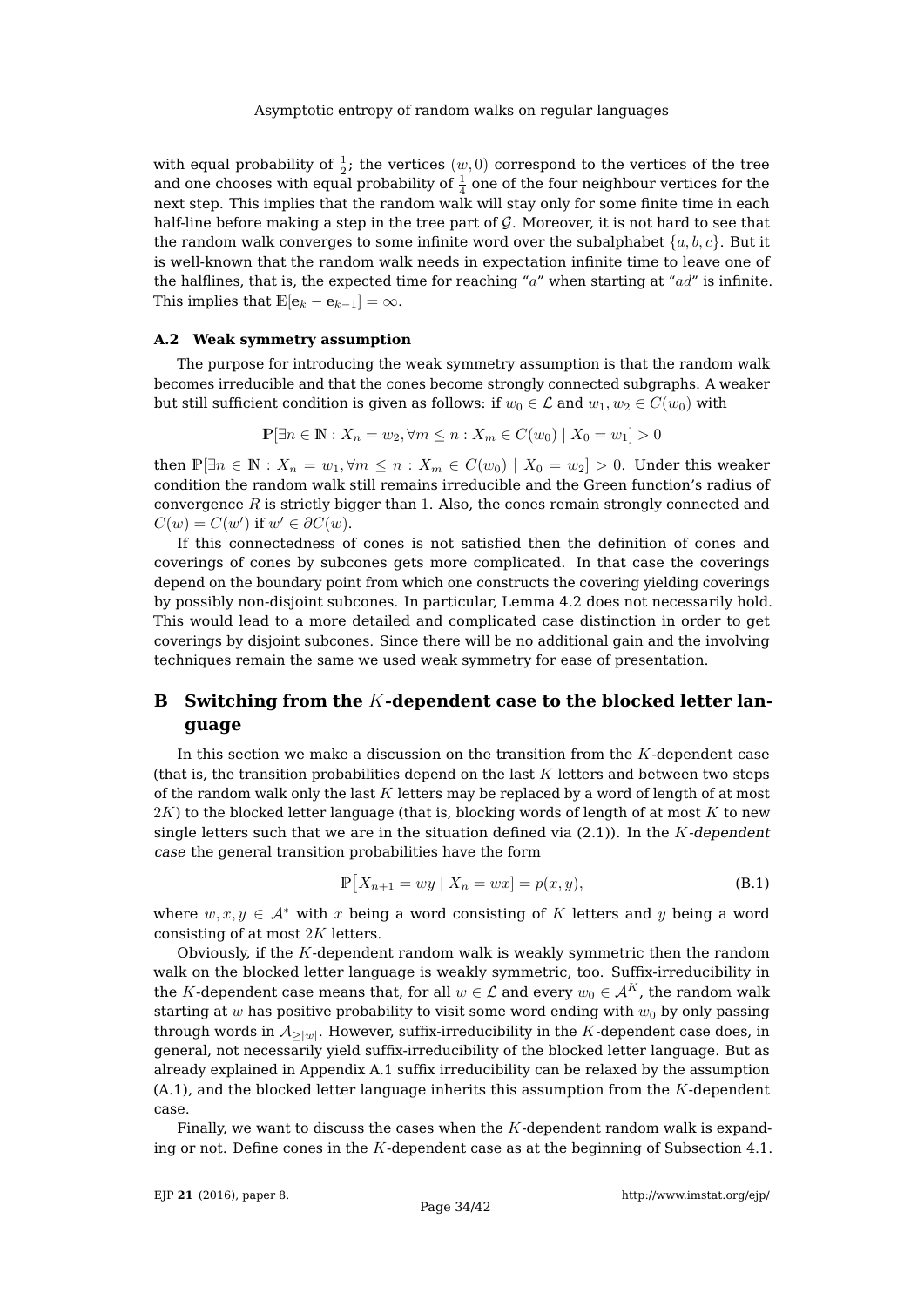with equal probability of  $\frac{1}{2}$ ; the vertices  $(w,0)$  correspond to the vertices of the tree and one chooses with equal probability of  $\frac{1}{4}$  one of the four neighbour vertices for the next step. This implies that the random walk will stay only for some finite time in each half-line before making a step in the tree part of  $G$ . Moreover, it is not hard to see that the random walk converges to some infinite word over the subalphabet  $\{a, b, c\}$ . But it is well-known that the random walk needs in expectation infinite time to leave one of the halflines, that is, the expected time for reaching "a" when starting at "ad" is infinite. This implies that  $\mathbb{E}[\mathbf{e}_k - \mathbf{e}_{k-1}] = \infty$ .

## <span id="page-33-0"></span>**A.2 Weak symmetry assumption**

The purpose for introducing the weak symmetry assumption is that the random walk becomes irreducible and that the cones become strongly connected subgraphs. A weaker but still sufficient condition is given as follows: if  $w_0 \in \mathcal{L}$  and  $w_1, w_2 \in C(w_0)$  with

$$
\mathbb{P}[\exists n \in \mathbb{N} : X_n = w_2, \forall m \le n : X_m \in C(w_0) | X_0 = w_1] > 0
$$

then  $\mathbb{P}[\exists n \in \mathbb{N}: X_n = w_1, \forall m \leq n : X_m \in C(w_0) | X_0 = w_2] > 0$ . Under this weaker condition the random walk still remains irreducible and the Green function's radius of convergence  $R$  is strictly bigger than 1. Also, the cones remain strongly connected and  $C(w) = C(w')$  if  $w' \in \partial C(w)$ .

If this connectedness of cones is not satisfied then the definition of cones and coverings of cones by subcones gets more complicated. In that case the coverings depend on the boundary point from which one constructs the covering yielding coverings by possibly non-disjoint subcones. In particular, Lemma [4.2](#page-9-0) does not necessarily hold. This would lead to a more detailed and complicated case distinction in order to get coverings by disjoint subcones. Since there will be no additional gain and the involving techniques remain the same we used weak symmetry for ease of presentation.

# <span id="page-33-2"></span>**B Switching from the** K**-dependent case to the blocked letter language**

In this section we make a discussion on the transition from the  $K$ -dependent case (that is, the transition probabilities depend on the last  $K$  letters and between two steps of the random walk only the last K letters may be replaced by a word of length of at most  $2K$ ) to the blocked letter language (that is, blocking words of length of at most K to new single letters such that we are in the situation defined via  $(2.1)$ ). In the K-dependent case the general transition probabilities have the form

<span id="page-33-1"></span>
$$
\mathbb{P}[X_{n+1} = wy \mid X_n = wx] = p(x, y),
$$
\n(B.1)

where  $w, x, y \in A^*$  with x being a word consisting of K letters and y being a word consisting of at most  $2K$  letters.

Obviously, if the K-dependent random walk is weakly symmetric then the random walk on the blocked letter language is weakly symmetric, too. Suffix-irreducibility in the K-dependent case means that, for all  $w \in \mathcal{L}$  and every  $w_0 \in \mathcal{A}^K$ , the random walk starting at  $w$  has positive probability to visit some word ending with  $w_0$  by only passing through words in  $\mathcal{A}_{\geq |w|}.$  However, suffix-irreducibility in the  $K$ -dependent case does, in general, not necessarily yield suffix-irreducibility of the blocked letter language. But as already explained in Appendix [A.1](#page-31-0) suffix irreducibility can be relaxed by the assumption  $(A.1)$ , and the blocked letter language inherits this assumption from the K-dependent case.

Finally, we want to discuss the cases when the  $K$ -dependent random walk is expanding or not. Define cones in the  $K$ -dependent case as at the beginning of Subsection [4.1.](#page-8-3)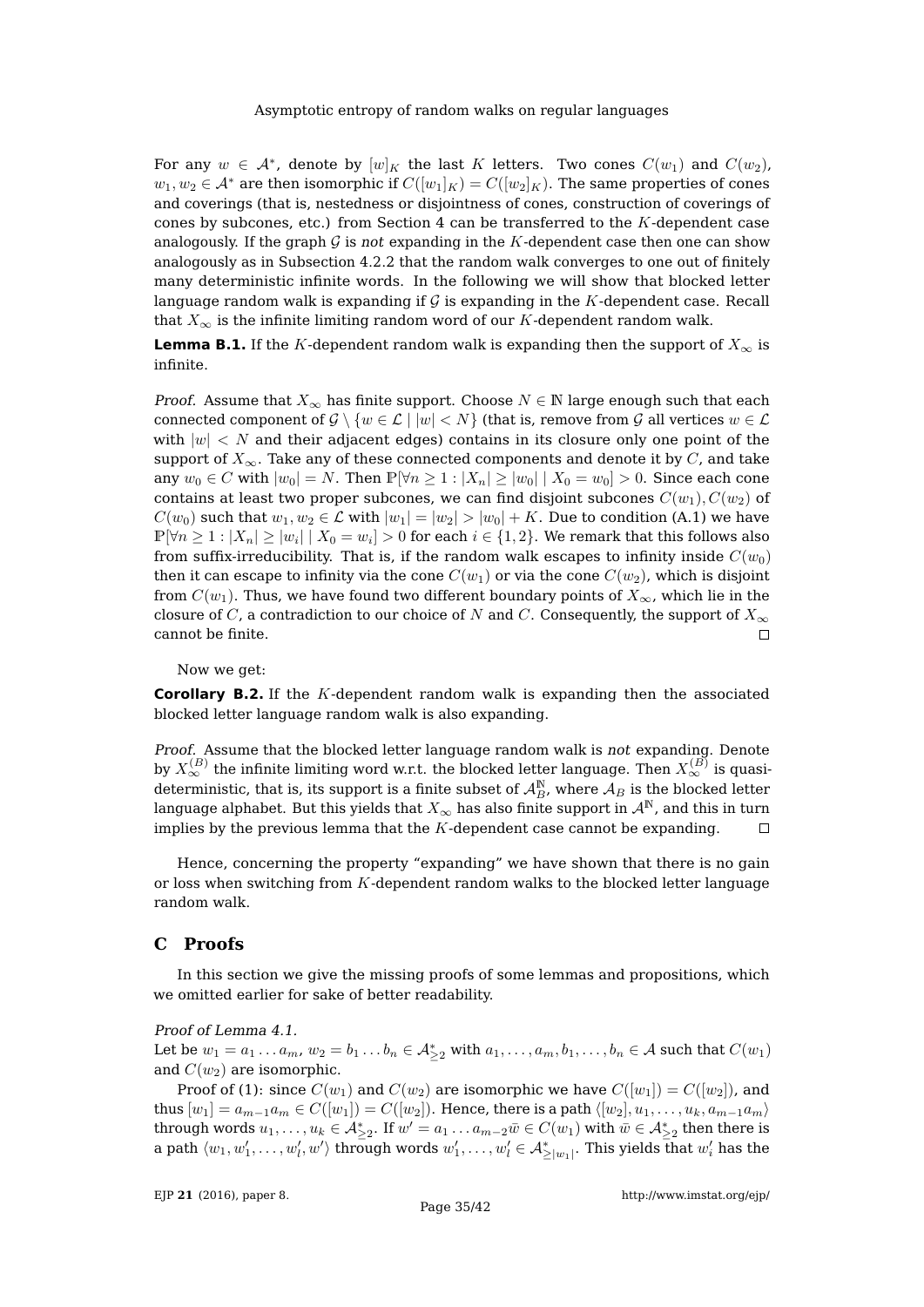For any  $w \in \mathcal{A}^*$ , denote by  $[w]_K$  the last K letters. Two cones  $C(w_1)$  and  $C(w_2)$ ,  $w_1, w_2 \in \mathcal{A}^*$  are then isomorphic if  $C([w_1]_K) = C([w_2]_K)$ . The same properties of cones and coverings (that is, nestedness or disjointness of cones, construction of coverings of cones by subcones, etc.) from Section  $4$  can be transferred to the  $K$ -dependent case analogously. If the graph  $G$  is not expanding in the K-dependent case then one can show analogously as in Subsection [4.2.2](#page-12-0) that the random walk converges to one out of finitely many deterministic infinite words. In the following we will show that blocked letter language random walk is expanding if  $G$  is expanding in the  $K$ -dependent case. Recall that  $X_{\infty}$  is the infinite limiting random word of our K-dependent random walk.

**Lemma B.1.** If the K-dependent random walk is expanding then the support of  $X_\infty$  is infinite.

*Proof.* Assume that  $X_{\infty}$  has finite support. Choose  $N \in \mathbb{N}$  large enough such that each connected component of  $\mathcal{G} \setminus \{w \in \mathcal{L} \mid |w| < N\}$  (that is, remove from  $\mathcal{G}$  all vertices  $w \in \mathcal{L}$ with  $|w| < N$  and their adjacent edges) contains in its closure only one point of the support of  $X_{\infty}$ . Take any of these connected components and denote it by  $C$ , and take any  $w_0 \in C$  with  $|w_0| = N$ . Then  $\mathbb{P}[\forall n \geq 1 : |X_n| \geq |w_0| | X_0 = w_0] > 0$ . Since each cone contains at least two proper subcones, we can find disjoint subcones  $C(w_1), C(w_2)$  of  $C(w_0)$  such that  $w_1, w_2 \in \mathcal{L}$  with  $|w_1| = |w_2| > |w_0| + K$ . Due to condition [\(A.1\)](#page-31-1) we have  $\mathbb{P}[\forall n\geq 1: |X_n|\geq |w_i| \mid X_0=w_i]>0$  for each  $i\in\{1,2\}.$  We remark that this follows also from suffix-irreducibility. That is, if the random walk escapes to infinity inside  $C(w_0)$ then it can escape to infinity via the cone  $C(w_1)$  or via the cone  $C(w_2)$ , which is disjoint from  $C(w_1)$ . Thus, we have found two different boundary points of  $X_{\infty}$ , which lie in the closure of C, a contradiction to our choice of N and C. Consequently, the support of  $X_{\infty}$ cannot be finite.  $\Box$ 

Now we get:

**Corollary B.2.** If the K-dependent random walk is expanding then the associated blocked letter language random walk is also expanding.

Proof. Assume that the blocked letter language random walk is not expanding. Denote by  $X_\infty^{(B)}$  the infinite limiting word w.r.t. the blocked letter language. Then  $X_\infty^{(B)}$  is quasideterministic, that is, its support is a finite subset of  ${\cal A}_B^{\mathbb N}$ , where  ${\cal A}_B$  is the blocked letter language alphabet. But this yields that  $X_{\infty}$  has also finite support in  $\mathcal{A}^{N}$ , and this in turn implies by the previous lemma that the  $K$ -dependent case cannot be expanding.  $\Box$ 

Hence, concerning the property "expanding" we have shown that there is no gain or loss when switching from  $K$ -dependent random walks to the blocked letter language random walk.

# <span id="page-34-0"></span>**C Proofs**

In this section we give the missing proofs of some lemmas and propositions, which we omitted earlier for sake of better readability.

Proof of Lemma [4.1.](#page-8-1)

Let be  $w_1 = a_1 \dots a_m$ ,  $w_2 = b_1 \dots b_n \in A_{\geq 2}^*$  with  $a_1, \dots, a_m, b_1, \dots, b_n \in A$  such that  $C(w_1)$ and  $C(w_2)$  are isomorphic.

Proof of (1): since  $C(w_1)$  and  $C(w_2)$  are isomorphic we have  $C([w_1]) = C([w_2])$ , and thus  $[w_1] = a_{m-1}a_m \in C([w_1]) = C([w_2])$ . Hence, there is a path  $\langle [w_2], u_1, \ldots, u_k, a_{m-1}a_m \rangle$ through words  $u_1, \ldots, u_k \in A_{\geq 2}^*$ . If  $w' = a_1 \ldots a_{m-2} \bar{w} \in C(w_1)$  with  $\bar{w} \in A_{\geq 2}^*$  then there is a path  $\langle w_1, w_1', \ldots, w_l', w' \rangle$  through words  $w_1', \ldots, w_l' \in \mathcal{A}_{\geq |w_1|}^*$ . This yields that  $w_i'$  has the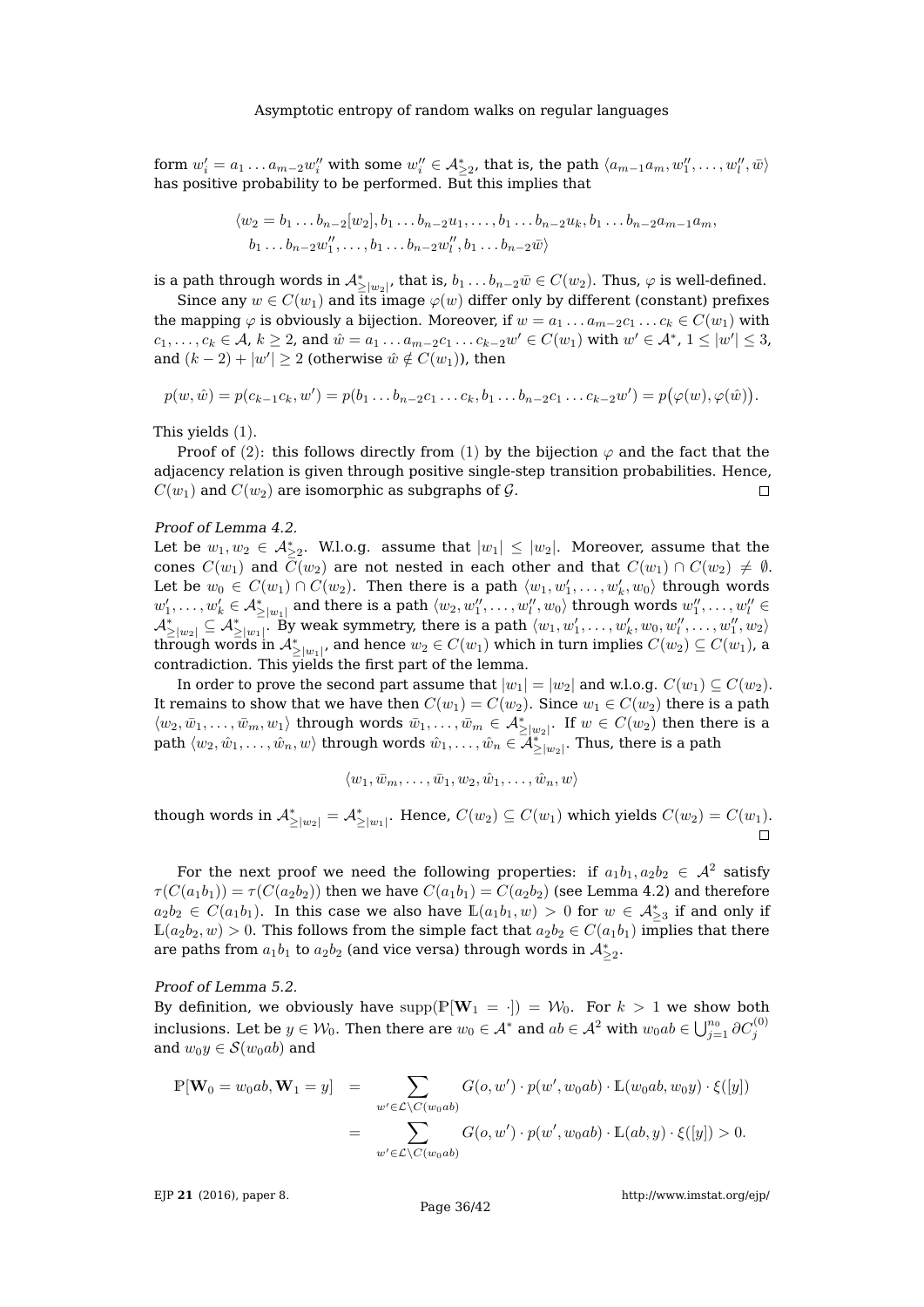form  $w_i'=a_1\ldots a_{m-2}w_i''$  with some  $w_i''\in \mathcal{A}^*_{\geq 2}$ , that is, the path  $\langle a_{m-1}a_m,w_1'',\ldots,w_l'',\bar{w}\rangle$ has positive probability to be performed. But this implies that

$$
\langle w_2 = b_1 \dots b_{n-2} [w_2], b_1 \dots b_{n-2} u_1, \dots, b_1 \dots b_{n-2} u_k, b_1 \dots b_{n-2} a_{m-1} a_m,
$$
  

$$
b_1 \dots b_{n-2} w_1'', \dots, b_1 \dots b_{n-2} w_l'', b_1 \dots b_{n-2} \overline{w} \rangle
$$

is a path through words in  $\mathcal{A}_{\geq |w_2|}^*$ , that is,  $b_1\dots b_{n-2}\bar{w}\in C(w_2).$  Thus,  $\varphi$  is well-defined.

Since any  $w \in C(w_1)$  and its image  $\varphi(w)$  differ only by different (constant) prefixes the mapping  $\varphi$  is obviously a bijection. Moreover, if  $w = a_1 \dots a_{m-2} c_1 \dots c_k \in C(w_1)$  with  $c_1,\ldots,c_k\in\mathcal{A}$ ,  $k\geq 2$ , and  $\hat{w}=a_1\ldots a_{m-2}c_1\ldots c_{k-2}w'\in C(w_1)$  with  $w'\in\mathcal{A}^*$ ,  $1\leq |w'|\leq 3$ , and  $(k-2) + |w'| \ge 2$  (otherwise  $\hat{w} \notin C(w_1)$ ), then

$$
p(w, \hat{w}) = p(c_{k-1}c_k, w') = p(b_1 \dots b_{n-2}c_1 \dots c_k, b_1 \dots b_{n-2}c_1 \dots c_{k-2}w') = p(\varphi(w), \varphi(\hat{w})).
$$

This yields (1).

Proof of (2): this follows directly from (1) by the bijection  $\varphi$  and the fact that the adjacency relation is given through positive single-step transition probabilities. Hence,  $C(w_1)$  and  $C(w_2)$  are isomorphic as subgraphs of  $\mathcal{G}$ .  $\Box$ 

#### Proof of Lemma [4.2.](#page-9-0)

Let be  $w_1, w_2 \in \mathcal{A}_{\geq 2}^*$ . W.l.o.g. assume that  $|w_1| \leq |w_2|$ . Moreover, assume that the cones  $C(w_1)$  and  $\overline{C}(w_2)$  are not nested in each other and that  $C(w_1) \cap C(w_2) \neq \emptyset$ . Let be  $w_0 \in C(w_1) \cap C(w_2)$ . Then there is a path  $\langle w_1, w'_1, \ldots, w'_k, w_0 \rangle$  through words  $w_1',\ldots,w_k'\in \mathcal{A}_{\geq |w_1|}^*$  and there is a path  $\langle w_2,w_1'',\ldots,w_l'',w_0\rangle$  through words  $w_1'',\ldots,w_l''\in$  $\mathcal{A}^*_{\geq |w_2|} \subseteq \mathcal{A}^*_{\geq |w_1|}.$  By weak symmetry, there is a path  $\langle w_1, w_1', \ldots, w_k', w_0, w_l'', \ldots, w_1'', w_2 \rangle$ through words in  $\mathcal{A}_{\geq |w_1|}^*$ , and hence  $w_2 \in C(w_1)$  which in turn implies  $C(w_2) \subseteq C(w_1)$ , a contradiction. This yields the first part of the lemma.

In order to prove the second part assume that  $|w_1| = |w_2|$  and w.l.o.g.  $C(w_1) \subseteq C(w_2)$ . It remains to show that we have then  $C(w_1) = C(w_2)$ . Since  $w_1 \in C(w_2)$  there is a path  $\langle w_2, \bar{w}_1, \ldots, \bar{w}_m, w_1 \rangle$  through words  $\bar{w}_1, \ldots, \bar{w}_m \in \mathcal{A}_{\geq |w_2|}^*$ . If  $w \in C(w_2)$  then there is a  $\mathop{\rm path}\nolimits \langle w_2,\hat w_1,\ldots,\hat w_n,w\rangle$  through words  $\hat w_1,\ldots,\hat w_n\in \overline{{\mathcal A}^{*-1}_{\ge |w_2|}}.$  Thus, there is a path

$$
\langle w_1, \bar{w}_m, \dots, \bar{w}_1, w_2, \hat{w}_1, \dots, \hat{w}_n, w \rangle
$$

though words in  $\mathcal{A}_{\geq |w_2|}^* = \mathcal{A}_{\geq |w_1|}^*$ . Hence,  $C(w_2) \subseteq C(w_1)$  which yields  $C(w_2) = C(w_1)$ .  $\Box$ 

For the next proof we need the following properties: if  $a_1b_1, a_2b_2 \in \mathcal{A}^2$  satisfy  $\tau(C(a_1b_1)) = \tau(C(a_2b_2))$  then we have  $C(a_1b_1) = C(a_2b_2)$  (see Lemma [4.2\)](#page-9-0) and therefore  $a_2b_2 \in C(a_1b_1)$ . In this case we also have  $\mathbb{L}(a_1b_1, w) > 0$  for  $w \in \mathcal{A}_{\geq 3}^*$  if and only if  $\mathbb{L}(a_2b_2, w) > 0$ . This follows from the simple fact that  $a_2b_2 \in C(a_1b_1)$  implies that there are paths from  $a_1b_1$  to  $a_2b_2$  (and vice versa) through words in  $\mathcal{A}_{\geq 2}^*$ .

#### Proof of Lemma [5.2.](#page-15-0)

By definition, we obviously have supp( $\mathbb{P}[\mathbf{W}_1 = \cdot] = \mathcal{W}_0$ . For  $k > 1$  we show both inclusions. Let be  $y\in\mathcal{W}_0.$  Then there are  $w_0\in\mathcal{A}^*$  and  $ab\in\mathcal{A}^2$  with  $w_0ab\in\bigcup_{j=1}^{n_0}\partial C_j^{(0)}$ and  $w_0y \in \mathcal{S}(w_0ab)$  and

$$
\mathbb{P}[\mathbf{W}_0 = w_0ab, \mathbf{W}_1 = y] = \sum_{w' \in \mathcal{L} \setminus C(w_0ab)} G(o, w') \cdot p(w', w_0ab) \cdot \mathbb{L}(w_0ab, w_0y) \cdot \xi([y])
$$
  
= 
$$
\sum_{w' \in \mathcal{L} \setminus C(w_0ab)} G(o, w') \cdot p(w', w_0ab) \cdot \mathbb{L}(ab, y) \cdot \xi([y]) > 0.
$$

EJP **21** [\(2016\), paper 8.](http://dx.doi.org/10.1214/16-EJP4180)

<http://www.imstat.org/ejp/>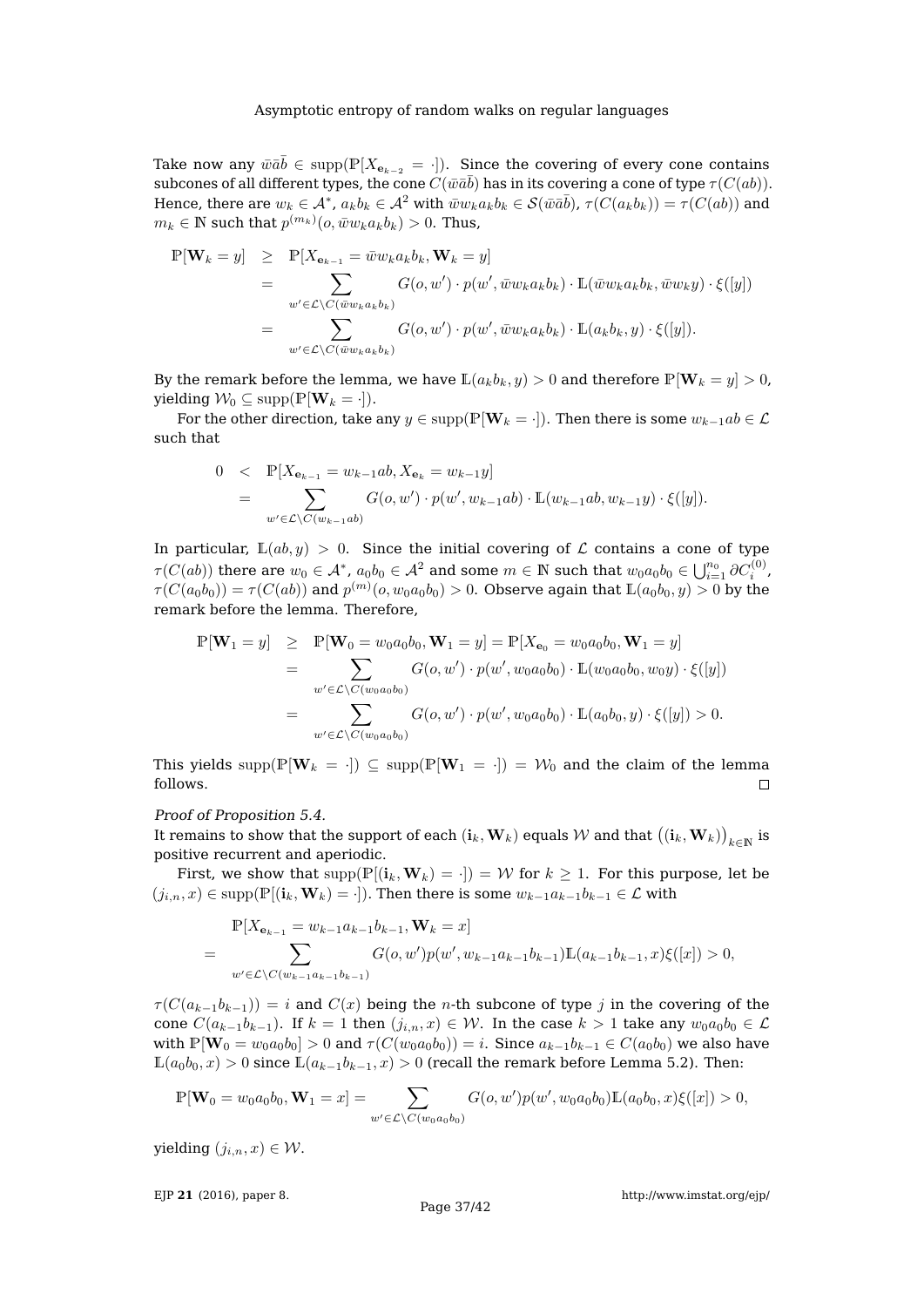Take now any  $\bar{w}\bar{a}\bar{b}\in \mathrm{supp}(\mathbb{P}[X_{\mathbf{e}_{k-2}}= \cdot]).$  Since the covering of every cone contains subcones of all different types, the cone  $\overline{C}(\bar{w}\bar{a}\bar{b})$  has in its covering a cone of type  $\tau(\overline{C(ab)}).$ Hence, there are  $w_k\in \mathcal{A}^*$ ,  $a_kb_k\in \mathcal{A}^2$  with  $\overline{w}w_ka_kb_k\in \mathcal{S}(\bar{w}\bar{a}\bar{b})$ ,  $\tau(C(a_kb_k))=\tau(C(ab))$  and  $m_k \in \mathbb{N}$  such that  $p^{(m_k)}(o, \bar{w}w_k a_k b_k) > 0$ . Thus,

$$
\mathbb{P}[\mathbf{W}_k = y] \geq \mathbb{P}[X_{\mathbf{e}_{k-1}} = \bar{w}w_k a_k b_k, \mathbf{W}_k = y] \n= \sum_{w' \in \mathcal{L} \setminus C(\bar{w}w_k a_k b_k)} G(o, w') \cdot p(w', \bar{w}w_k a_k b_k) \cdot \mathbb{L}(\bar{w}w_k a_k b_k, \bar{w}w_k y) \cdot \xi([y]) \n= \sum_{w' \in \mathcal{L} \setminus C(\bar{w}w_k a_k b_k)} G(o, w') \cdot p(w', \bar{w}w_k a_k b_k) \cdot \mathbb{L}(a_k b_k, y) \cdot \xi([y]).
$$

By the remark before the lemma, we have  $\mathbb{L}(a_k b_k, y) > 0$  and therefore  $\mathbb{P}[\mathbf{W}_k = y] > 0$ , yielding  $W_0 \subseteq \text{supp}(\mathbb{P}[\mathbf{W}_k = \cdot]).$ 

For the other direction, take any  $y \in \text{supp}(\mathbb{P}[\mathbf{W}_k = \cdot])$ . Then there is some  $w_{k-1}ab \in \mathcal{L}$ such that

$$
0 < \mathbb{P}[X_{\mathbf{e}_{k-1}} = w_{k-1}ab, X_{\mathbf{e}_k} = w_{k-1}y]
$$
  
= 
$$
\sum_{w' \in \mathcal{L} \setminus C(w_{k-1}ab)} G(o, w') \cdot p(w', w_{k-1}ab) \cdot \mathbb{L}(w_{k-1}ab, w_{k-1}y) \cdot \xi([y]).
$$

In particular,  $\mathbb{L}(ab, y) > 0$ . Since the initial covering of  $\mathcal L$  contains a cone of type  $\tau(C(ab))$  there are  $w_0\in \mathcal{A}^*$ ,  $a_0b_0\in \mathcal{A}^2$  and some  $m\in \mathbb{N}$  such that  $w_0a_0b_0\in \bigcup_{i=1}^{n_0}\partial C_i^{(0)},$  $\tau(C(a_0b_0))=\tau(C(ab))$  and  $p^{(m)}(o,w_0a_0b_0)>0.$  Observe again that  $\mathbb{L}(a_0b_0,y)>0$  by the remark before the lemma. Therefore,

$$
\mathbb{P}[\mathbf{W}_1 = y] \geq \mathbb{P}[\mathbf{W}_0 = w_0 a_0 b_0, \mathbf{W}_1 = y] = \mathbb{P}[X_{\mathbf{e}_0} = w_0 a_0 b_0, \mathbf{W}_1 = y] \n= \sum_{w' \in \mathcal{L} \setminus C(w_0 a_0 b_0)} G(o, w') \cdot p(w', w_0 a_0 b_0) \cdot \mathbb{L}(w_0 a_0 b_0, w_0 y) \cdot \xi([y]) \n= \sum_{w' \in \mathcal{L} \setminus C(w_0 a_0 b_0)} G(o, w') \cdot p(w', w_0 a_0 b_0) \cdot \mathbb{L}(a_0 b_0, y) \cdot \xi([y]) > 0.
$$

This yields supp( $\mathbb{P}[\mathbf{W}_k = \cdot]$ )  $\subseteq$  supp( $\mathbb{P}[\mathbf{W}_1 = \cdot]$ ) =  $\mathcal{W}_0$  and the claim of the lemma follows.  $\Box$ 

## Proof of Proposition [5.4.](#page-17-3)

It remains to show that the support of each  $({\bf i}_k,{\bf W}_k)$  equals  ${\cal W}$  and that  $\big(({\bf i}_k,{\bf W}_k)\big)_{k\in \mathbb N}$  is positive recurrent and aperiodic.

First, we show that  $supp(\mathbb{P}[(i_k,\mathbf{W}_k) = \cdot]) = \mathcal{W}$  for  $k \geq 1$ . For this purpose, let be  $(j_{i,n}, x) \in \text{supp}(\mathbb{P}[(i_k, \mathbf{W}_k) = \cdot])$ . Then there is some  $w_{k-1}a_{k-1}b_{k-1} \in \mathcal{L}$  with

$$
\mathbb{P}[X_{\mathbf{e}_{k-1}} = w_{k-1}a_{k-1}b_{k-1}, \mathbf{W}_k = x]
$$
  
= 
$$
\sum_{w' \in \mathcal{L} \backslash C(w_{k-1}a_{k-1}b_{k-1})} G(o, w')p(w', w_{k-1}a_{k-1}b_{k-1})\mathbb{L}(a_{k-1}b_{k-1}, x)\xi([x]) > 0,
$$

 $\tau(C(a_{k-1}b_{k-1})) = i$  and  $C(x)$  being the *n*-th subcone of type j in the covering of the cone  $C(a_{k-1}b_{k-1})$ . If  $k = 1$  then  $(j_{i,n}, x) \in \mathcal{W}$ . In the case  $k > 1$  take any  $w_0a_0b_0 \in \mathcal{L}$ with  $\mathbb{P}[\mathbf{W}_0 = w_0 a_0 b_0] > 0$  and  $\tau(C(w_0 a_0 b_0)) = i$ . Since  $a_{k-1} b_{k-1} \in C(a_0 b_0)$  we also have  $\mathbb{L}(a_0b_0, x) > 0$  since  $\mathbb{L}(a_{k-1}b_{k-1}, x) > 0$  (recall the remark before Lemma [5.2\)](#page-15-0). Then:

$$
\mathbb{P}[\mathbf{W}_0 = w_0 a_0 b_0, \mathbf{W}_1 = x] = \sum_{w' \in \mathcal{L} \setminus C(w_0 a_0 b_0)} G(o, w') p(w', w_0 a_0 b_0) \mathbb{L}(a_0 b_0, x) \xi([x]) > 0,
$$

yielding  $(j_{i,n}, x) \in \mathcal{W}$ .

EJP **21** [\(2016\), paper 8.](http://dx.doi.org/10.1214/16-EJP4180)

<http://www.imstat.org/ejp/>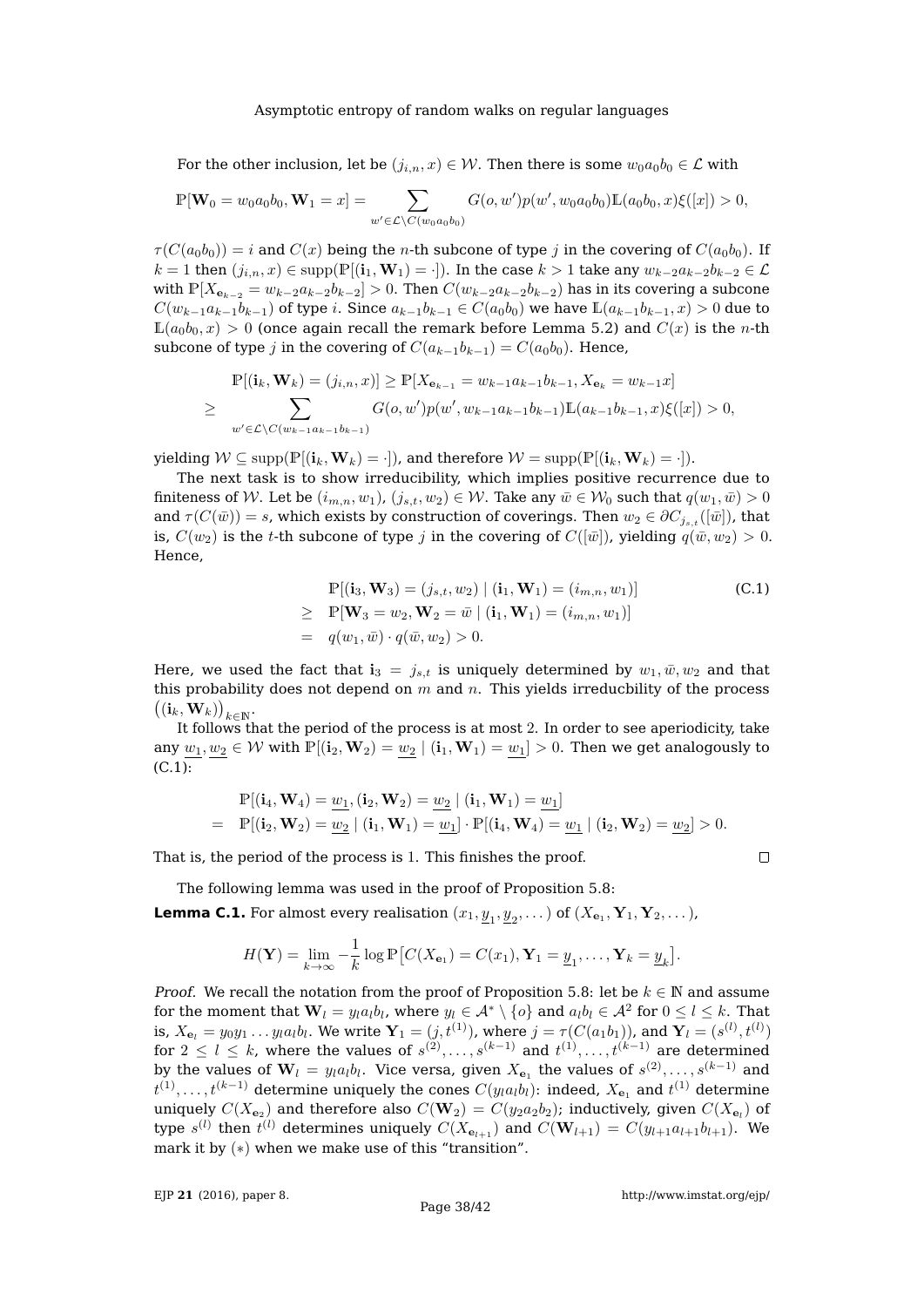For the other inclusion, let be  $(j_{i,n}, x) \in \mathcal{W}$ . Then there is some  $w_0a_0b_0 \in \mathcal{L}$  with

$$
\mathbb{P}[\mathbf{W}_0 = w_0 a_0 b_0, \mathbf{W}_1 = x] = \sum_{w' \in \mathcal{L} \setminus C(w_0 a_0 b_0)} G(o, w') p(w', w_0 a_0 b_0) \mathbb{L}(a_0 b_0, x) \xi([x]) > 0,
$$

 $\tau(C(a_0b_0)) = i$  and  $C(x)$  being the *n*-th subcone of type j in the covering of  $C(a_0b_0)$ . If  $k = 1$  then  $(j_{i,n}, x) \in \text{supp}(\mathbb{P}[(i_1, \mathbf{W}_1) = \cdot])$ . In the case  $k > 1$  take any  $w_{k-2}a_{k-2}b_{k-2} \in \mathcal{L}$ with  $\mathbb{P}[X_{\mathbf{e}_{k-2}} = w_{k-2}a_{k-2}b_{k-2}] > 0$ . Then  $C(w_{k-2}a_{k-2}b_{k-2})$  has in its covering a subcone  $C(w_{k-1}a_{k-1}b_{k-1})$  of type i. Since  $a_{k-1}b_{k-1} \in C(a_0b_0)$  we have  $\mathbb{L}(a_{k-1}b_{k-1},x) > 0$  due to  $\mathbb{L}(a_0b_0, x) > 0$  (once again recall the remark before Lemma [5.2\)](#page-15-0) and  $C(x)$  is the *n*-th subcone of type j in the covering of  $C(a_{k-1}b_{k-1}) = C(a_0b_0)$ . Hence,

$$
\mathbb{P}[(\mathbf{i}_k, \mathbf{W}_k) = (j_{i,n}, x)] \ge \mathbb{P}[X_{\mathbf{e}_{k-1}} = w_{k-1}a_{k-1}b_{k-1}, X_{\mathbf{e}_k} = w_{k-1}x]
$$
  
\n
$$
\ge \sum_{w' \in \mathcal{L} \setminus C(w_{k-1}a_{k-1}b_{k-1})} G(o, w')p(w', w_{k-1}a_{k-1}b_{k-1}) \mathbb{L}(a_{k-1}b_{k-1}, x) \xi([x]) > 0,
$$

yielding  $W \subseteq \text{supp}(\mathbb{P}[(i_k, \mathbf{W}_k) = \cdot])$ , and therefore  $W = \text{supp}(\mathbb{P}[(i_k, \mathbf{W}_k) = \cdot])$ .

The next task is to show irreducibility, which implies positive recurrence due to finiteness of W. Let be  $(i_{m,n}, w_1)$ ,  $(j_{s,t}, w_2) \in W$ . Take any  $\bar{w} \in W_0$  such that  $q(w_1, \bar{w}) > 0$ and  $\tau(C(\bar{w})) = s$ , which exists by construction of coverings. Then  $w_2 \in \partial C_{i_{s,t}}([\bar{w}])$ , that is,  $C(w_2)$  is the t-th subcone of type j in the covering of  $C([\bar{w}])$ , yielding  $q(\bar{w}, w_2) > 0$ . Hence,

<span id="page-37-1"></span>
$$
\mathbb{P}[(\mathbf{i}_3, \mathbf{W}_3) = (j_{s,t}, w_2) | (\mathbf{i}_1, \mathbf{W}_1) = (i_{m,n}, w_1)]
$$
\n
$$
\geq \mathbb{P}[\mathbf{W}_3 = w_2, \mathbf{W}_2 = \bar{w} | (\mathbf{i}_1, \mathbf{W}_1) = (i_{m,n}, w_1)]
$$
\n
$$
= q(w_1, \bar{w}) \cdot q(\bar{w}, w_2) > 0.
$$
\n(C.1)

Here, we used the fact that  $\mathbf{i}_3 = j_{s,t}$  is uniquely determined by  $w_1, \bar{w}, w_2$  and that this probability does not depend on  $m$  and  $n$ . This yields irreducbility of the process  $\big((\mathbf{i}_k,\mathbf{W}_k)\big)_{k\in\mathbb{N}}.$ 

It follows that the period of the process is at most 2. In order to see aperiodicity, take any  $\underline{w_1}, \underline{w_2} \in \mathcal{W}$  with  $\mathbb{P}[(i_2, \mathbf{W}_2) = \underline{w_2} | (i_1, \mathbf{W}_1) = \underline{w_1}] > 0$ . Then we get analogously to  $(C.1)$ :

$$
\begin{aligned} &\mathbb{P}[(\mathbf{i}_4,\mathbf{W}_4)=\underline{w}_1, (\mathbf{i}_2,\mathbf{W}_2)=\underline{w}_2 \mid (\mathbf{i}_1,\mathbf{W}_1)=\underline{w}_1] \\ & = & \mathbb{P}[(\mathbf{i}_2,\mathbf{W}_2)=\underline{w}_2 \mid (\mathbf{i}_1,\mathbf{W}_1)=\underline{w}_1] \cdot \mathbb{P}[(\mathbf{i}_4,\mathbf{W}_4)=\underline{w}_1 \mid (\mathbf{i}_2,\mathbf{W}_2)=\underline{w}_2] > 0. \end{aligned}
$$

That is, the period of the process is 1. This finishes the proof.

The following lemma was used in the proof of Proposition 
$$
5.8\colon
$$

<span id="page-37-0"></span>**Lemma C.1.** For almost every realisation  $(x_1, \underline{y}_1, \underline{y}_2, \dots)$  of  $(X_{\mathbf{e}_1}, \mathbf{Y}_1, \mathbf{Y}_2, \dots)$ ,

$$
H(\mathbf{Y}) = \lim_{k \to \infty} -\frac{1}{k} \log \mathbb{P}\left[C(X_{\mathbf{e}_1}) = C(x_1), \mathbf{Y}_1 = \underline{y}_1, \dots, \mathbf{Y}_k = \underline{y}_k\right].
$$

*Proof.* We recall the notation from the proof of Proposition [5.8:](#page-19-0) let be  $k \in \mathbb{N}$  and assume for the moment that  $\mathbf{W}_l = y_l a_l b_l$ , where  $y_l \in \mathcal{A}^* \setminus \{o\}$  and  $a_l b_l \in \mathcal{A}^2$  for  $0 \leq l \leq k.$  That is,  $X_{\mathbf{e}_l}=y_0y_1\ldots y_la_l b_l.$  We write  $\mathbf{Y}_1=(j,t^{(1)}),$  where  $j=\tau(C(a_1b_1)),$  and  $\mathbf{Y}_l=(s^{(l)},t^{(l)})$ for  $2\leq l\leq k$ , where the values of  $s^{(2)},\ldots,s^{(k-1)}$  and  $t^{(1)},\ldots,t^{(k-1)}$  are determined by the values of  $\mathbf{W}_l$  =  $y_l a_l b_l.$  Vice versa, given  $X_{\mathbf{e}_1}$  the values of  $s^{(2)},\ldots,s^{(k-1)}$  and  $t^{(1)},\ldots,t^{(k-1)}$  determine uniquely the cones  $C(y_l a_l b_l)$ : indeed,  $X_{\mathbf{e}_1}$  and  $t^{(1)}$  determine uniquely  $C(X_{\mathbf{e}_2})$  and therefore also  $C(\mathbf{W}_2)=C(y_2a_2b_2);$  inductively, given  $C(X_{\mathbf{e}_l})$  of type  $s^{(l)}$  then  $t^{(l)}$  determines uniquely  $C(X_{\mathbf{e}_{l+1}})$  and  $C(\mathbf{W}_{l+1}) = C(y_{l+1}a_{l+1}b_{l+1})$ . We mark it by  $(*)$  when we make use of this "transition".

 $\Box$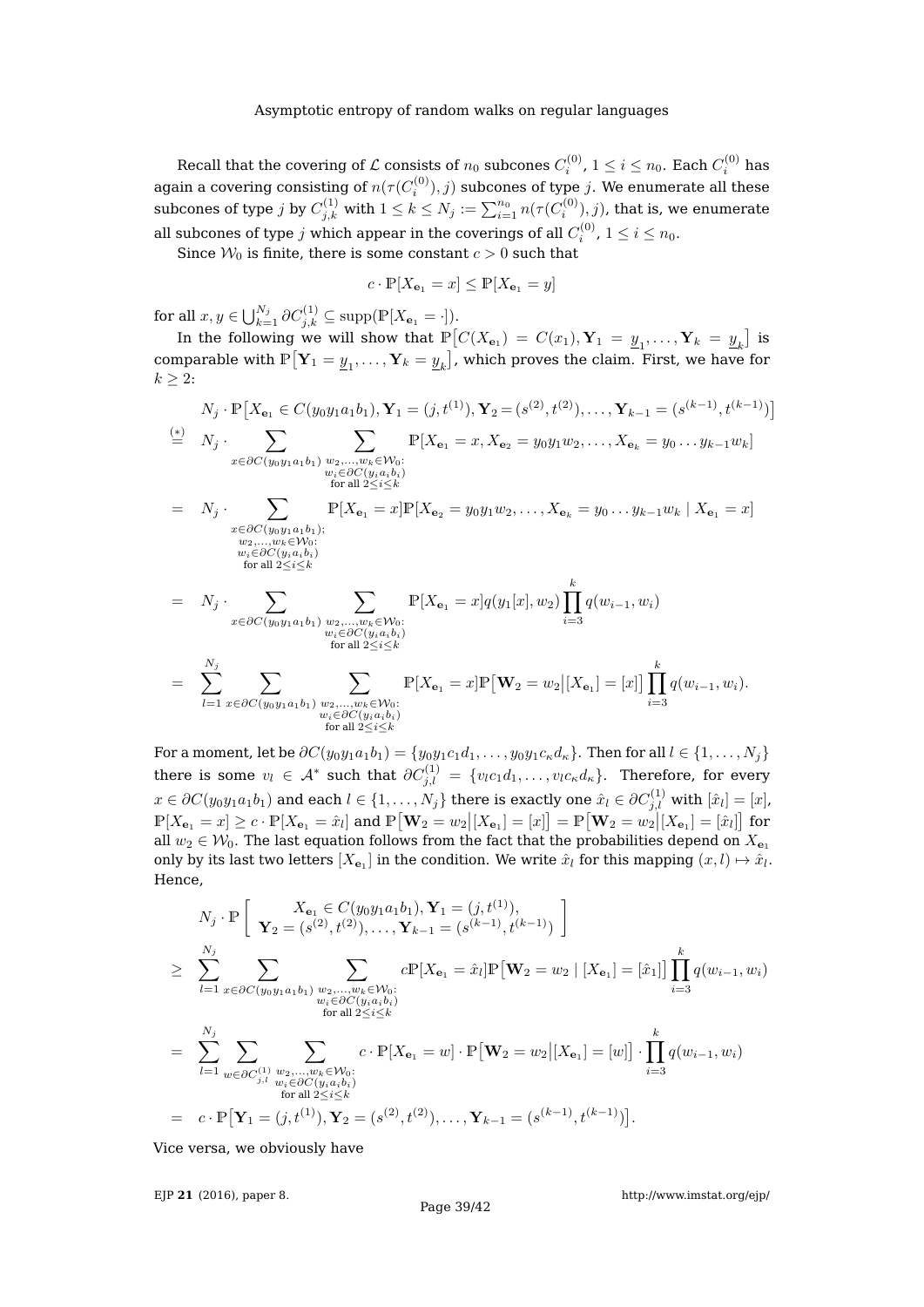Recall that the covering of  ${\cal L}$  consists of  $n_0$  subcones  $C_i^{(0)}$ ,  $1\leq i\leq n_0.$  Each  $C_i^{(0)}$  has again a covering consisting of  $n(\tau(C_i^{(0)}),j)$  subcones of type  $j.$  We enumerate all these subcones of type  $j$  by  $C^{(1)}_{j,k}$  with  $1\leq k\leq N_j:=\sum_{i=1}^{n_0}n(\tau(C^{(0)}_i),j)$ , that is, we enumerate all subcones of type  $j$  which appear in the coverings of all  $C_i^{(0)}$ ,  $1\leq i\leq n_0.$ 

Since  $W_0$  is finite, there is some constant  $c > 0$  such that

$$
c \cdot \mathbb{P}[X_{\mathbf{e}_1} = x] \le \mathbb{P}[X_{\mathbf{e}_1} = y]
$$

for all  $x, y \in \bigcup_{k=1}^{N_j} \partial C_{j,k}^{(1)} \subseteq \text{supp}(\mathbb{P}[X_{\mathbf{e}_1} = \cdot]).$ 

In the following we will show that  $\mathbb{P}\left[C(X_{\mathbf{e}_1}) = C(x_1), \mathbf{Y}_1 = \underline{y}_1, \dots, \mathbf{Y}_k = \underline{y}_k\right]$  is comparable with  $\mathbb{P}[\mathbf{Y}_1 = \underline{y}_1, \dots, \mathbf{Y}_k = \underline{y}_k]$ , which proves the claim. First, we have for  $k \geq 2$ :

$$
N_j \cdot \mathbb{P}\left[X_{\mathbf{e}_1} \in C(y_0y_1a_1b_1), Y_1 = (j, t^{(1)}), Y_2 = (s^{(2)}, t^{(2)}), \dots, Y_{k-1} = (s^{(k-1)}, t^{(k-1)})\right]
$$
  
\n
$$
\stackrel{(*)}{=} N_j \cdot \sum_{x \in \partial C(y_0y_1a_1b_1)} \sum_{\substack{w_2, \dots, w_k \in \mathcal{W}_0:\\ w_i \in \partial C(y_ia_ib_i) \\ \text{for all } 2 \le i \le k}} \mathbb{P}[X_{\mathbf{e}_1} = x, X_{\mathbf{e}_2} = y_0y_1w_2, \dots, X_{\mathbf{e}_k} = y_0 \dots y_{k-1}w_k]
$$
  
\n
$$
= N_j \cdot \sum_{\substack{x \in \partial C(y_0y_1a_1b_1); \\ w_2, \dots, w_k \in \mathcal{W}_0:\\ w_i \in \partial C(y_ia_ib_i) \\ \text{for all } 2 \le i \le k}} \mathbb{P}[X_{\mathbf{e}_1} = x] \mathbb{P}[X_{\mathbf{e}_2} = y_0y_1w_2, \dots, X_{\mathbf{e}_k} = y_0 \dots y_{k-1}w_k \mid X_{\mathbf{e}_1} = x]
$$
  
\n
$$
= N_j \cdot \sum_{x \in \partial C(y_0y_1a_1b_1)} \sum_{\substack{w_2, \dots, w_k \in \mathcal{W}_0:\\ w_i \in \partial C(y_1a_ib_i)}} \mathbb{P}[X_{\mathbf{e}_1} = x] q(y_1[x], w_2) \prod_{i=3}^k q(w_{i-1}, w_i)
$$
  
\nfor all  $2 \le i \le k$ 

$$
= \sum_{l=1}^{N_j} \sum_{x \in \partial C(y_0y_1a_1b_1)} \sum_{\substack{w_2,\ldots,w_k \in \mathcal{W}_0:\\w_i \in \partial C(y_1a_ib_i) \\ \text{for all } 2 \le i \le k}} \mathbb{P}[X_{\mathbf{e}_1} = x] \mathbb{P} \big[ \mathbf{W}_2 = w_2 \big| [X_{\mathbf{e}_1}] = [x] \big] \prod_{i=3}^k q(w_{i-1},w_i).
$$

For a moment, let be  $\partial C(y_0y_1a_1b_1) = \{y_0y_1c_1d_1,\ldots,y_0y_1c_\kappa d_\kappa\}$ . Then for all  $l \in \{1,\ldots,N_j\}$ there is some  $v_l \in \mathcal{A}^*$  such that  $\partial C_{j,l}^{(1)}$  =  $\{v_l c_1 d_1, \ldots, v_l c_\kappa d_\kappa\}$ . Therefore, for every  $x\in \partial C(y_0y_1a_1b_1)$  and each  $l\in \{1,\ldots,N_j\}$  there is exactly one  $\hat{x}_l\in \partial C_{j,l}^{(1)}$  with  $[\hat{x}_l]=[x]$ ,  $\mathbb{P}[X_{\mathbf{e}_1} = x] \geq c \cdot \mathbb{P}[X_{\mathbf{e}_1} = \hat{x}_l]$  and  $\mathbb{P}[\mathbf{W}_2 = w_2 | [X_{\mathbf{e}_1}] = [x]] = \mathbb{P}[\mathbf{W}_2 = w_2 | [X_{\mathbf{e}_1}] = [\hat{x}_l]]$  for all  $w_2 \in W_0$ . The last equation follows from the fact that the probabilities depend on  $X_{\mathbf{e}_1}$ only by its last two letters  $[X_{e_1}]$  in the condition. We write  $\hat{x}_l$  for this mapping  $(x, l) \mapsto \hat{x}_l$ . Hence,

$$
N_j \cdot \mathbb{P} \Bigg[ \mathbf{Y}_2 = (s^{(2)}, t^{(2)}), \dots, \mathbf{Y}_{k-1} = (s^{(k-1)}, t^{(k-1)}) \Bigg]
$$
  
\n
$$
\geq \sum_{l=1}^{N_j} \sum_{x \in \partial C(y_0 y_1 a_1 b_1)} \sum_{\substack{w_2, \dots, w_k \in \mathcal{W}_0:\\w_i \in \partial C(y_i a_i b_i)}} c \mathbb{P}[X_{\mathbf{e}_1} = \hat{x}_l] \mathbb{P} [\mathbf{W}_2 = w_2 \mid [X_{\mathbf{e}_1}] = [\hat{x}_1] ] \prod_{i=3}^k q(w_{i-1}, w_i)
$$
  
\n
$$
= \sum_{l=1}^{N_j} \sum_{\substack{w_2 \in \partial C(y_i a_i b_i) \\w_i \in \partial C(y_i a_i b_i) \\ \text{for all } 2 \leq i \leq k}} c \cdot \mathbb{P}[X_{\mathbf{e}_1} = w] \cdot \mathbb{P} [\mathbf{W}_2 = w_2 | [X_{\mathbf{e}_1}] = [w] ] \cdot \prod_{i=3}^k q(w_{i-1}, w_i)
$$
  
\nfor all  $2 \leq i \leq k$   
\nfor all  $2 \leq i \leq k$   
\n
$$
= c \cdot \mathbb{P} [\mathbf{Y}_1 = (j, t^{(1)}), \mathbf{Y}_2 = (s^{(2)}, t^{(2)}), \dots, \mathbf{Y}_{k-1} = (s^{(k-1)}, t^{(k-1)}) ].
$$

Vice versa, we obviously have

EJP **21** [\(2016\), paper 8.](http://dx.doi.org/10.1214/16-EJP4180)

<http://www.imstat.org/ejp/>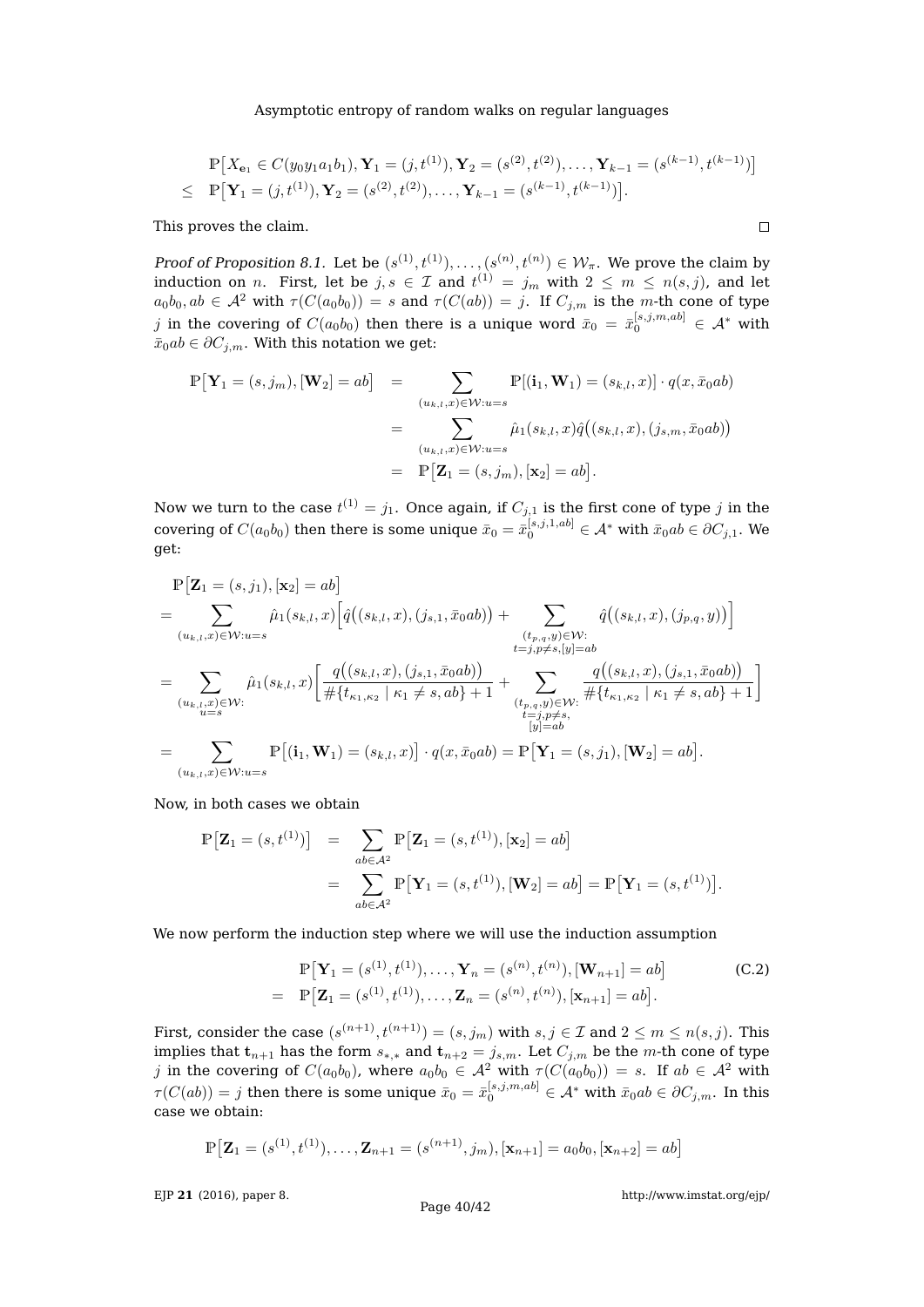$$
\mathbb{P}[X_{\mathbf{e}_1} \in C(y_0y_1a_1b_1), \mathbf{Y}_1 = (j, t^{(1)}), \mathbf{Y}_2 = (s^{(2)}, t^{(2)}), \dots, \mathbf{Y}_{k-1} = (s^{(k-1)}, t^{(k-1)})]
$$
\n
$$
\leq \mathbb{P}[\mathbf{Y}_1 = (j, t^{(1)}), \mathbf{Y}_2 = (s^{(2)}, t^{(2)}), \dots, \mathbf{Y}_{k-1} = (s^{(k-1)}, t^{(k-1)})].
$$

This proves the claim.

Proof of Proposition [8.1.](#page-30-1) Let be  $(s^{(1)}, t^{(1)}), \ldots, (s^{(n)}, t^{(n)}) \in W_\pi$ . We prove the claim by induction on  $n.$  First, let be  $j,s\,\in\, \mathcal{I}$  and  $t^{(1)}\,=\,j_m$  with  $2\,\leq\,m\,\leq\,n(s,j)$ , and let  $a_0b_0, ab \in \mathcal{A}^2$  with  $\tau(C(a_0b_0)) = s$  and  $\tau(C(ab)) = j$ . If  $C_{j,m}$  is the m-th cone of type  $j$  in the covering of  $C(a_0b_0)$  then there is a unique word  $\bar{x}_0\,=\,\bar{x}_0^{[s,j,m,ab]}\,\in\,\mathcal{A}^*$  with  $\bar{x}_0ab \in \partial C_{j,m}$ . With this notation we get:

$$
\mathbb{P}\big[\mathbf{Y}_1 = (s,j_m), [\mathbf{W}_2] = ab\big] = \sum_{(u_{k,l},x) \in \mathcal{W}: u=s} \mathbb{P}[(\mathbf{i}_1, \mathbf{W}_1) = (s_{k,l}, x)] \cdot q(x, \bar{x}_0 ab)
$$

$$
= \sum_{(u_{k,l},x) \in \mathcal{W}: u=s} \hat{\mu}_1(s_{k,l}, x) \hat{q}((s_{k,l}, x), (j_{s,m}, \bar{x}_0 ab))
$$

$$
= \mathbb{P}\big[\mathbf{Z}_1 = (s, j_m), [\mathbf{x}_2] = ab\big].
$$

Now we turn to the case  $t^{(1)}=j_1.$  Once again, if  $C_{j,1}$  is the first cone of type  $j$  in the covering of  $C(a_0b_0)$  then there is some unique  $\bar{x}_0=\bar{x}_0^{[s,j,1,ab]}\in\mathcal{A}^*$  with  $\bar{x}_0ab\in\partial C_{j,1}.$  We get:

$$
\begin{split} & \mathbb{P}\left[\mathbf{Z}_{1}=(s,j_{1}),[\mathbf{x}_{2}]=ab\right] \\ & = \sum_{(u_{k,l},x)\in\mathcal{W}:u=s}\hat{\mu}_{1}(s_{k,l},x)\Big[\hat{q}\big((s_{k,l},x),(j_{s,1},\bar{x}_{0}ab)\big)+\sum_{\substack{(t_{p,q},y)\in\mathcal{W}:\\t=j,p\neq s, [y]=ab}}\hat{q}\big((s_{k,l},x),(j_{p,q},y)\big)\Big] \\ & = \sum_{(u_{k,l},x)\in\mathcal{W}:}\hat{\mu}_{1}(s_{k,l},x)\Big[\frac{q\big((s_{k,l},x),(j_{s,1},\bar{x}_{0}ab)\big)}{\#\{t_{\kappa_{1},\kappa_{2}}\mid\kappa_{1}\neq s,ab\}+1}+\sum_{\substack{(t_{p,q},y)\in\mathcal{W}:\\t=j,p\neq s,\\t=j,p\neq s,\\[y]=ab}}\frac{q\big((s_{k,l},x),(j_{s,1},\bar{x}_{0}ab)\big)}{\#\{t_{\kappa_{1},\kappa_{2}}\mid\kappa_{1}\neq s,ab\}+1}\Big] \\ & = \sum_{(u_{k,l},x)\in\mathcal{W}:u=s}\mathbb{P}\left[(\mathbf{i}_{1},\mathbf{W}_{1})=(s_{k,l},x)\right]\cdot q(x,\bar{x}_{0}ab)=\mathbb{P}\left[\mathbf{Y}_{1}=(s,j_{1}),[\mathbf{W}_{2}]=ab\right]. \end{split}
$$

Now, in both cases we obtain

$$
\mathbb{P}\big[\mathbf{Z}_1 = (s, t^{(1)})\big] = \sum_{ab \in \mathcal{A}^2} \mathbb{P}\big[\mathbf{Z}_1 = (s, t^{(1)}), [\mathbf{x}_2] = ab\big]
$$
  
= 
$$
\sum_{ab \in \mathcal{A}^2} \mathbb{P}\big[\mathbf{Y}_1 = (s, t^{(1)}), [\mathbf{W}_2] = ab\big] = \mathbb{P}\big[\mathbf{Y}_1 = (s, t^{(1)})\big].
$$

We now perform the induction step where we will use the induction assumption

<span id="page-39-0"></span>
$$
\mathbb{P}\big[\mathbf{Y}_1 = (s^{(1)}, t^{(1)}), \dots, \mathbf{Y}_n = (s^{(n)}, t^{(n)}), [\mathbf{W}_{n+1}] = ab\big] \tag{C.2}
$$
\n
$$
= \mathbb{P}\big[\mathbf{Z}_1 = (s^{(1)}, t^{(1)}), \dots, \mathbf{Z}_n = (s^{(n)}, t^{(n)}), [\mathbf{x}_{n+1}] = ab\big].
$$

First, consider the case  $(s^{(n+1)}, t^{(n+1)}) = (s, j_m)$  with  $s, j \in \mathcal{I}$  and  $2 \leq m \leq n(s, j)$ . This implies that  $\mathbf{t}_{n+1}$  has the form  $s_{*,*}$  and  $\mathbf{t}_{n+2} = j_{s,m}$ . Let  $C_{j,m}$  be the  $m$ -th cone of type  $j$  in the covering of  $C(a_0b_0)$ , where  $a_0b_0\in\mathcal{A}^2$  with  $\tau(C(a_0b_0))=s.$  If  $ab\in\mathcal{A}^2$  with  $\tau(C(ab))=j$  then there is some unique  $\bar{x}_0=\bar{x}_0^{[s,j,m,ab]}\in\mathcal{A}^*$  with  $\bar{x}_0ab\in\partial C_{j,m}.$  In this case we obtain:

$$
\mathbb{P}\big[\mathbf{Z}_1 = (s^{(1)}, t^{(1)}), \dots, \mathbf{Z}_{n+1} = (s^{(n+1)}, j_m), [\mathbf{x}_{n+1}] = a_0 b_0, [\mathbf{x}_{n+2}] = ab\big]
$$

EJP **21** [\(2016\), paper 8.](http://dx.doi.org/10.1214/16-EJP4180)

<http://www.imstat.org/ejp/>

 $\Box$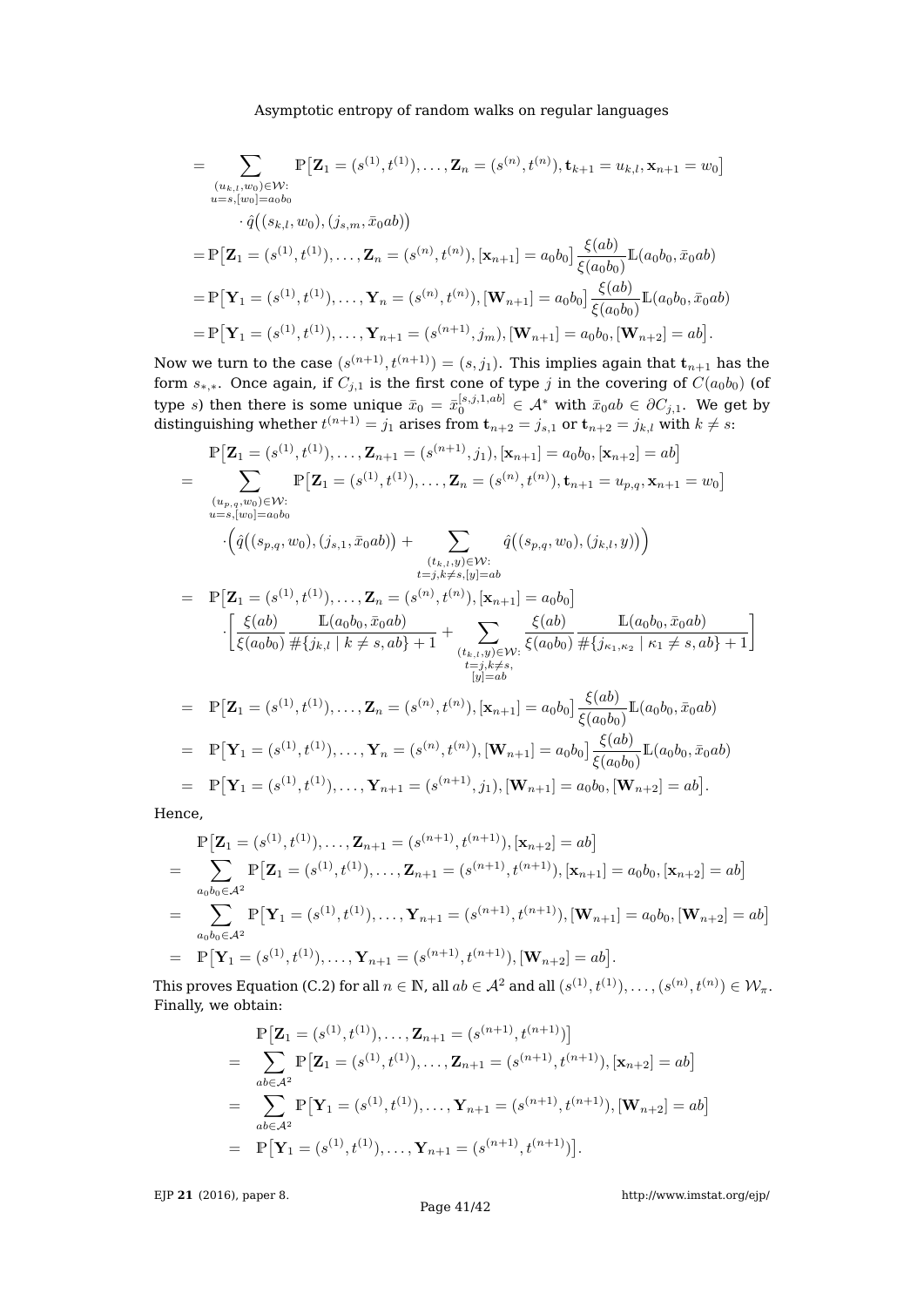$$
= \sum_{\substack{(u_{k,l},w_0)\in\mathcal{W}:\\u=s,[w_0]=a_0b_0}} \mathbb{P}\big[\mathbf{Z}_1 = (s^{(1)},t^{(1)}),\ldots,\mathbf{Z}_n = (s^{(n)},t^{(n)}),\mathbf{t}_{k+1} = u_{k,l},\mathbf{x}_{n+1} = w_0\big] \cdot \hat{q}((s_{k,l},w_0),(j_{s,m},\bar{x}_0ab)) \n= \mathbb{P}\big[\mathbf{Z}_1 = (s^{(1)},t^{(1)}),\ldots,\mathbf{Z}_n = (s^{(n)},t^{(n)}),[\mathbf{x}_{n+1}] = a_0b_0\big] \frac{\xi(ab)}{\xi(a_0b_0)}\mathbb{L}(a_0b_0,\bar{x}_0ab) \n= \mathbb{P}\big[\mathbf{Y}_1 = (s^{(1)},t^{(1)}),\ldots,\mathbf{Y}_n = (s^{(n)},t^{(n)}),[\mathbf{W}_{n+1}] = a_0b_0\big] \frac{\xi(ab)}{\xi(a_0b_0)}\mathbb{L}(a_0b_0,\bar{x}_0ab) \n= \mathbb{P}\big[\mathbf{Y}_1 = (s^{(1)},t^{(1)}),\ldots,\mathbf{Y}_{n+1} = (s^{(n+1)},j_m),[\mathbf{W}_{n+1}] = a_0b_0,[\mathbf{W}_{n+2}] = ab\big].
$$

Now we turn to the case  $(s^{(n+1)},t^{(n+1)})=(s,j_1).$  This implies again that  $\mathbf{t}_{n+1}$  has the form  $s_{*,*}$ . Once again, if  $C_{j,1}$  is the first cone of type  $j$  in the covering of  $C(a_0b_0)$  (of type  $s$ ) then there is some unique  $\bar{x}_0 = \bar{x}_0^{[s,j,1,ab]} \in \mathcal{A}^*$  with  $\bar{x}_0ab \in \partial C_{j,1}.$  We get by distinguishing whether  $t^{(n+1)}=j_1$  arises from  ${\bf t}_{n+2}=j_{s,1}$  or  ${\bf t}_{n+2}=j_{k,l}$  with  $k\neq s$ :

$$
\mathbb{P}\left[\mathbf{Z}_{1}=(s^{(1)},t^{(1)}),\ldots,\mathbf{Z}_{n+1}=(s^{(n+1)},j_{1}),[\mathbf{x}_{n+1}]=a_{0}b_{0},[\mathbf{x}_{n+2}]=ab\right]
$$
\n
$$
=\sum_{\substack{(u_{p,q},w_{0})\in\mathcal{W}:\\u=s,[w_{0}]=a_{0}b_{0}}}^{\infty}\mathbb{P}\left[\mathbf{Z}_{1}=(s^{(1)},t^{(1)}),\ldots,\mathbf{Z}_{n}=(s^{(n)},t^{(n)}),\mathbf{t}_{n+1}=u_{p,q},\mathbf{x}_{n+1}=w_{0}\right]
$$
\n
$$
\cdot\left(\hat{q}((s_{p,q},w_{0}),(j_{s,1},\bar{x}_{0}ab))+\sum_{\substack{(t_{k,l},y)\in\mathcal{W}:\\t=j,k\neq s,[y]=ab}}\hat{q}((s_{p,q},w_{0}),(j_{k,l},y))\right)
$$
\n
$$
=\mathbb{P}\left[\mathbf{Z}_{1}=(s^{(1)},t^{(1)}),\ldots,\mathbf{Z}_{n}=(s^{(n)},t^{(n)}),[\mathbf{x}_{n+1}]=a_{0}b_{0}\right]
$$
\n
$$
\cdot\left[\frac{\xi(ab)}{\xi(ab_{0})}\frac{\mathbb{L}(a_{0}b_{0},\bar{x}_{0}ab)}{\#\{j_{k,l}\mid k\neq s,ab\}+1}+\sum_{\substack{(t_{k,l},y)\in\mathcal{W}:\\t=j,k\neq s,\\(y]=ab}}\frac{\xi(ab)}{\xi(ab_{0})}\frac{\mathbb{L}(a_{0}b_{0},\bar{x}_{0}ab)}{\#\{j_{k,l},x_{2}\mid k_{1}\neq s,ab\}+1}\right]
$$
\n
$$
=\mathbb{P}\left[\mathbf{Z}_{1}=(s^{(1)},t^{(1)}),\ldots,\mathbf{Z}_{n}=(s^{(n)},t^{(n)}),[\mathbf{x}_{n+1}]=a_{0}b_{0}\right]\frac{\xi(ab)}{\xi(ab_{0})}\mathbb{L}(a_{0}b_{0},\bar{x}_{0}ab)
$$
\n
$$
=\mathbb{P}\left[\mathbf{Y}_{1}=(s^{(1)},t^{(1)}),\ldots,\mathbf{Y}_{n}=(s^{(n)},t^{(n)}),[\mathbf{W}_{n+1}]=a_{0}b_{0}\right
$$

Hence,

$$
\mathbb{P}\left[\mathbf{Z}_{1}=(s^{(1)},t^{(1)}),\ldots,\mathbf{Z}_{n+1}=(s^{(n+1)},t^{(n+1)}),[\mathbf{x}_{n+2}]=ab\right]
$$
\n
$$
=\sum_{a_{0}b_{0}\in\mathcal{A}^{2}}\mathbb{P}\left[\mathbf{Z}_{1}=(s^{(1)},t^{(1)}),\ldots,\mathbf{Z}_{n+1}=(s^{(n+1)},t^{(n+1)}),[\mathbf{x}_{n+1}]=a_{0}b_{0},[\mathbf{x}_{n+2}]=ab\right]
$$
\n
$$
=\sum_{a_{0}b_{0}\in\mathcal{A}^{2}}\mathbb{P}\left[\mathbf{Y}_{1}=(s^{(1)},t^{(1)}),\ldots,\mathbf{Y}_{n+1}=(s^{(n+1)},t^{(n+1)}),[\mathbf{W}_{n+1}]=a_{0}b_{0},[\mathbf{W}_{n+2}]=ab\right]
$$
\n
$$
=\mathbb{P}\left[\mathbf{Y}_{1}=(s^{(1)},t^{(1)}),\ldots,\mathbf{Y}_{n+1}=(s^{(n+1)},t^{(n+1)}),[\mathbf{W}_{n+2}]=ab\right].
$$

This proves Equation [\(C.2\)](#page-39-0) for all  $n\in\mathbb{N}$ , all  $ab\in\mathcal{A}^2$  and all  $(s^{(1)},t^{(1)}),\ldots,(s^{(n)},t^{(n)})\in\mathcal{W}_{\pi}.$ Finally, we obtain:

$$
\mathbb{P}\big[\mathbf{Z}_1 = (s^{(1)}, t^{(1)}), \dots, \mathbf{Z}_{n+1} = (s^{(n+1)}, t^{(n+1)})\big]
$$
\n
$$
= \sum_{ab \in \mathcal{A}^2} \mathbb{P}\big[\mathbf{Z}_1 = (s^{(1)}, t^{(1)}), \dots, \mathbf{Z}_{n+1} = (s^{(n+1)}, t^{(n+1)}), [\mathbf{x}_{n+2}] = ab\big]
$$
\n
$$
= \sum_{ab \in \mathcal{A}^2} \mathbb{P}\big[\mathbf{Y}_1 = (s^{(1)}, t^{(1)}), \dots, \mathbf{Y}_{n+1} = (s^{(n+1)}, t^{(n+1)}), [\mathbf{W}_{n+2}] = ab\big]
$$
\n
$$
= \mathbb{P}\big[\mathbf{Y}_1 = (s^{(1)}, t^{(1)}), \dots, \mathbf{Y}_{n+1} = (s^{(n+1)}, t^{(n+1)})\big].
$$

EJP **21** [\(2016\), paper 8.](http://dx.doi.org/10.1214/16-EJP4180)

Page 41[/42](#page-41-0)

<http://www.imstat.org/ejp/>